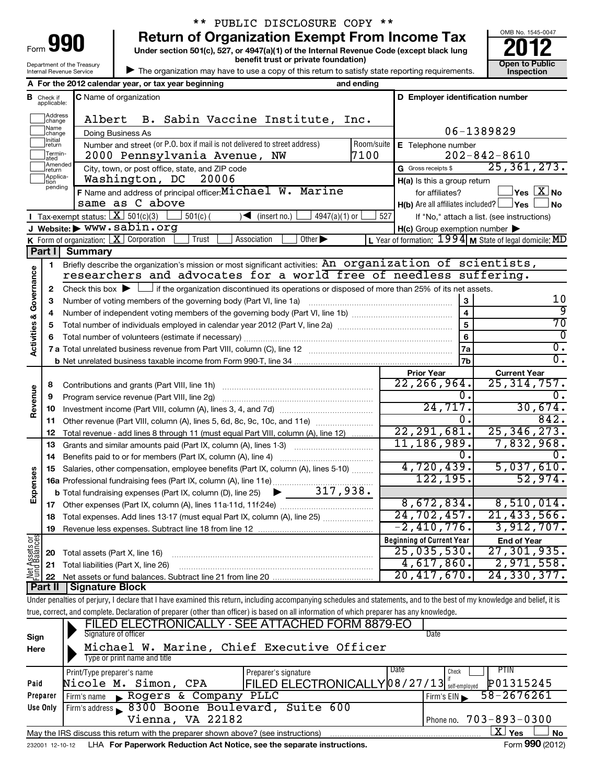| 990<br>Form                |
|----------------------------|
| Department of the Treasury |
| Internal Revenue Service   |

# \*\* PUBLIC DISCLOSURE COPY \*\*

**Under section 501(c), 527, or 4947(a)(1) of the Internal Revenue Code (except black lung 990** Return of Organization Exempt From Income Tax  $\frac{6008 \text{ No. 1545-004}}{2012}$ 

**benefit trust or private foundation) Construction Construction Construction Construction** 



| The organization may have to use a copy of this return to satisfy state reporting requirements.

|                                    |                    | A For the 2012 calendar year, or tax year beginning                                                                                                                        | and ending |                                                     |                                                           |
|------------------------------------|--------------------|----------------------------------------------------------------------------------------------------------------------------------------------------------------------------|------------|-----------------------------------------------------|-----------------------------------------------------------|
| В                                  | Check if           | C Name of organization                                                                                                                                                     |            | D Employer identification number                    |                                                           |
|                                    | applicable:        |                                                                                                                                                                            |            |                                                     |                                                           |
|                                    | Address<br>change  | Albert<br>B. Sabin Vaccine Institute, Inc.                                                                                                                                 |            |                                                     |                                                           |
|                                    | Name<br>change     | Doing Business As                                                                                                                                                          |            |                                                     | 06-1389829                                                |
|                                    | Initial            | Number and street (or P.O. box if mail is not delivered to street address)                                                                                                 | Room/suite | E Telephone number                                  |                                                           |
|                                    | return<br>Termin-  | 2000 Pennsylvania Avenue, NW                                                                                                                                               | 7100       |                                                     | $202 - 842 - 8610$                                        |
|                                    | ated<br>Amended    | City, town, or post office, state, and ZIP code                                                                                                                            |            | G Gross receipts \$                                 | 25, 361, 273.                                             |
|                                    | return<br>Applica- | Washington, DC<br>20006                                                                                                                                                    |            |                                                     |                                                           |
|                                    | tion<br>pending    | F Name and address of principal officer: Michael W. Marine                                                                                                                 |            | H(a) Is this a group return<br>for affiliates?      | $\log$ $\boxed{\text{X}}$ No                              |
|                                    |                    | same as C above                                                                                                                                                            |            | $H(b)$ Are all affiliates included? $\Box$ Yes      |                                                           |
|                                    |                    | Tax exempt status: $X \overline{501(c)(3)}$<br>$4947(a)(1)$ or<br>$\sqrt{\frac{1}{1}}$ (insert no.)                                                                        | 527        |                                                     | l No                                                      |
|                                    |                    | $501(c)$ (<br>J Website: > www.sabin.org                                                                                                                                   |            |                                                     | If "No," attach a list. (see instructions)                |
|                                    |                    | Association<br>Other $\blacktriangleright$<br>Trust                                                                                                                        |            | $H(c)$ Group exemption number $\blacktriangleright$ |                                                           |
|                                    |                    | <b>K</b> Form of organization: $X$ Corporation                                                                                                                             |            |                                                     | L Year of formation: $1994$ M State of legal domicile: MD |
|                                    | Part II            | <b>Summary</b>                                                                                                                                                             |            |                                                     |                                                           |
|                                    | 1                  | Briefly describe the organization's mission or most significant activities: An organization of scientists,                                                                 |            |                                                     |                                                           |
| <b>Activities &amp; Governance</b> |                    | researchers and advocates for a world free of needless suffering.                                                                                                          |            |                                                     |                                                           |
|                                    | 2                  | Check this box $\blacktriangleright$ $\Box$ if the organization discontinued its operations or disposed of more than 25% of its net assets.                                |            |                                                     |                                                           |
|                                    | 3                  | Number of voting members of the governing body (Part VI, line 1a)                                                                                                          |            | $\mathbf{3}$                                        | 10                                                        |
|                                    | 4                  |                                                                                                                                                                            |            | $\overline{\mathbf{4}}$                             | 9                                                         |
|                                    | 5                  |                                                                                                                                                                            |            | 5                                                   | 70                                                        |
|                                    | 6                  |                                                                                                                                                                            |            | 6                                                   | 0                                                         |
|                                    |                    |                                                                                                                                                                            |            | 7a                                                  | σ.                                                        |
|                                    |                    |                                                                                                                                                                            |            | 7b                                                  | σ.                                                        |
|                                    |                    |                                                                                                                                                                            |            | <b>Prior Year</b>                                   | <b>Current Year</b>                                       |
|                                    | 8                  |                                                                                                                                                                            |            | $\overline{22, 266, 964}$ .                         | 25, 314, 757.                                             |
|                                    | 9                  | Program service revenue (Part VIII, line 2g)                                                                                                                               |            | 0.                                                  |                                                           |
| Revenue                            | 10                 |                                                                                                                                                                            |            | 24,717.                                             | 30,674.                                                   |
|                                    | 11                 | Other revenue (Part VIII, column (A), lines 5, 6d, 8c, 9c, 10c, and 11e)                                                                                                   |            | 0.                                                  | 842.                                                      |
|                                    | 12                 | Total revenue - add lines 8 through 11 (must equal Part VIII, column (A), line 12)                                                                                         |            | 22, 291, 681.                                       | 25, 346, 273.                                             |
|                                    | 13                 | Grants and similar amounts paid (Part IX, column (A), lines 1-3)                                                                                                           |            | 11,186,989.                                         | 7,832,968.                                                |
|                                    | 14                 | Benefits paid to or for members (Part IX, column (A), line 4)                                                                                                              |            | 0.                                                  |                                                           |
|                                    | 15                 | Salaries, other compensation, employee benefits (Part IX, column (A), lines 5-10)                                                                                          |            | 4,720,439.                                          | 5,037,610.                                                |
| Expenses                           |                    |                                                                                                                                                                            |            | 122, 195.                                           | 52,974.                                                   |
|                                    |                    |                                                                                                                                                                            |            |                                                     |                                                           |
|                                    |                    |                                                                                                                                                                            |            | 8,672,834.                                          | 8,510,014.                                                |
|                                    |                    | 18 Total expenses. Add lines 13-17 (must equal Part IX, column (A), line 25)                                                                                               |            | 24,702,457.                                         | 21, 433, 566.                                             |
|                                    | 19                 |                                                                                                                                                                            |            | $-2$ ,410,776.                                      | $3,912,707$ .                                             |
|                                    |                    |                                                                                                                                                                            |            | <b>Beginning of Current Year</b>                    | <b>End of Year</b>                                        |
|                                    | 20                 | Total assets (Part X, line 16)                                                                                                                                             |            | 25,035,530.                                         | 27, 301, 935.                                             |
|                                    | 21                 | Total liabilities (Part X, line 26)                                                                                                                                        |            | 4,617,860.                                          | 2,971,558.                                                |
| Net Assets or  <br>Fund Balances   | 22                 | Net assets or fund balances. Subtract line 21 from line 20                                                                                                                 |            | 20,417,670.                                         | 24, 330, 377.                                             |
|                                    | Part II            | <b>Signature Block</b>                                                                                                                                                     |            |                                                     |                                                           |
|                                    |                    | Under penalties of perjury, I declare that I have examined this return, including accompanying schedules and statements, and to the best of my knowledge and belief, it is |            |                                                     |                                                           |
|                                    |                    | true, correct, and complete. Declaration of preparer (other than officer) is based on all information of which preparer has any knowledge.                                 |            |                                                     |                                                           |
|                                    |                    | ELECTRONICALLY - SEE ATTACHED FORM 8879-EO                                                                                                                                 |            |                                                     |                                                           |
| Sign                               |                    | Signature of officer                                                                                                                                                       |            | Date                                                |                                                           |
| Here                               |                    | Michael W. Marine, Chief Executive Officer                                                                                                                                 |            |                                                     |                                                           |
|                                    |                    | Type or print name and title                                                                                                                                               |            |                                                     |                                                           |
|                                    |                    | Print/Type preparer's name<br>Preparer's signature                                                                                                                         |            | Date<br>Check                                       | PTIN                                                      |
| Paid                               |                    | FILED ELECTRONICALLY 08/27/13 self-employed<br>Nicole M. Simon, CPA                                                                                                        |            |                                                     | P01315245                                                 |
|                                    | Preparer           | Rogers & Company PLLC<br>Firm's name                                                                                                                                       |            | Firm's $EIN$                                        | 58-2676261                                                |
|                                    | Use Only           | Firm's address 8300 Boone Boulevard, Suite 600                                                                                                                             |            |                                                     |                                                           |
|                                    |                    | Vienna, VA 22182                                                                                                                                                           |            | Phone no.                                           | $703 - 893 - 0300$                                        |
|                                    |                    | May the IRS discuss this return with the preparer shown above? (see instructions)                                                                                          |            |                                                     | $\overline{\text{X}}$ Yes<br>No                           |

232001 12-10-12 LHA For Paperwork Reduction Act Notice, see the separate instructions. Form 990 (2012)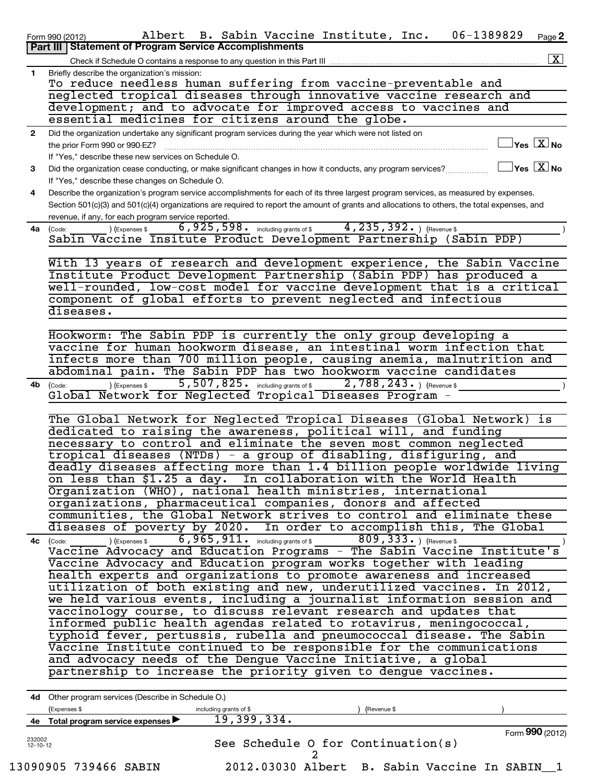|              | 06-1389829<br>Albert B. Sabin Vaccine Institute, Inc.<br>Page 2<br>Form 990 (2012)<br>Part III   Statement of Program Service Accomplishments                                                           |
|--------------|---------------------------------------------------------------------------------------------------------------------------------------------------------------------------------------------------------|
|              | $\boxed{\textbf{X}}$                                                                                                                                                                                    |
|              | Check if Schedule O contains a response to any question in this Part III                                                                                                                                |
| $\mathbf{1}$ | Briefly describe the organization's mission:<br>To reduce needless human suffering from vaccine-preventable and                                                                                         |
|              | neglected tropical diseases through innovative vaccine research and                                                                                                                                     |
|              | development; and to advocate for improved access to vaccines and                                                                                                                                        |
|              | essential medicines for citizens around the globe.                                                                                                                                                      |
| $\mathbf{2}$ | Did the organization undertake any significant program services during the year which were not listed on                                                                                                |
|              | $\sqrt{\ }$ Yes $\boxed{\text{X}}$ No                                                                                                                                                                   |
|              | the prior Form 990 or 990-EZ?<br>and a complete the contract of the complete of the complete of the complete of the complete of the complete of<br>If "Yes," describe these new services on Schedule O. |
| 3            | $\Box$ Yes $\Box X$ No<br>Did the organization cease conducting, or make significant changes in how it conducts, any program services?                                                                  |
|              |                                                                                                                                                                                                         |
| 4            | If "Yes," describe these changes on Schedule O.<br>Describe the organization's program service accomplishments for each of its three largest program services, as measured by expenses.                 |
|              | Section 501(c)(3) and 501(c)(4) organizations are required to report the amount of grants and allocations to others, the total expenses, and                                                            |
|              | revenue, if any, for each program service reported.                                                                                                                                                     |
|              | $4, 235, 392.$ (Revenue \$)<br>$6,925,598.$ including grants of \$<br>4a (Code:<br>(Expenses \$                                                                                                         |
|              | Sabin Vaccine Insitute Product Development Partnership (Sabin PDP)                                                                                                                                      |
|              |                                                                                                                                                                                                         |
|              | With 13 years of research and development experience, the Sabin Vaccine                                                                                                                                 |
|              | Institute Product Development Partnership (Sabin PDP) has produced a                                                                                                                                    |
|              | well-rounded, low-cost model for vaccine development that is a critical                                                                                                                                 |
|              | component of global efforts to prevent neglected and infectious                                                                                                                                         |
|              | diseases.                                                                                                                                                                                               |
|              |                                                                                                                                                                                                         |
|              | Hookworm: The Sabin PDP is currently the only group developing a                                                                                                                                        |
|              | vaccine for human hookworm disease, an intestinal worm infection that                                                                                                                                   |
|              | infects more than 700 million people, causing anemia, malnutrition and                                                                                                                                  |
|              | abdominal pain. The Sabin PDP has two hookworm vaccine candidates                                                                                                                                       |
| 4b           | 5,507,825. including grants of \$2,788,243. ) (Revenue \$<br>(Expenses \$<br>(Code:                                                                                                                     |
|              | Global Network for Neglected Tropical Diseases Program -                                                                                                                                                |
|              |                                                                                                                                                                                                         |
|              | The Global Network for Neglected Tropical Diseases (Global Network) is                                                                                                                                  |
|              | dedicated to raising the awareness, political will, and funding                                                                                                                                         |
|              | necessary to control and eliminate the seven most common neglected                                                                                                                                      |
|              | tropical diseases (NTDs) - a group of disabling, disfiguring, and                                                                                                                                       |
|              | deadly diseases affecting more than 1.4 billion people worldwide living                                                                                                                                 |
|              | on less than \$1.25 a day. In collaboration with the World Health                                                                                                                                       |
|              | Organization (WHO), national health ministries, international                                                                                                                                           |
|              | organizations, pharmaceutical companies, donors and affected                                                                                                                                            |
|              | communities, the Global Network strives to control and eliminate these                                                                                                                                  |
|              | diseases of poverty by 2020. In order to accomplish this, The Global                                                                                                                                    |
|              | $\overline{6}$ , 9 $\overline{6}$ 5, 911. including grants of \$<br>$809, 333.$ ) (Revenue \$<br>(Expenses \$<br>4c (Code:                                                                              |
|              | Vaccine Advocacy and Education Programs - The Sabin Vaccine Institute's                                                                                                                                 |
|              | Vaccine Advocacy and Education program works together with leading                                                                                                                                      |
|              | health experts and organizations to promote awareness and increased                                                                                                                                     |
|              | utilization of both existing and new, underutilized vaccines. In 2012,                                                                                                                                  |
|              | we held various events, including a journalist information session and                                                                                                                                  |
|              | vaccinology course, to discuss relevant research and updates that                                                                                                                                       |
|              | informed public health agendas related to rotavirus, meningococcal,                                                                                                                                     |
|              | typhoid fever, pertussis, rubella and pneumococcal disease. The Sabin                                                                                                                                   |
|              | Vaccine Institute continued to be responsible for the communications                                                                                                                                    |
|              | and advocacy needs of the Dengue Vaccine Initiative, a global                                                                                                                                           |
|              | partnership to increase the priority given to dengue vaccines.                                                                                                                                          |
|              |                                                                                                                                                                                                         |
|              | 4d Other program services (Describe in Schedule O.)                                                                                                                                                     |
|              | (Expenses \$<br>including grants of \$<br>(Revenue \$                                                                                                                                                   |
|              | 19,399,334.<br>4e Total program service expenses                                                                                                                                                        |
|              | Form 990 (2012)                                                                                                                                                                                         |

| 232002<br>$12 - 10 - 12$ |  | See Schedule 0 for Continuation(s)            |  |  | . <u>. .</u> |  |
|--------------------------|--|-----------------------------------------------|--|--|--------------|--|
|                          |  |                                               |  |  |              |  |
| 13090905 739466 SABIN    |  | 2012.03030 Albert B. Sabin Vaccine In SABIN 1 |  |  |              |  |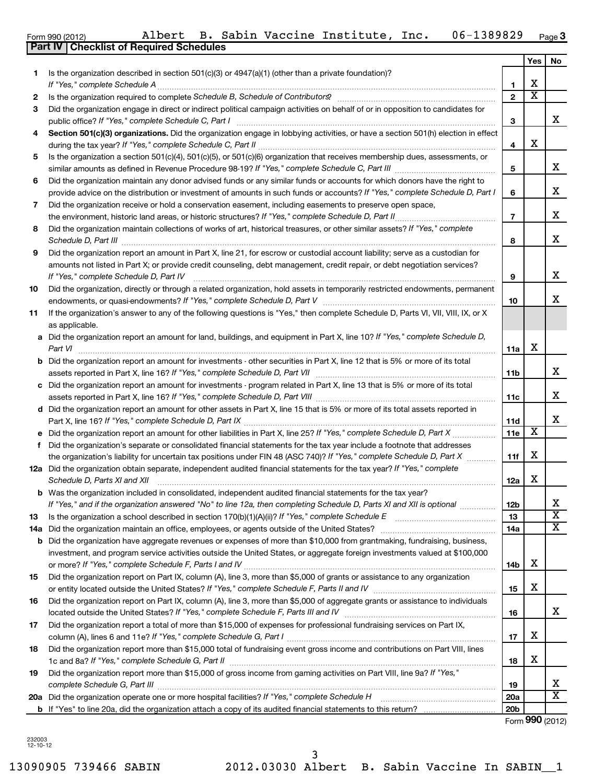13090905 739466 SABIN 2012.03030 Albert B. Sabin Vaccine In SABIN\_\_1 3

Form 990 (2012) Albert B. Sabin Vaccine Institute, Inc. 06-1389829 <sub>Page</sub>

|        | Albert B. Sabin Vaccine Institute, Inc.<br>06-1389829<br>Form 990 (2012)                                                                                                                                                                                                                                 |                     |                         | $Page$ 3                |
|--------|----------------------------------------------------------------------------------------------------------------------------------------------------------------------------------------------------------------------------------------------------------------------------------------------------------|---------------------|-------------------------|-------------------------|
|        | Part IV   Checklist of Required Schedules                                                                                                                                                                                                                                                                |                     |                         |                         |
|        |                                                                                                                                                                                                                                                                                                          |                     | Yes                     | No                      |
| 1      | Is the organization described in section $501(c)(3)$ or $4947(a)(1)$ (other than a private foundation)?                                                                                                                                                                                                  |                     | х                       |                         |
|        | If "Yes," complete Schedule A                                                                                                                                                                                                                                                                            | 1<br>$\overline{2}$ | $\overline{\textbf{x}}$ |                         |
| 2<br>3 | Is the organization required to complete Schedule B, Schedule of Contributors? [111] [12] the organization required to complete Schedule B, Schedule of Contributors?<br>Did the organization engage in direct or indirect political campaign activities on behalf of or in opposition to candidates for |                     |                         |                         |
|        |                                                                                                                                                                                                                                                                                                          | 3                   |                         | x                       |
| 4      | Section 501(c)(3) organizations. Did the organization engage in lobbying activities, or have a section 501(h) election in effect                                                                                                                                                                         |                     |                         |                         |
|        |                                                                                                                                                                                                                                                                                                          | 4                   | х                       |                         |
| 5      | Is the organization a section 501(c)(4), 501(c)(5), or 501(c)(6) organization that receives membership dues, assessments, or                                                                                                                                                                             |                     |                         |                         |
|        |                                                                                                                                                                                                                                                                                                          | 5                   |                         | x                       |
| 6      | Did the organization maintain any donor advised funds or any similar funds or accounts for which donors have the right to                                                                                                                                                                                |                     |                         |                         |
|        | provide advice on the distribution or investment of amounts in such funds or accounts? If "Yes," complete Schedule D, Part I                                                                                                                                                                             | 6                   |                         | x                       |
| 7      | Did the organization receive or hold a conservation easement, including easements to preserve open space,                                                                                                                                                                                                |                     |                         |                         |
|        | the environment, historic land areas, or historic structures? If "Yes," complete Schedule D, Part II                                                                                                                                                                                                     | $\overline{7}$      |                         | x                       |
| 8      | Did the organization maintain collections of works of art, historical treasures, or other similar assets? If "Yes," complete                                                                                                                                                                             |                     |                         |                         |
|        | Schedule D, Part III <b>Marting Community</b> Construction of the United States of the United States of the United States of the United States of the United States of the United States of the United States of the United States                                                                       | 8                   |                         | x                       |
| 9      | Did the organization report an amount in Part X, line 21, for escrow or custodial account liability; serve as a custodian for                                                                                                                                                                            |                     |                         |                         |
|        | amounts not listed in Part X; or provide credit counseling, debt management, credit repair, or debt negotiation services?                                                                                                                                                                                |                     |                         | x                       |
|        | If "Yes," complete Schedule D, Part IV<br>Did the organization, directly or through a related organization, hold assets in temporarily restricted endowments, permanent                                                                                                                                  | 9                   |                         |                         |
| 10     |                                                                                                                                                                                                                                                                                                          | 10                  |                         | х                       |
| 11     | If the organization's answer to any of the following questions is "Yes," then complete Schedule D, Parts VI, VII, VIII, IX, or X                                                                                                                                                                         |                     |                         |                         |
|        | as applicable.                                                                                                                                                                                                                                                                                           |                     |                         |                         |
|        | a Did the organization report an amount for land, buildings, and equipment in Part X, line 10? If "Yes," complete Schedule D,                                                                                                                                                                            |                     |                         |                         |
|        | Part VI                                                                                                                                                                                                                                                                                                  | 11a                 | X                       |                         |
|        | <b>b</b> Did the organization report an amount for investments - other securities in Part X, line 12 that is 5% or more of its total                                                                                                                                                                     |                     |                         |                         |
|        |                                                                                                                                                                                                                                                                                                          | 11b                 |                         | x                       |
|        | c Did the organization report an amount for investments - program related in Part X, line 13 that is 5% or more of its total                                                                                                                                                                             |                     |                         |                         |
|        |                                                                                                                                                                                                                                                                                                          | 11c                 |                         | x                       |
|        | d Did the organization report an amount for other assets in Part X, line 15 that is 5% or more of its total assets reported in                                                                                                                                                                           |                     |                         |                         |
|        |                                                                                                                                                                                                                                                                                                          | 11d                 |                         | х                       |
|        | e Did the organization report an amount for other liabilities in Part X, line 25? If "Yes," complete Schedule D, Part X                                                                                                                                                                                  | 11e                 | х                       |                         |
| f      | Did the organization's separate or consolidated financial statements for the tax year include a footnote that addresses                                                                                                                                                                                  |                     | X                       |                         |
|        | the organization's liability for uncertain tax positions under FIN 48 (ASC 740)? If "Yes," complete Schedule D, Part X                                                                                                                                                                                   | 11f                 |                         |                         |
|        | 12a Did the organization obtain separate, independent audited financial statements for the tax year? If "Yes," complete<br>Schedule D, Parts XI and XII                                                                                                                                                  |                     | X                       |                         |
|        | <b>b</b> Was the organization included in consolidated, independent audited financial statements for the tax year?                                                                                                                                                                                       | 12a                 |                         |                         |
|        | If "Yes," and if the organization answered "No" to line 12a, then completing Schedule D, Parts XI and XII is optional <i>www.www</i>                                                                                                                                                                     | 12 <sub>b</sub>     |                         | х                       |
| 13     |                                                                                                                                                                                                                                                                                                          | 13                  |                         | $\overline{\textbf{x}}$ |
| 14a    | Did the organization maintain an office, employees, or agents outside of the United States?                                                                                                                                                                                                              | 14a                 |                         | X                       |
| b      | Did the organization have aggregate revenues or expenses of more than \$10,000 from grantmaking, fundraising, business,                                                                                                                                                                                  |                     |                         |                         |
|        | investment, and program service activities outside the United States, or aggregate foreign investments valued at \$100,000                                                                                                                                                                               |                     |                         |                         |
|        |                                                                                                                                                                                                                                                                                                          | 14b                 | x                       |                         |
| 15     | Did the organization report on Part IX, column (A), line 3, more than \$5,000 of grants or assistance to any organization                                                                                                                                                                                |                     |                         |                         |
|        |                                                                                                                                                                                                                                                                                                          | 15                  | х                       |                         |
| 16     | Did the organization report on Part IX, column (A), line 3, more than \$5,000 of aggregate grants or assistance to individuals                                                                                                                                                                           |                     |                         |                         |
|        |                                                                                                                                                                                                                                                                                                          | 16                  |                         | x                       |
| 17     | Did the organization report a total of more than \$15,000 of expenses for professional fundraising services on Part IX,                                                                                                                                                                                  |                     |                         |                         |
|        |                                                                                                                                                                                                                                                                                                          | 17                  | х                       |                         |
| 18     | Did the organization report more than \$15,000 total of fundraising event gross income and contributions on Part VIII, lines                                                                                                                                                                             |                     | х                       |                         |
|        | 1c and 8a? If "Yes," complete Schedule G, Part II<br>Did the organization report more than \$15,000 of gross income from gaming activities on Part VIII, line 9a? If "Yes,"                                                                                                                              | 18                  |                         |                         |
| 19     | complete Schedule G, Part III                                                                                                                                                                                                                                                                            | 19                  |                         | х                       |
|        |                                                                                                                                                                                                                                                                                                          | <b>20a</b>          |                         | $\overline{\textbf{X}}$ |
|        |                                                                                                                                                                                                                                                                                                          | 20 <sub>b</sub>     |                         |                         |

Form (2012) **990**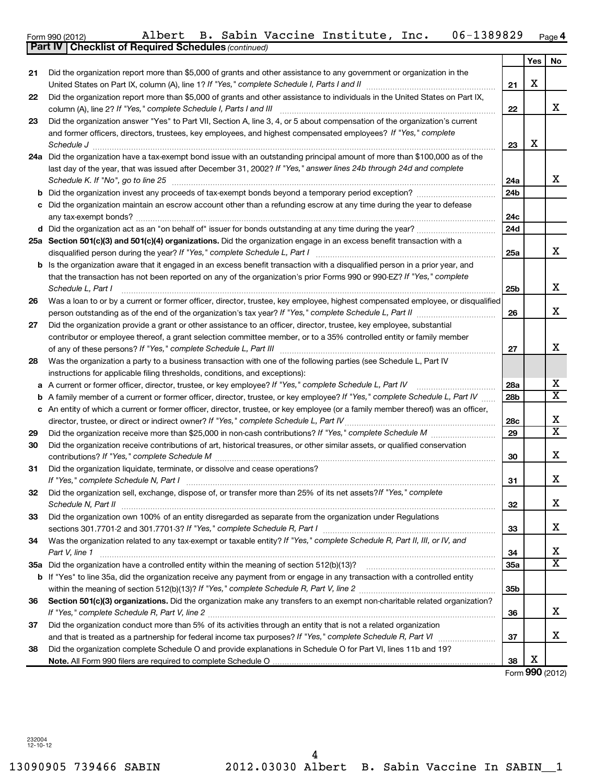|     | <b>Part IV   Checklist of Required Schedules (continued)</b>                                                                                                                        |                 |     |                         |
|-----|-------------------------------------------------------------------------------------------------------------------------------------------------------------------------------------|-----------------|-----|-------------------------|
|     |                                                                                                                                                                                     |                 | Yes | No                      |
| 21  | Did the organization report more than \$5,000 of grants and other assistance to any government or organization in the                                                               |                 |     |                         |
|     |                                                                                                                                                                                     | 21              | x   |                         |
| 22  | Did the organization report more than \$5,000 of grants and other assistance to individuals in the United States on Part IX,                                                        |                 |     |                         |
|     | column (A), line 2? If "Yes," complete Schedule I, Parts I and III                                                                                                                  | 22              |     | X.                      |
| 23  | Did the organization answer "Yes" to Part VII, Section A, line 3, 4, or 5 about compensation of the organization's current                                                          |                 |     |                         |
|     | and former officers, directors, trustees, key employees, and highest compensated employees? If "Yes," complete                                                                      |                 |     |                         |
|     | Schedule J                                                                                                                                                                          | 23              | x   |                         |
| 24a | Did the organization have a tax-exempt bond issue with an outstanding principal amount of more than \$100,000 as of the                                                             |                 |     |                         |
|     | last day of the year, that was issued after December 31, 2002? If "Yes," answer lines 24b through 24d and complete                                                                  |                 |     |                         |
|     | Schedule K. If "No", go to line 25                                                                                                                                                  | 24a             |     | X.                      |
| b   |                                                                                                                                                                                     | 24 <sub>b</sub> |     |                         |
|     | Did the organization maintain an escrow account other than a refunding escrow at any time during the year to defease                                                                |                 |     |                         |
|     |                                                                                                                                                                                     | 24c             |     |                         |
|     |                                                                                                                                                                                     | 24d             |     |                         |
|     | 25a Section 501(c)(3) and 501(c)(4) organizations. Did the organization engage in an excess benefit transaction with a                                                              |                 |     |                         |
|     | disqualified person during the year? If "Yes," complete Schedule L, Part I                                                                                                          | 25a             |     | x                       |
| b   | Is the organization aware that it engaged in an excess benefit transaction with a disqualified person in a prior year, and                                                          |                 |     |                         |
|     | that the transaction has not been reported on any of the organization's prior Forms 990 or 990-EZ? If "Yes," complete                                                               |                 |     |                         |
|     | Schedule L, Part I                                                                                                                                                                  | 25b             |     | x                       |
| 26  | Was a loan to or by a current or former officer, director, trustee, key employee, highest compensated employee, or disqualified                                                     |                 |     |                         |
|     |                                                                                                                                                                                     | 26              |     | x                       |
| 27  | Did the organization provide a grant or other assistance to an officer, director, trustee, key employee, substantial                                                                |                 |     |                         |
|     | contributor or employee thereof, a grant selection committee member, or to a 35% controlled entity or family member                                                                 |                 |     |                         |
|     | of any of these persons? If "Yes," complete Schedule L, Part III                                                                                                                    | 27              |     | x                       |
| 28  | Was the organization a party to a business transaction with one of the following parties (see Schedule L, Part IV                                                                   |                 |     |                         |
|     | instructions for applicable filing thresholds, conditions, and exceptions):                                                                                                         |                 |     |                         |
| а   | A current or former officer, director, trustee, or key employee? If "Yes," complete Schedule L, Part IV                                                                             | 28a             |     | x                       |
| b   | A family member of a current or former officer, director, trustee, or key employee? If "Yes," complete Schedule L, Part IV                                                          | 28 <sub>b</sub> |     | $\overline{\mathbf{x}}$ |
| с   | An entity of which a current or former officer, director, trustee, or key employee (or a family member thereof) was an officer,                                                     |                 |     |                         |
|     | director, trustee, or direct or indirect owner? If "Yes," complete Schedule L, Part IV                                                                                              | 28c             |     | x                       |
| 29  |                                                                                                                                                                                     | 29              |     | $\overline{\mathtt{x}}$ |
| 30  | Did the organization receive contributions of art, historical treasures, or other similar assets, or qualified conservation                                                         |                 |     |                         |
|     | contributions? If "Yes," complete Schedule M                                                                                                                                        | 30              |     | x                       |
| 31  | Did the organization liquidate, terminate, or dissolve and cease operations?                                                                                                        |                 |     |                         |
|     | If "Yes," complete Schedule N, Part I                                                                                                                                               | 31              |     | X.                      |
| 32  | Did the organization sell, exchange, dispose of, or transfer more than 25% of its net assets? If "Yes," complete                                                                    |                 |     |                         |
|     | Schedule N, Part II                                                                                                                                                                 | 32              |     | X                       |
| 33  | Did the organization own 100% of an entity disregarded as separate from the organization under Regulations                                                                          |                 |     |                         |
|     | sections 301.7701-2 and 301.7701-3? If "Yes," complete Schedule R, Part I [111] [11] manument content and sections 301.7701-2 and 301.7701-3? If "Yes," complete Schedule R, Part I | 33              |     | X.                      |
| 34  | Was the organization related to any tax-exempt or taxable entity? If "Yes," complete Schedule R, Part II, III, or IV, and                                                           |                 |     |                         |
|     | Part V, line 1                                                                                                                                                                      | 34              |     | x                       |
|     |                                                                                                                                                                                     | 35a             |     | $\overline{\mathbf{x}}$ |
|     | b If "Yes" to line 35a, did the organization receive any payment from or engage in any transaction with a controlled entity                                                         |                 |     |                         |
|     |                                                                                                                                                                                     | 35b             |     |                         |
| 36  | Section 501(c)(3) organizations. Did the organization make any transfers to an exempt non-charitable related organization?                                                          |                 |     |                         |
|     |                                                                                                                                                                                     | 36              |     | X.                      |
| 37  | Did the organization conduct more than 5% of its activities through an entity that is not a related organization                                                                    |                 |     |                         |
|     | and that is treated as a partnership for federal income tax purposes? If "Yes," complete Schedule R, Part VI mummum                                                                 | 37              |     | x                       |
| 38  | Did the organization complete Schedule O and provide explanations in Schedule O for Part VI, lines 11b and 19?                                                                      |                 |     |                         |
|     |                                                                                                                                                                                     | 38              | х   |                         |
|     |                                                                                                                                                                                     |                 |     | Form 990 (2012)         |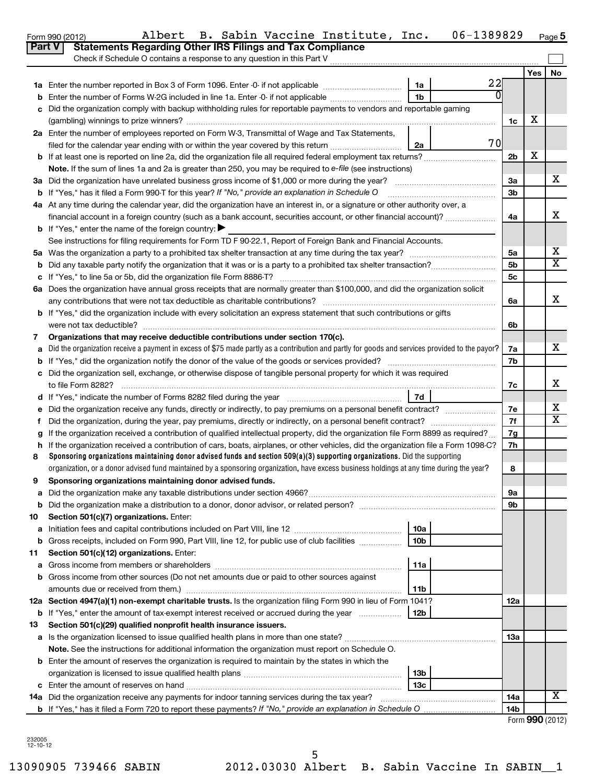| orm 990 (2012) |                                                                    | Albert | B. Sabin Vaccine Instit |  |  |
|----------------|--------------------------------------------------------------------|--------|-------------------------|--|--|
|                | Part V   Statements Regarding Other IRS Filings and Tax Compliance |        |                         |  |  |

#### $_{\rm Form}$ 990 (2012) Albert B. Sabin Vaccine Institute, Inc. <code>Ub-l3898</code>29  $_{\rm Page}$ Albert B. Sabin Vaccine Institute, Inc. 06-1389829

|                                                                                                                                                      | Check if Schedule O contains a response to any question in this Part V                                                                                |                 |    |                |       |    |  |  |  |
|------------------------------------------------------------------------------------------------------------------------------------------------------|-------------------------------------------------------------------------------------------------------------------------------------------------------|-----------------|----|----------------|-------|----|--|--|--|
|                                                                                                                                                      |                                                                                                                                                       |                 |    |                | Yes l | No |  |  |  |
|                                                                                                                                                      | 1a Enter the number reported in Box 3 of Form 1096. Enter -0- if not applicable                                                                       | 1a              | 22 |                |       |    |  |  |  |
| b                                                                                                                                                    | Enter the number of Forms W-2G included in line 1a. Enter -0- if not applicable                                                                       | 1 <sub>b</sub>  | 0  |                |       |    |  |  |  |
| c                                                                                                                                                    | Did the organization comply with backup withholding rules for reportable payments to vendors and reportable gaming                                    |                 |    |                |       |    |  |  |  |
|                                                                                                                                                      |                                                                                                                                                       |                 |    | 1c             | x     |    |  |  |  |
|                                                                                                                                                      | 2a Enter the number of employees reported on Form W-3, Transmittal of Wage and Tax Statements,                                                        |                 |    |                |       |    |  |  |  |
|                                                                                                                                                      | 70<br>filed for the calendar year ending with or within the year covered by this return <i>manumumumum</i><br>2a                                      |                 |    |                |       |    |  |  |  |
|                                                                                                                                                      |                                                                                                                                                       |                 |    |                |       |    |  |  |  |
|                                                                                                                                                      | Note. If the sum of lines 1a and 2a is greater than 250, you may be required to $e$ -file (see instructions)                                          |                 |    |                |       |    |  |  |  |
|                                                                                                                                                      |                                                                                                                                                       |                 |    | За             |       | x  |  |  |  |
|                                                                                                                                                      | <b>b</b> If "Yes," has it filed a Form 990-T for this year? If "No," provide an explanation in Schedule O                                             |                 |    | 3 <sub>b</sub> |       |    |  |  |  |
|                                                                                                                                                      | 4a At any time during the calendar year, did the organization have an interest in, or a signature or other authority over, a                          |                 |    |                |       |    |  |  |  |
|                                                                                                                                                      | financial account in a foreign country (such as a bank account, securities account, or other financial account)?                                      |                 |    | 4a             |       | x  |  |  |  |
|                                                                                                                                                      | <b>b</b> If "Yes," enter the name of the foreign country:                                                                                             |                 |    |                |       |    |  |  |  |
|                                                                                                                                                      | See instructions for filing requirements for Form TD F 90-22.1, Report of Foreign Bank and Financial Accounts.                                        |                 |    |                |       |    |  |  |  |
|                                                                                                                                                      |                                                                                                                                                       |                 |    | 5a             |       | х  |  |  |  |
|                                                                                                                                                      |                                                                                                                                                       |                 |    | 5 <sub>b</sub> |       | X  |  |  |  |
|                                                                                                                                                      |                                                                                                                                                       |                 |    | 5c             |       |    |  |  |  |
|                                                                                                                                                      | 6a Does the organization have annual gross receipts that are normally greater than \$100,000, and did the organization solicit                        |                 |    |                |       |    |  |  |  |
|                                                                                                                                                      | any contributions that were not tax deductible as charitable contributions?                                                                           |                 |    | 6a             |       | х  |  |  |  |
|                                                                                                                                                      | <b>b</b> If "Yes," did the organization include with every solicitation an express statement that such contributions or gifts                         |                 |    |                |       |    |  |  |  |
|                                                                                                                                                      | were not tax deductible?                                                                                                                              |                 |    | 6b             |       |    |  |  |  |
| 7                                                                                                                                                    | Organizations that may receive deductible contributions under section 170(c).                                                                         |                 |    | 7a             |       | x  |  |  |  |
| Did the organization receive a payment in excess of \$75 made partly as a contribution and partly for goods and services provided to the payor?<br>a |                                                                                                                                                       |                 |    |                |       |    |  |  |  |
| b                                                                                                                                                    | c Did the organization sell, exchange, or otherwise dispose of tangible personal property for which it was required                                   |                 |    | 7b             |       |    |  |  |  |
|                                                                                                                                                      | to file Form 8282?                                                                                                                                    |                 |    |                |       |    |  |  |  |
|                                                                                                                                                      |                                                                                                                                                       | 7d              |    | 7c             |       | x  |  |  |  |
| е                                                                                                                                                    |                                                                                                                                                       |                 |    | 7e             |       | х  |  |  |  |
| f                                                                                                                                                    |                                                                                                                                                       |                 |    | 7f             |       | X  |  |  |  |
| a                                                                                                                                                    | If the organization received a contribution of qualified intellectual property, did the organization file Form 8899 as required?                      |                 |    | 7g             |       |    |  |  |  |
| h                                                                                                                                                    | If the organization received a contribution of cars, boats, airplanes, or other vehicles, did the organization file a Form 1098-C?                    |                 |    | 7h             |       |    |  |  |  |
| 8                                                                                                                                                    | Sponsoring organizations maintaining donor advised funds and section $509(a)(3)$ supporting organizations. Did the supporting                         |                 |    |                |       |    |  |  |  |
|                                                                                                                                                      | organization, or a donor advised fund maintained by a sponsoring organization, have excess business holdings at any time during the year?             |                 |    | 8              |       |    |  |  |  |
| 9                                                                                                                                                    | Sponsoring organizations maintaining donor advised funds.                                                                                             |                 |    |                |       |    |  |  |  |
|                                                                                                                                                      |                                                                                                                                                       |                 |    | 9a             |       |    |  |  |  |
| b                                                                                                                                                    |                                                                                                                                                       |                 |    | 9b             |       |    |  |  |  |
| 10                                                                                                                                                   | Section 501(c)(7) organizations. Enter:                                                                                                               |                 |    |                |       |    |  |  |  |
| а                                                                                                                                                    | Initiation fees and capital contributions included on Part VIII, line 12                                                                              | 10a             |    |                |       |    |  |  |  |
| b                                                                                                                                                    | Gross receipts, included on Form 990, Part VIII, line 12, for public use of club facilities                                                           | 10 <sub>b</sub> |    |                |       |    |  |  |  |
| 11                                                                                                                                                   | Section 501(c)(12) organizations. Enter:                                                                                                              |                 |    |                |       |    |  |  |  |
| а                                                                                                                                                    |                                                                                                                                                       | 11a             |    |                |       |    |  |  |  |
| b                                                                                                                                                    | Gross income from other sources (Do not net amounts due or paid to other sources against                                                              |                 |    |                |       |    |  |  |  |
|                                                                                                                                                      | amounts due or received from them.)<br>12a Section 4947(a)(1) non-exempt charitable trusts. Is the organization filing Form 990 in lieu of Form 1041? | 11b             |    | 12a            |       |    |  |  |  |
|                                                                                                                                                      | <b>b</b> If "Yes," enter the amount of tax-exempt interest received or accrued during the year                                                        | 12b             |    |                |       |    |  |  |  |
| 13                                                                                                                                                   | Section 501(c)(29) qualified nonprofit health insurance issuers.                                                                                      |                 |    |                |       |    |  |  |  |
|                                                                                                                                                      |                                                                                                                                                       |                 |    | 13a            |       |    |  |  |  |
|                                                                                                                                                      | Note. See the instructions for additional information the organization must report on Schedule O.                                                     |                 |    |                |       |    |  |  |  |
|                                                                                                                                                      | <b>b</b> Enter the amount of reserves the organization is required to maintain by the states in which the                                             |                 |    |                |       |    |  |  |  |
|                                                                                                                                                      |                                                                                                                                                       | 13b             |    |                |       |    |  |  |  |
|                                                                                                                                                      |                                                                                                                                                       | 13c             |    |                |       |    |  |  |  |
|                                                                                                                                                      | 14a Did the organization receive any payments for indoor tanning services during the tax year?                                                        |                 |    | 14a            |       | x  |  |  |  |
|                                                                                                                                                      |                                                                                                                                                       |                 |    | 14b            |       |    |  |  |  |

Form **990** (2012)

232005 12-10-12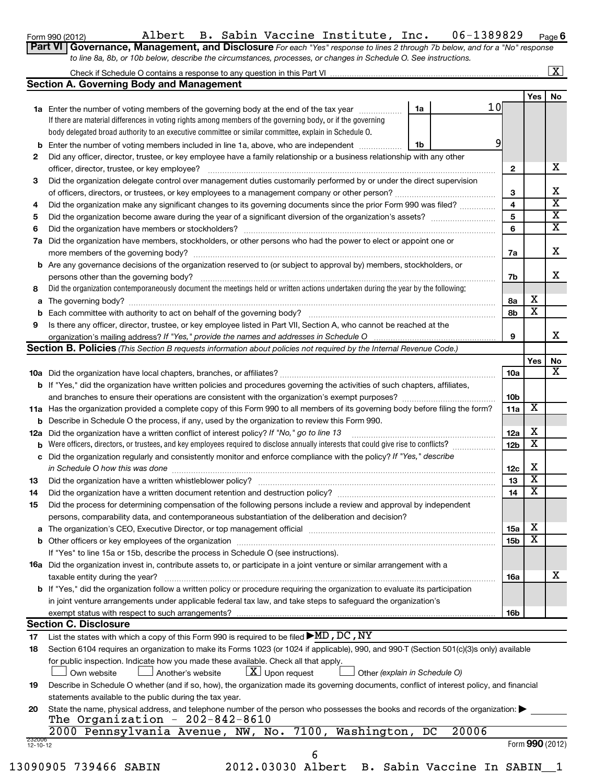**6**

| Form 990 (2012) |                                                                                                                  |  |  |  |  | Albert B. Sabin Vaccine Institute, Inc. |  | 06-1389829                                                                                                                  | Page |
|-----------------|------------------------------------------------------------------------------------------------------------------|--|--|--|--|-----------------------------------------|--|-----------------------------------------------------------------------------------------------------------------------------|------|
|                 |                                                                                                                  |  |  |  |  |                                         |  | Part VI Governance, Management, and Disclosure For each "Yes" response to lines 2 through 7b below, and for a "No" response |      |
|                 | to line 8a, 8b, or 10b below, describe the circumstances, processes, or changes in Schedule O. See instructions. |  |  |  |  |                                         |  |                                                                                                                             |      |
|                 |                                                                                                                  |  |  |  |  |                                         |  |                                                                                                                             |      |

# Check if Schedule O contains a response to any question in this Part VI

|--|--|

|                    | <b>Section A. Governing Body and Management</b>                                                                                            |    |             |                 |     |                         |  |  |
|--------------------|--------------------------------------------------------------------------------------------------------------------------------------------|----|-------------|-----------------|-----|-------------------------|--|--|
|                    |                                                                                                                                            |    |             |                 | Yes | No                      |  |  |
|                    | 1a Enter the number of voting members of the governing body at the end of the tax year                                                     | 1a | 10          |                 |     |                         |  |  |
|                    | If there are material differences in voting rights among members of the governing body, or if the governing                                |    |             |                 |     |                         |  |  |
|                    | body delegated broad authority to an executive committee or similar committee, explain in Schedule O.                                      |    |             |                 |     |                         |  |  |
| b                  | Enter the number of voting members included in line 1a, above, who are independent                                                         | 1b |             | 9               |     |                         |  |  |
| 2                  | Did any officer, director, trustee, or key employee have a family relationship or a business relationship with any other                   |    |             |                 |     |                         |  |  |
|                    | officer, director, trustee, or key employee?                                                                                               |    | .           | 2               |     | x                       |  |  |
| 3                  | Did the organization delegate control over management duties customarily performed by or under the direct supervision                      |    |             |                 |     |                         |  |  |
|                    |                                                                                                                                            |    |             | 3               |     | x                       |  |  |
| 4                  | Did the organization make any significant changes to its governing documents since the prior Form 990 was filed?                           |    |             | 4               |     | $\overline{\text{x}}$   |  |  |
| 5                  |                                                                                                                                            |    |             | 5               |     | X                       |  |  |
| 6                  |                                                                                                                                            |    |             | 6               |     | $\overline{\mathbf{X}}$ |  |  |
| 7а                 | Did the organization have members, stockholders, or other persons who had the power to elect or appoint one or                             |    |             |                 |     |                         |  |  |
|                    |                                                                                                                                            |    |             | 7a              |     | х                       |  |  |
|                    | <b>b</b> Are any governance decisions of the organization reserved to (or subject to approval by) members, stockholders, or                |    |             |                 |     |                         |  |  |
|                    | persons other than the governing body?                                                                                                     |    |             | 7b              |     | x                       |  |  |
| 8                  | Did the organization contemporaneously document the meetings held or written actions undertaken during the year by the following:          |    |             |                 |     |                         |  |  |
| а                  |                                                                                                                                            |    |             | 8а              | х   |                         |  |  |
| b                  |                                                                                                                                            |    |             | 8b              | X   |                         |  |  |
| 9                  | Is there any officer, director, trustee, or key employee listed in Part VII, Section A, who cannot be reached at the                       |    |             |                 |     |                         |  |  |
|                    |                                                                                                                                            |    |             | 9               |     | x                       |  |  |
|                    | <b>Section B. Policies</b> (This Section B requests information about policies not required by the Internal Revenue Code.)                 |    |             |                 |     |                         |  |  |
|                    |                                                                                                                                            |    |             |                 | Yes | No                      |  |  |
|                    |                                                                                                                                            |    |             | 10a             |     | х                       |  |  |
|                    | <b>b</b> If "Yes," did the organization have written policies and procedures governing the activities of such chapters, affiliates,        |    |             |                 |     |                         |  |  |
|                    |                                                                                                                                            |    |             | 10 <sub>b</sub> | х   |                         |  |  |
|                    | 11a Has the organization provided a complete copy of this Form 990 to all members of its governing body before filing the form?            |    |             |                 |     |                         |  |  |
|                    | <b>b</b> Describe in Schedule O the process, if any, used by the organization to review this Form 990.                                     |    |             |                 |     |                         |  |  |
| 12a                | Did the organization have a written conflict of interest policy? If "No," go to line 13                                                    |    |             |                 |     |                         |  |  |
| b                  | Were officers, directors, or trustees, and key employees required to disclose annually interests that could give rise to conflicts?        |    |             |                 |     |                         |  |  |
| с                  | Did the organization regularly and consistently monitor and enforce compliance with the policy? If "Yes," describe                         |    |             |                 |     |                         |  |  |
|                    | in Schedule O how this was done                                                                                                            |    |             | 12c             | х   |                         |  |  |
| 13                 |                                                                                                                                            |    |             | 13              | х   |                         |  |  |
| 14                 |                                                                                                                                            |    |             | 14              | х   |                         |  |  |
| 15                 | Did the process for determining compensation of the following persons include a review and approval by independent                         |    |             |                 |     |                         |  |  |
|                    | persons, comparability data, and contemporaneous substantiation of the deliberation and decision?                                          |    |             |                 |     |                         |  |  |
|                    |                                                                                                                                            |    |             | 15a             | Χ   |                         |  |  |
|                    | <b>b</b> Other officers or key employees of the organization                                                                               |    |             | 15b             | X   |                         |  |  |
|                    | If "Yes" to line 15a or 15b, describe the process in Schedule O (see instructions).                                                        |    |             |                 |     |                         |  |  |
|                    | <b>16a</b> Did the organization invest in, contribute assets to, or participate in a joint venture or similar arrangement with a           |    |             |                 |     |                         |  |  |
|                    | taxable entity during the year?                                                                                                            |    |             | 16a             |     | х                       |  |  |
|                    | b If "Yes," did the organization follow a written policy or procedure requiring the organization to evaluate its participation             |    |             |                 |     |                         |  |  |
|                    | in joint venture arrangements under applicable federal tax law, and take steps to safequard the organization's                             |    |             |                 |     |                         |  |  |
|                    | exempt status with respect to such arrangements?                                                                                           |    |             | 16b             |     |                         |  |  |
|                    | <b>Section C. Disclosure</b>                                                                                                               |    |             |                 |     |                         |  |  |
| 17                 | List the states with which a copy of this Form 990 is required to be filed $\blacktriangleright$ MD, DC, NY                                |    |             |                 |     |                         |  |  |
| 18                 | Section 6104 requires an organization to make its Forms 1023 (or 1024 if applicable), 990, and 990-T (Section 501(c)(3)s only) available   |    |             |                 |     |                         |  |  |
|                    | for public inspection. Indicate how you made these available. Check all that apply.                                                        |    |             |                 |     |                         |  |  |
|                    | $\lfloor \underline{X} \rfloor$ Upon request<br>Another's website<br>Other (explain in Schedule O)<br>Own website                          |    |             |                 |     |                         |  |  |
| 19                 | Describe in Schedule O whether (and if so, how), the organization made its governing documents, conflict of interest policy, and financial |    |             |                 |     |                         |  |  |
|                    | statements available to the public during the tax year.                                                                                    |    |             |                 |     |                         |  |  |
| 20                 | State the name, physical address, and telephone number of the person who possesses the books and records of the organization:              |    |             |                 |     |                         |  |  |
|                    | The Organization - $202-842-8610$                                                                                                          |    |             |                 |     |                         |  |  |
|                    | 2000 Pennsylvania Avenue, NW, No. 7100, Washington,                                                                                        |    | 20006<br>DC |                 |     |                         |  |  |
| 232006<br>12-10-12 |                                                                                                                                            |    |             |                 |     | Form 990 (2012)         |  |  |
|                    | 6                                                                                                                                          |    |             |                 |     |                         |  |  |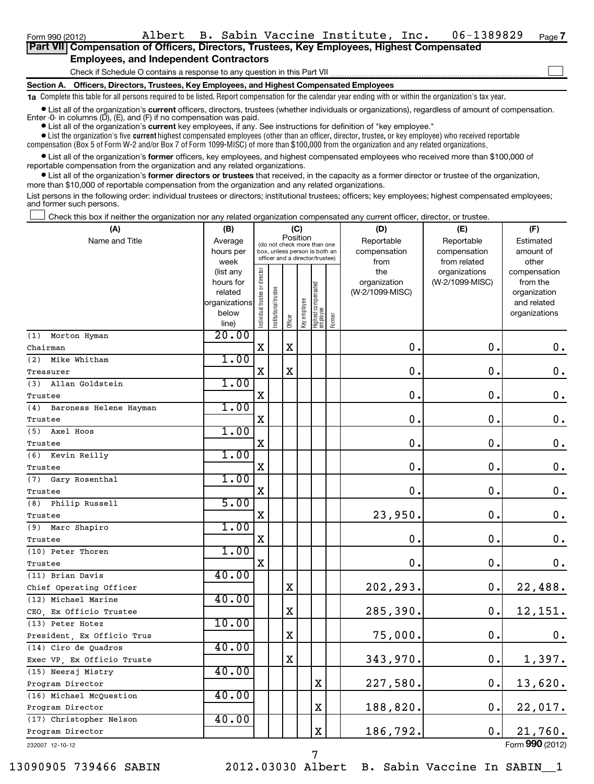| Part VII Compensation of Officers, Directors, Trustees, Key Employees, Highest Compensated |  |  |  |  |  |  |  |  |
|--------------------------------------------------------------------------------------------|--|--|--|--|--|--|--|--|
| <b>Employees, and Independent Contractors</b>                                              |  |  |  |  |  |  |  |  |
| Check if Schedule O contains a response to any question in this Part VII                   |  |  |  |  |  |  |  |  |

**Section A. Officers, Directors, Trustees, Key Employees, and Highest Compensated Employees**

**1a**  Complete this table for all persons required to be listed. Report compensation for the calendar year ending with or within the organization's tax year.

**•** List all of the organization's current officers, directors, trustees (whether individuals or organizations), regardless of amount of compensation. Enter -0- in columns  $(D)$ ,  $(E)$ , and  $(F)$  if no compensation was paid.

**•** List all of the organization's **current** key employees, if any. See instructions for definition of "key employee."

 $\bullet$  List the organization's five  $\tt current$  highest compensated employees (other than an officer, director, trustee, or key employee) who received reportable compensation (Box 5 of Form W-2 and/or Box 7 of Form 1099-MISC) of more than \$100,000 from the organization and any related organizations .

 $\bullet$  List all of the organization's former officers, key employees, and highest compensated employees who received more than \$100,000 of reportable compensation from the organization and any related organizations.

**•** List all of the organization's former directors or trustees that received, in the capacity as a former director or trustee of the organization, more than \$10,000 of reportable compensation from the organization and any related organizations.

List persons in the following order: individual trustees or directors; institutional trustees; officers; key employees; highest compensated employees; and former such persons.

Check this box if neither the organization nor any related organization compensated any current officer, director, or trustee.  $\left\vert \cdot\right\vert$ 

| (A)                        | (B)                    |                                |                       |             | (C)          |                                                                  |        | (D)             | (E)                              | (F)                      |
|----------------------------|------------------------|--------------------------------|-----------------------|-------------|--------------|------------------------------------------------------------------|--------|-----------------|----------------------------------|--------------------------|
| Name and Title             | Average                |                                |                       | Position    |              | (do not check more than one                                      |        | Reportable      | Reportable                       | Estimated                |
|                            | hours per              |                                |                       |             |              | box, unless person is both an<br>officer and a director/trustee) |        | compensation    | compensation                     | amount of                |
|                            | week                   |                                |                       |             |              |                                                                  |        | from<br>the     | from related                     | other                    |
|                            | (list any<br>hours for |                                |                       |             |              |                                                                  |        | organization    | organizations<br>(W-2/1099-MISC) | compensation<br>from the |
|                            | related                |                                |                       |             |              |                                                                  |        | (W-2/1099-MISC) |                                  | organization             |
|                            | organizations          |                                |                       |             |              |                                                                  |        |                 |                                  | and related              |
|                            | below                  | Individual trustee or director | Institutional trustee |             | Key employee | Highest compensated<br>  employee                                | Former |                 |                                  | organizations            |
|                            | line)                  |                                |                       | Officer     |              |                                                                  |        |                 |                                  |                          |
| Morton Hyman<br>(1)        | 20.00                  |                                |                       |             |              |                                                                  |        |                 |                                  |                          |
| Chairman                   |                        | $\mathbf X$                    |                       | X           |              |                                                                  |        | $\mathbf 0$ .   | $\mathbf 0$ .                    | 0.                       |
| (2) Mike Whitham           | 1.00                   |                                |                       |             |              |                                                                  |        |                 |                                  |                          |
| Treasurer                  |                        | X                              |                       | $\mathbf X$ |              |                                                                  |        | $\mathbf 0$ .   | 0.                               | $\mathbf 0$ .            |
| (3) Allan Goldstein        | 1.00                   |                                |                       |             |              |                                                                  |        |                 |                                  |                          |
| Trustee                    |                        | X                              |                       |             |              |                                                                  |        | $\mathbf 0$ .   | $\mathbf 0$ .                    | $\mathbf 0$ .            |
| (4) Baroness Helene Hayman | 1.00                   |                                |                       |             |              |                                                                  |        |                 |                                  |                          |
| Trustee                    |                        | $\mathbf X$                    |                       |             |              |                                                                  |        | $\mathbf 0$ .   | $\mathbf 0$ .                    | $\mathbf 0$ .            |
| (5) Axel Hoos              | 1.00                   |                                |                       |             |              |                                                                  |        |                 |                                  |                          |
| Trustee                    |                        | $\mathbf X$                    |                       |             |              |                                                                  |        | $\mathbf 0$     | $\mathbf 0$ .                    | $\mathbf 0$ .            |
| (6) Kevin Reilly           | 1.00                   |                                |                       |             |              |                                                                  |        |                 |                                  |                          |
| Trustee                    |                        | X                              |                       |             |              |                                                                  |        | $\mathbf 0$     | $\mathbf 0$                      | $\mathbf 0$ .            |
| (7) Gary Rosenthal         | 1.00                   |                                |                       |             |              |                                                                  |        |                 |                                  |                          |
| Trustee                    |                        | $\mathbf X$                    |                       |             |              |                                                                  |        | $\mathbf 0$ .   | $\mathbf 0$                      | $\mathbf 0$ .            |
| (8) Philip Russell         | 5.00                   |                                |                       |             |              |                                                                  |        |                 |                                  |                          |
| Trustee                    |                        | х                              |                       |             |              |                                                                  |        | 23,950.         | $\mathbf 0$ .                    | $\mathbf 0$ .            |
| (9) Marc Shapiro           | 1.00                   |                                |                       |             |              |                                                                  |        |                 |                                  |                          |
| Trustee                    |                        | $\mathbf X$                    |                       |             |              |                                                                  |        | $\mathbf 0$     | $\mathbf 0$ .                    | $\mathbf 0$ .            |
| (10) Peter Thoren          | 1.00                   |                                |                       |             |              |                                                                  |        |                 |                                  |                          |
| Trustee                    |                        | х                              |                       |             |              |                                                                  |        | 0.              | 0.                               | 0.                       |
| (11) Brian Davis           | 40.00                  |                                |                       |             |              |                                                                  |        |                 |                                  |                          |
| Chief Operating Officer    |                        |                                |                       | X           |              |                                                                  |        | 202,293.        | 0.                               | 22,488.                  |
| (12) Michael Marine        | 40.00                  |                                |                       |             |              |                                                                  |        |                 |                                  |                          |
| CEO, Ex Officio Trustee    |                        |                                |                       | $\mathbf X$ |              |                                                                  |        | 285,390.        | $\mathbf 0$ .                    | 12,151.                  |
| (13) Peter Hotez           | 10.00                  |                                |                       |             |              |                                                                  |        |                 |                                  |                          |
| President, Ex Officio Trus |                        |                                |                       | $\mathbf X$ |              |                                                                  |        | 75,000.         | $\mathbf 0$ .                    | 0.                       |
| (14) Ciro de Quadros       | 40.00                  |                                |                       |             |              |                                                                  |        |                 |                                  |                          |
| Exec VP, Ex Officio Truste |                        |                                |                       | $\mathbf X$ |              |                                                                  |        | 343,970.        | $\mathbf 0$ .                    | 1,397.                   |
| (15) Neeraj Mistry         | 40.00                  |                                |                       |             |              |                                                                  |        |                 |                                  |                          |
| Program Director           |                        |                                |                       |             |              | $\mathbf X$                                                      |        | 227,580.        | $\mathbf 0$ .                    | 13,620.                  |
| (16) Michael McQuestion    | 40.00                  |                                |                       |             |              |                                                                  |        |                 |                                  |                          |
| Program Director           |                        |                                |                       |             |              | $\mathbf X$                                                      |        | 188,820.        | 0.                               | 22,017.                  |
| (17) Christopher Nelson    | 40.00                  |                                |                       |             |              |                                                                  |        |                 |                                  |                          |
| Program Director           |                        |                                |                       |             |              | $\mathbf X$                                                      |        | 186,792.        | 0.                               | 21,760.                  |
| 232007 12-10-12            |                        |                                |                       |             |              |                                                                  |        |                 |                                  | Form 990 (2012)          |

7

232007 12-10-12

13090905 739466 SABIN 2012.03030 Albert B. Sabin Vaccine In SABIN\_\_1

**7**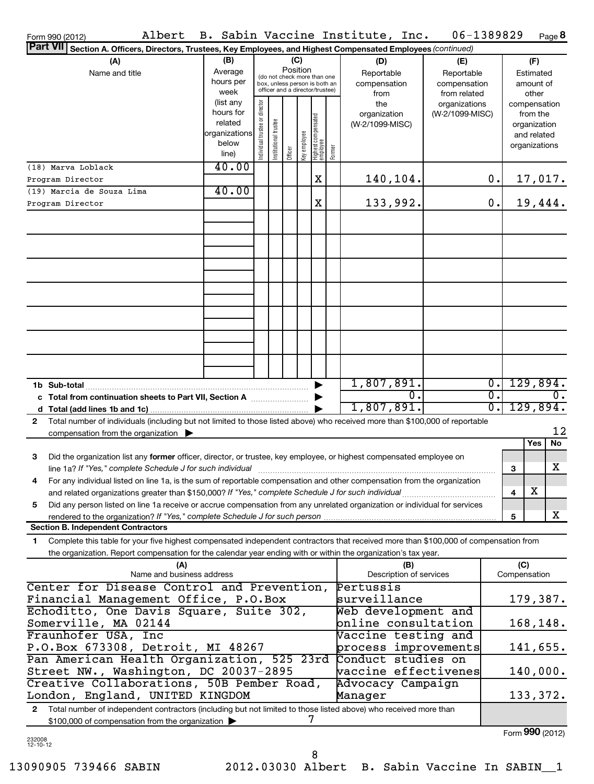| Form 990 (2012)                                                                                                                                                                                                                 |                           |                     |                       |                                         |              |                                 |        | Albert B. Sabin Vaccine Institute, Inc. | 06-1389829      |          |              | Page 8          |
|---------------------------------------------------------------------------------------------------------------------------------------------------------------------------------------------------------------------------------|---------------------------|---------------------|-----------------------|-----------------------------------------|--------------|---------------------------------|--------|-----------------------------------------|-----------------|----------|--------------|-----------------|
| Part VII<br>Section A. Officers, Directors, Trustees, Key Employees, and Highest Compensated Employees (continued)                                                                                                              |                           |                     |                       |                                         |              |                                 |        |                                         |                 |          |              |                 |
| (A)                                                                                                                                                                                                                             | (B)                       |                     |                       | (C)                                     |              |                                 |        | (D)                                     | (E)             |          |              | (F)             |
| Name and title                                                                                                                                                                                                                  | Average                   |                     |                       | Position<br>(do not check more than one |              |                                 |        | Reportable                              | Reportable      |          |              | Estimated       |
|                                                                                                                                                                                                                                 | hours per                 |                     |                       | box, unless person is both an           |              |                                 |        | compensation                            | compensation    |          |              | amount of       |
|                                                                                                                                                                                                                                 | week                      |                     |                       | officer and a director/trustee)         |              |                                 |        | from                                    | from related    |          |              | other           |
|                                                                                                                                                                                                                                 | (list any                 | trustee or director |                       |                                         |              |                                 |        | the                                     | organizations   |          |              | compensation    |
|                                                                                                                                                                                                                                 | hours for                 |                     |                       |                                         |              |                                 |        | organization                            | (W-2/1099-MISC) |          |              | from the        |
|                                                                                                                                                                                                                                 | related<br> organizations |                     |                       |                                         |              |                                 |        | (W-2/1099-MISC)                         |                 |          |              | organization    |
|                                                                                                                                                                                                                                 | below                     |                     |                       |                                         |              |                                 |        |                                         |                 |          |              | and related     |
|                                                                                                                                                                                                                                 | line)                     | Individual t        | Institutional trustee | Officer                                 | key employee | Highest compensated<br>employee | Former |                                         |                 |          |              | organizations   |
| (18) Marva Loblack                                                                                                                                                                                                              | 40.00                     |                     |                       |                                         |              |                                 |        |                                         |                 |          |              |                 |
| Program Director                                                                                                                                                                                                                |                           |                     |                       |                                         |              | X                               |        | 140,104.                                |                 | 0.       |              | 17,017.         |
| (19) Marcia de Souza Lima                                                                                                                                                                                                       | 40.00                     |                     |                       |                                         |              |                                 |        |                                         |                 |          |              |                 |
| Program Director                                                                                                                                                                                                                |                           |                     |                       |                                         |              | X                               |        | 133,992.                                |                 | 0.       |              | 19,444.         |
|                                                                                                                                                                                                                                 |                           |                     |                       |                                         |              |                                 |        |                                         |                 |          |              |                 |
|                                                                                                                                                                                                                                 |                           |                     |                       |                                         |              |                                 |        |                                         |                 |          |              |                 |
|                                                                                                                                                                                                                                 |                           |                     |                       |                                         |              |                                 |        |                                         |                 |          |              |                 |
|                                                                                                                                                                                                                                 |                           |                     |                       |                                         |              |                                 |        |                                         |                 |          |              |                 |
|                                                                                                                                                                                                                                 |                           |                     |                       |                                         |              |                                 |        |                                         |                 |          |              |                 |
|                                                                                                                                                                                                                                 |                           |                     |                       |                                         |              |                                 |        |                                         |                 |          |              |                 |
|                                                                                                                                                                                                                                 |                           |                     |                       |                                         |              |                                 |        |                                         |                 |          |              |                 |
|                                                                                                                                                                                                                                 |                           |                     |                       |                                         |              |                                 |        |                                         |                 |          |              |                 |
|                                                                                                                                                                                                                                 |                           |                     |                       |                                         |              |                                 |        |                                         |                 |          |              |                 |
|                                                                                                                                                                                                                                 |                           |                     |                       |                                         |              |                                 |        |                                         |                 |          |              |                 |
|                                                                                                                                                                                                                                 |                           |                     |                       |                                         |              |                                 |        |                                         |                 |          |              |                 |
|                                                                                                                                                                                                                                 |                           |                     |                       |                                         |              |                                 |        |                                         |                 |          |              |                 |
|                                                                                                                                                                                                                                 |                           |                     |                       |                                         |              |                                 |        |                                         |                 |          |              |                 |
|                                                                                                                                                                                                                                 |                           |                     |                       |                                         |              |                                 |        |                                         |                 |          |              |                 |
|                                                                                                                                                                                                                                 |                           |                     |                       |                                         |              |                                 |        |                                         |                 |          |              |                 |
|                                                                                                                                                                                                                                 |                           |                     |                       |                                         |              | ▶                               |        | 1,807,891.                              |                 | σ.       |              | 129,894.        |
| c Total from continuation sheets to Part VII, Section A                                                                                                                                                                         |                           |                     |                       |                                         |              |                                 |        | $\overline{0}$ .                        |                 | σ.       |              | 0.              |
|                                                                                                                                                                                                                                 |                           |                     |                       |                                         |              |                                 |        | 1,807,891.                              |                 | σ.       |              | 129,894.        |
| Total number of individuals (including but not limited to those listed above) who received more than \$100,000 of reportable<br>$\mathbf{2}$                                                                                    |                           |                     |                       |                                         |              |                                 |        |                                         |                 |          |              |                 |
| compensation from the organization $\blacktriangleright$                                                                                                                                                                        |                           |                     |                       |                                         |              |                                 |        |                                         |                 |          |              | 12              |
|                                                                                                                                                                                                                                 |                           |                     |                       |                                         |              |                                 |        |                                         |                 |          |              | Yes<br>No       |
| 3<br>Did the organization list any former officer, director, or trustee, key employee, or highest compensated employee on                                                                                                       |                           |                     |                       |                                         |              |                                 |        |                                         |                 |          |              |                 |
| line 1a? If "Yes," complete Schedule J for such individual                                                                                                                                                                      |                           |                     |                       |                                         |              |                                 |        |                                         |                 |          | 3            | x               |
| 4                                                                                                                                                                                                                               |                           |                     |                       |                                         |              |                                 |        |                                         |                 |          |              |                 |
| For any individual listed on line 1a, is the sum of reportable compensation and other compensation from the organization<br>and related organizations greater than \$150,000? If "Yes," complete Schedule J for such individual |                           |                     |                       |                                         |              |                                 |        |                                         |                 |          |              | x               |
|                                                                                                                                                                                                                                 |                           |                     |                       |                                         |              |                                 |        |                                         |                 |          | 4            |                 |
| Did any person listed on line 1a receive or accrue compensation from any unrelated organization or individual for services<br>5                                                                                                 |                           |                     |                       |                                         |              |                                 |        |                                         |                 |          |              | x               |
| rendered to the organization? If "Yes," complete Schedule J for such person.                                                                                                                                                    |                           |                     |                       |                                         |              |                                 |        |                                         |                 |          | 5            |                 |
| <b>Section B. Independent Contractors</b>                                                                                                                                                                                       |                           |                     |                       |                                         |              |                                 |        |                                         |                 |          |              |                 |
| Complete this table for your five highest compensated independent contractors that received more than \$100,000 of compensation from<br>1.                                                                                      |                           |                     |                       |                                         |              |                                 |        |                                         |                 |          |              |                 |
| the organization. Report compensation for the calendar year ending with or within the organization's tax year.                                                                                                                  |                           |                     |                       |                                         |              |                                 |        |                                         |                 |          |              |                 |
| (A)                                                                                                                                                                                                                             |                           |                     |                       |                                         |              |                                 |        | (B)                                     |                 |          | (C)          |                 |
| Name and business address                                                                                                                                                                                                       |                           |                     |                       |                                         |              |                                 |        | Description of services                 |                 |          | Compensation |                 |
| Center for Disease Control and Prevention,                                                                                                                                                                                      |                           |                     |                       |                                         |              |                                 |        | Pertussis                               |                 |          |              |                 |
| Financial Management Office, P.O.Box                                                                                                                                                                                            |                           |                     |                       |                                         |              |                                 |        | surveillance                            |                 |          |              | 179,387.        |
| Echoditto, One Davis Square, Suite 302,                                                                                                                                                                                         |                           |                     |                       |                                         |              |                                 |        | Web development and                     |                 |          |              |                 |
| Somerville, MA 02144<br>online consultation                                                                                                                                                                                     |                           |                     |                       |                                         |              |                                 |        |                                         |                 | 168,148. |              |                 |
| Fraunhofer USA, Inc                                                                                                                                                                                                             |                           |                     |                       |                                         |              |                                 |        | Vaccine testing and                     |                 |          |              |                 |
| P.O.Box 673308, Detroit, MI 48267<br>process improvements                                                                                                                                                                       |                           |                     |                       |                                         |              |                                 |        |                                         |                 | 141,655. |              |                 |
| Pan American Health Organization, 525 23rd                                                                                                                                                                                      |                           |                     |                       |                                         |              |                                 |        | Conduct studies on                      |                 |          |              |                 |
| Street NW., Washington, DC 20037-2895<br>vaccine effectivenes                                                                                                                                                                   |                           |                     |                       |                                         |              |                                 |        |                                         |                 | 140,000. |              |                 |
| Creative Collaborations, 50B Pember Road,                                                                                                                                                                                       |                           |                     |                       |                                         |              |                                 |        | Advocacy Campaign                       |                 |          |              |                 |
| London, England, UNITED KINGDOM                                                                                                                                                                                                 |                           |                     |                       |                                         |              |                                 |        | Manager                                 |                 |          |              | 133,372.        |
| Total number of independent contractors (including but not limited to those listed above) who received more than<br>2                                                                                                           |                           |                     |                       |                                         |              |                                 |        |                                         |                 |          |              |                 |
| \$100,000 of compensation from the organization                                                                                                                                                                                 |                           |                     |                       |                                         |              | 7                               |        |                                         |                 |          |              |                 |
|                                                                                                                                                                                                                                 |                           |                     |                       |                                         |              |                                 |        |                                         |                 |          |              | Form 990 (2012) |

232008 12-10-12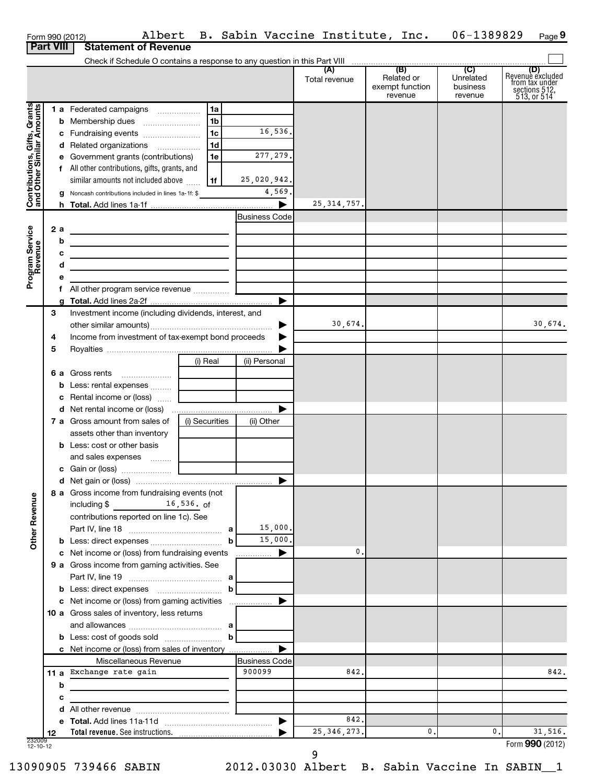|                                                           |     | Albert<br>Form 990 (2012)                                                                                             |                |                                | B. Sabin Vaccine Institute, Inc. |                                          | 06-1389829                       | Page 9                                                                       |
|-----------------------------------------------------------|-----|-----------------------------------------------------------------------------------------------------------------------|----------------|--------------------------------|----------------------------------|------------------------------------------|----------------------------------|------------------------------------------------------------------------------|
| <b>Part VIII</b>                                          |     | <b>Statement of Revenue</b>                                                                                           |                |                                |                                  |                                          |                                  |                                                                              |
|                                                           |     |                                                                                                                       |                |                                |                                  |                                          |                                  |                                                                              |
|                                                           |     |                                                                                                                       |                |                                | Total revenue                    | Related or<br>exempt function<br>revenue | Unrelated<br>business<br>revenue | (D)<br>Revenue excluded<br>from tax under<br>sections $512$ ,<br>513, or 514 |
|                                                           |     | 1 a Federated campaigns                                                                                               | l 1a           |                                |                                  |                                          |                                  |                                                                              |
| Contributions, Gifts, Grants<br>and Other Similar Amounts |     | <b>b</b> Membership dues                                                                                              | 1b             |                                |                                  |                                          |                                  |                                                                              |
|                                                           |     | c Fundraising events                                                                                                  | l 1c           | 16,536.                        |                                  |                                          |                                  |                                                                              |
|                                                           |     | d Related organizations                                                                                               | 1 <sub>d</sub> |                                |                                  |                                          |                                  |                                                                              |
|                                                           |     | e Government grants (contributions)                                                                                   | 1e             | 277, 279.                      |                                  |                                          |                                  |                                                                              |
|                                                           |     | f All other contributions, gifts, grants, and                                                                         |                |                                |                                  |                                          |                                  |                                                                              |
|                                                           |     | similar amounts not included above                                                                                    | l 1f           | 25,020,942.                    |                                  |                                          |                                  |                                                                              |
|                                                           |     | Noncash contributions included in lines 1a-1f: \$                                                                     |                | 4,569.                         |                                  |                                          |                                  |                                                                              |
|                                                           |     |                                                                                                                       |                |                                | 25, 314, 757.                    |                                          |                                  |                                                                              |
|                                                           |     |                                                                                                                       |                | <b>Business Code</b>           |                                  |                                          |                                  |                                                                              |
|                                                           | 2 a | <u> 1980 - Johann Barn, mars ann an t-Amhain an t-Amhain an t-Amhain an t-Amhain an t-Amhain an t-Amhain an t-Amh</u> |                |                                |                                  |                                          |                                  |                                                                              |
|                                                           | b   | the contract of the contract of the contract of the contract of the contract of                                       |                |                                |                                  |                                          |                                  |                                                                              |
|                                                           | с   | <u> 1989 - Johann Barn, mars et al. (b. 1989)</u>                                                                     |                |                                |                                  |                                          |                                  |                                                                              |
|                                                           | d   | <u> 1989 - Johann Stone, mars et al. (b. 1989)</u>                                                                    |                |                                |                                  |                                          |                                  |                                                                              |
| Program Service<br>Revenue                                | е   |                                                                                                                       |                |                                |                                  |                                          |                                  |                                                                              |
|                                                           | f.  |                                                                                                                       |                |                                |                                  |                                          |                                  |                                                                              |
|                                                           |     |                                                                                                                       |                |                                |                                  |                                          |                                  |                                                                              |
|                                                           | З   | Investment income (including dividends, interest, and                                                                 |                |                                |                                  |                                          |                                  |                                                                              |
|                                                           |     |                                                                                                                       |                | ▶                              | 30,674.                          |                                          |                                  | 30,674.                                                                      |
|                                                           | 4   | Income from investment of tax-exempt bond proceeds                                                                    |                |                                |                                  |                                          |                                  |                                                                              |
|                                                           | 5   |                                                                                                                       |                |                                |                                  |                                          |                                  |                                                                              |
|                                                           |     |                                                                                                                       | (i) Real       | (ii) Personal                  |                                  |                                          |                                  |                                                                              |
|                                                           |     |                                                                                                                       |                |                                |                                  |                                          |                                  |                                                                              |
|                                                           |     |                                                                                                                       |                |                                |                                  |                                          |                                  |                                                                              |
|                                                           |     | c Rental income or (loss)                                                                                             |                |                                |                                  |                                          |                                  |                                                                              |
|                                                           |     |                                                                                                                       |                | ▶                              |                                  |                                          |                                  |                                                                              |
|                                                           |     | 7 a Gross amount from sales of                                                                                        | (i) Securities | (ii) Other                     |                                  |                                          |                                  |                                                                              |
|                                                           |     | assets other than inventory                                                                                           |                |                                |                                  |                                          |                                  |                                                                              |
|                                                           |     | <b>b</b> Less: cost or other basis                                                                                    |                |                                |                                  |                                          |                                  |                                                                              |
|                                                           |     | and sales expenses    <b>Conservant</b>                                                                               |                |                                |                                  |                                          |                                  |                                                                              |
|                                                           |     |                                                                                                                       |                |                                |                                  |                                          |                                  |                                                                              |
|                                                           |     |                                                                                                                       |                |                                |                                  |                                          |                                  |                                                                              |
|                                                           |     | 8 a Gross income from fundraising events (not                                                                         |                |                                |                                  |                                          |                                  |                                                                              |
|                                                           |     | $16,536.$ of<br>including \$                                                                                          |                |                                |                                  |                                          |                                  |                                                                              |
| <b>Other Revenue</b>                                      |     | contributions reported on line 1c). See                                                                               |                |                                |                                  |                                          |                                  |                                                                              |
|                                                           |     |                                                                                                                       |                | 15,000.                        |                                  |                                          |                                  |                                                                              |
|                                                           |     |                                                                                                                       | b              | 15,000.                        |                                  |                                          |                                  |                                                                              |
|                                                           |     | c Net income or (loss) from fundraising events                                                                        |                | ▶<br>.                         | 0.                               |                                          |                                  |                                                                              |
|                                                           |     | 9 a Gross income from gaming activities. See                                                                          |                |                                |                                  |                                          |                                  |                                                                              |
|                                                           |     |                                                                                                                       |                |                                |                                  |                                          |                                  |                                                                              |
|                                                           |     |                                                                                                                       | $\mathbf b$    |                                |                                  |                                          |                                  |                                                                              |
|                                                           |     |                                                                                                                       |                |                                |                                  |                                          |                                  |                                                                              |
|                                                           |     | 10 a Gross sales of inventory, less returns                                                                           |                |                                |                                  |                                          |                                  |                                                                              |
|                                                           |     |                                                                                                                       |                |                                |                                  |                                          |                                  |                                                                              |
|                                                           |     |                                                                                                                       | $\mathbf b$    |                                |                                  |                                          |                                  |                                                                              |
|                                                           |     | c Net income or (loss) from sales of inventory                                                                        |                |                                |                                  |                                          |                                  |                                                                              |
|                                                           |     | Miscellaneous Revenue<br>11 a Exchange rate gain                                                                      |                | <b>Business Code</b><br>900099 | 842.                             |                                          |                                  | 842.                                                                         |
|                                                           |     |                                                                                                                       |                |                                |                                  |                                          |                                  |                                                                              |
|                                                           | b   |                                                                                                                       |                |                                |                                  |                                          |                                  |                                                                              |
|                                                           | с   | <u> 1989 - John Harry Harry Harry Harry Harry Harry Harry Harry Harry Harry Harry Harry Harry Harry Harry Harry</u>   |                |                                |                                  |                                          |                                  |                                                                              |
|                                                           |     |                                                                                                                       |                |                                |                                  |                                          |                                  |                                                                              |
|                                                           | d   |                                                                                                                       |                |                                |                                  |                                          |                                  |                                                                              |
|                                                           | 12  |                                                                                                                       |                |                                | 842.<br>25, 346, 273.            | 0.                                       | 0.                               | 31,516.                                                                      |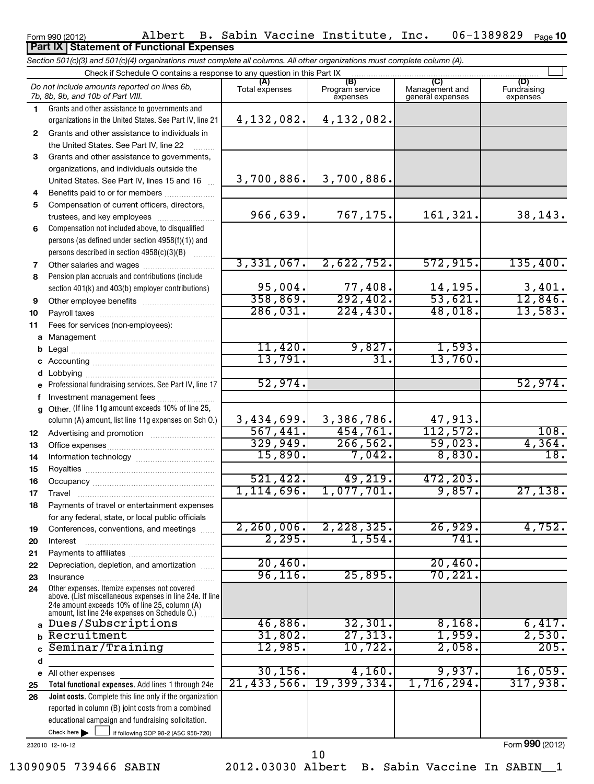Form 990 (2012) Page Albert B. Sabin Vaccine Institute, Inc. 06-1389829 06-1389829 Page 10

### **Part IX Statement of Functional Expenses**

*Section 501(c)(3) and 501(c)(4) organizations must complete all columns. All other organizations must complete column (A).*

|              | Check if Schedule O contains a response to any question in this Part IX                                                                                                                                                   |                       |                                    |                                    |                                |  |  |  |  |  |  |
|--------------|---------------------------------------------------------------------------------------------------------------------------------------------------------------------------------------------------------------------------|-----------------------|------------------------------------|------------------------------------|--------------------------------|--|--|--|--|--|--|
|              | Do not include amounts reported on lines 6b,<br>7b, 8b, 9b, and 10b of Part VIII.                                                                                                                                         | (A)<br>Total expenses | (B)<br>Program service<br>expenses | Management and<br>general expenses | (D)<br>Fundraising<br>expenses |  |  |  |  |  |  |
| 1.           | Grants and other assistance to governments and                                                                                                                                                                            |                       |                                    |                                    |                                |  |  |  |  |  |  |
|              | organizations in the United States. See Part IV, line 21                                                                                                                                                                  | 4,132,082.            | 4, 132, 082.                       |                                    |                                |  |  |  |  |  |  |
| $\mathbf{2}$ | Grants and other assistance to individuals in                                                                                                                                                                             |                       |                                    |                                    |                                |  |  |  |  |  |  |
|              | the United States. See Part IV, line 22                                                                                                                                                                                   |                       |                                    |                                    |                                |  |  |  |  |  |  |
| 3            | Grants and other assistance to governments,                                                                                                                                                                               |                       |                                    |                                    |                                |  |  |  |  |  |  |
|              | organizations, and individuals outside the                                                                                                                                                                                |                       |                                    |                                    |                                |  |  |  |  |  |  |
|              | United States. See Part IV, lines 15 and 16                                                                                                                                                                               | 3,700,886.            | 3,700,886.                         |                                    |                                |  |  |  |  |  |  |
| 4            | Benefits paid to or for members                                                                                                                                                                                           |                       |                                    |                                    |                                |  |  |  |  |  |  |
| 5            | Compensation of current officers, directors,                                                                                                                                                                              |                       |                                    |                                    |                                |  |  |  |  |  |  |
|              | trustees, and key employees                                                                                                                                                                                               | 966,639.              | 767,175.                           | 161,321.                           | 38,143.                        |  |  |  |  |  |  |
| 6            | Compensation not included above, to disqualified                                                                                                                                                                          |                       |                                    |                                    |                                |  |  |  |  |  |  |
|              | persons (as defined under section 4958(f)(1)) and                                                                                                                                                                         |                       |                                    |                                    |                                |  |  |  |  |  |  |
|              | persons described in section 4958(c)(3)(B)                                                                                                                                                                                |                       |                                    |                                    |                                |  |  |  |  |  |  |
| 7            | Other salaries and wages                                                                                                                                                                                                  | 3,331,067.            | 2,622,752.                         | 572, 915.                          | 135,400.                       |  |  |  |  |  |  |
| 8            | Pension plan accruals and contributions (include                                                                                                                                                                          |                       |                                    |                                    |                                |  |  |  |  |  |  |
|              | section 401(k) and 403(b) employer contributions)                                                                                                                                                                         | 95,004.<br>358,869.   | $\frac{77,408}{292,402}$           | 14,195.<br>53,621.                 | $\frac{3,401}{12,846}$ .       |  |  |  |  |  |  |
| 9            | Other employee benefits                                                                                                                                                                                                   | 286,031.              | 224,430.                           | 48,018.                            | 13,583.                        |  |  |  |  |  |  |
| 10           |                                                                                                                                                                                                                           |                       |                                    |                                    |                                |  |  |  |  |  |  |
| 11           | Fees for services (non-employees):                                                                                                                                                                                        |                       |                                    |                                    |                                |  |  |  |  |  |  |
| a            |                                                                                                                                                                                                                           | 11,420.               | 9,827.                             | 1,593.                             |                                |  |  |  |  |  |  |
| b            |                                                                                                                                                                                                                           | 13,791.               | $\overline{31}$                    | 13,760.                            |                                |  |  |  |  |  |  |
| c<br>d       |                                                                                                                                                                                                                           |                       |                                    |                                    |                                |  |  |  |  |  |  |
| $\mathbf e$  | Professional fundraising services. See Part IV, line 17                                                                                                                                                                   | 52,974.               |                                    |                                    | 52,974.                        |  |  |  |  |  |  |
| f            | Investment management fees                                                                                                                                                                                                |                       |                                    |                                    |                                |  |  |  |  |  |  |
| a            | Other. (If line 11g amount exceeds 10% of line 25,                                                                                                                                                                        |                       |                                    |                                    |                                |  |  |  |  |  |  |
|              | column (A) amount, list line 11g expenses on Sch O.)                                                                                                                                                                      | 3,434,699.            | 3,386,786.                         | 47,913.                            |                                |  |  |  |  |  |  |
| 12           |                                                                                                                                                                                                                           | 567,441.              | 454,761.                           | 112,572.                           | 108.                           |  |  |  |  |  |  |
| 13           |                                                                                                                                                                                                                           | 329,949.              | 266, 562.                          | 59,023.                            | 4,364.                         |  |  |  |  |  |  |
| 14           |                                                                                                                                                                                                                           | 15,890.               | 7,042.                             | 8,830.                             | $\overline{18}$ .              |  |  |  |  |  |  |
| 15           |                                                                                                                                                                                                                           |                       |                                    |                                    |                                |  |  |  |  |  |  |
| 16           |                                                                                                                                                                                                                           | 521,422.              | 49,219.                            | 472,203.                           |                                |  |  |  |  |  |  |
| 17           | Travel                                                                                                                                                                                                                    | 1,114,696.            | 1,077,701.                         | 9,857.                             | 27, 138.                       |  |  |  |  |  |  |
| 18           | Payments of travel or entertainment expenses                                                                                                                                                                              |                       |                                    |                                    |                                |  |  |  |  |  |  |
|              | for any federal, state, or local public officials                                                                                                                                                                         |                       |                                    |                                    |                                |  |  |  |  |  |  |
| 19           | Conferences, conventions, and meetings                                                                                                                                                                                    | 2, 260, 006.          | 2, 228, 325.                       | 26,929.                            | 4,752.                         |  |  |  |  |  |  |
| 20           | Interest                                                                                                                                                                                                                  | 2,295.                | 1,554.                             | 741                                |                                |  |  |  |  |  |  |
| 21           |                                                                                                                                                                                                                           |                       |                                    |                                    |                                |  |  |  |  |  |  |
| 22           | Depreciation, depletion, and amortization                                                                                                                                                                                 | 20,460.<br>96, 116.   |                                    | 20,460.<br>70,221                  |                                |  |  |  |  |  |  |
| 23           | Insurance                                                                                                                                                                                                                 |                       | 25,895.                            |                                    |                                |  |  |  |  |  |  |
| 24           | Other expenses. Itemize expenses not covered<br>above. (List miscellaneous expenses in line 24e. If line<br>24e amount exceeds 10% of line 25, column (A)<br>amount, list line 24e expenses on Schedule O.) $\frac{1}{2}$ |                       |                                    |                                    |                                |  |  |  |  |  |  |
| $\mathbf{a}$ | Dues/Subscriptions                                                                                                                                                                                                        | 46,886.               | 32, 301.                           | 8,168.                             | 6,417.                         |  |  |  |  |  |  |
| $\mathbf b$  | Recruitment                                                                                                                                                                                                               | 31,802.               | 27, 313.                           | 1,959.                             | 2,530.                         |  |  |  |  |  |  |
| C            | Seminar/Training                                                                                                                                                                                                          | 12,985.               | 10,722.                            | 2,058.                             | 205.                           |  |  |  |  |  |  |
| d            |                                                                                                                                                                                                                           |                       |                                    |                                    |                                |  |  |  |  |  |  |
| e            | All other expenses                                                                                                                                                                                                        | 30, 156.              | 4,160.                             | 9,937.                             | 16,059.                        |  |  |  |  |  |  |
| 25           | Total functional expenses. Add lines 1 through 24e                                                                                                                                                                        | 21, 433, 566.         | 19,399,334.                        | 1,716,294.                         | 317,938.                       |  |  |  |  |  |  |
| 26           | Joint costs. Complete this line only if the organization                                                                                                                                                                  |                       |                                    |                                    |                                |  |  |  |  |  |  |
|              | reported in column (B) joint costs from a combined                                                                                                                                                                        |                       |                                    |                                    |                                |  |  |  |  |  |  |
|              | educational campaign and fundraising solicitation.                                                                                                                                                                        |                       |                                    |                                    |                                |  |  |  |  |  |  |
|              | Check here $\blacktriangleright$<br>if following SOP 98-2 (ASC 958-720)                                                                                                                                                   |                       |                                    |                                    |                                |  |  |  |  |  |  |

232010 12-10-12

13090905 739466 SABIN 2012.03030 Albert B. Sabin Vaccine In SABIN\_\_1

10

Form **990** (2012)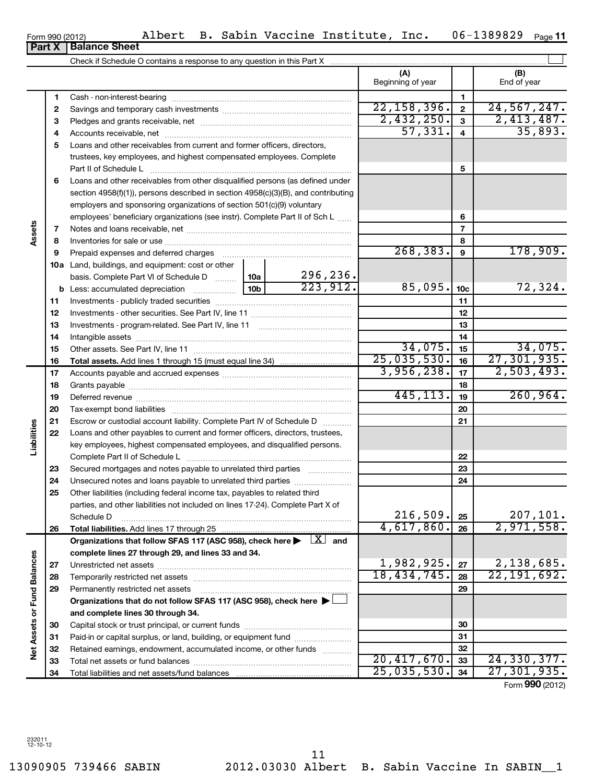13090905 739466 SABIN 2012.03030 Albert B. Sabin Vaccine In SABIN\_\_1 11

| Check if Schedule O contains a response to any question in this Part X |                   |             |
|------------------------------------------------------------------------|-------------------|-------------|
|                                                                        | Beginning of year | End of year |
| Cash - non-interest-bearing                                            |                   |             |
|                                                                        | <u>nn</u>         |             |

|                             | 1  |                                                                                                      |  |           |               | 1               |                           |
|-----------------------------|----|------------------------------------------------------------------------------------------------------|--|-----------|---------------|-----------------|---------------------------|
|                             | 2  |                                                                                                      |  |           | 22, 158, 396. | $\overline{2}$  | 24,567,247.               |
|                             | З  |                                                                                                      |  |           | 2,432,250.    | 3               | 2,413,487.                |
|                             | 4  |                                                                                                      |  |           | 57, 331.      | 4               | 35,893.                   |
|                             | 5  | Loans and other receivables from current and former officers, directors,                             |  |           |               |                 |                           |
|                             |    | trustees, key employees, and highest compensated employees. Complete                                 |  |           |               |                 |                           |
|                             |    | Part II of Schedule L                                                                                |  |           |               | 5               |                           |
|                             | 6  | Loans and other receivables from other disqualified persons (as defined under                        |  |           |               |                 |                           |
|                             |    | section $4958(f)(1)$ , persons described in section $4958(c)(3)(B)$ , and contributing               |  |           |               |                 |                           |
|                             |    | employers and sponsoring organizations of section 501(c)(9) voluntary                                |  |           |               |                 |                           |
|                             |    | employees' beneficiary organizations (see instr). Complete Part II of Sch L                          |  |           |               | 6               |                           |
| Assets                      | 7  |                                                                                                      |  |           |               | 7               |                           |
|                             | 8  |                                                                                                      |  |           |               | 8               |                           |
|                             | 9  |                                                                                                      |  |           | 268, 383.     | 9               | 178,909.                  |
|                             |    | 10a Land, buildings, and equipment: cost or other                                                    |  |           |               |                 |                           |
|                             |    | basis. Complete Part VI of Schedule D  10a                                                           |  | 296, 236. |               |                 |                           |
|                             |    |                                                                                                      |  | 223,912.  | 85,095.       | 10 <sub>c</sub> | 72,324.                   |
|                             | 11 |                                                                                                      |  |           |               | 11              |                           |
|                             | 12 |                                                                                                      |  |           |               | 12              |                           |
|                             | 13 |                                                                                                      |  |           |               | 13              |                           |
|                             | 14 |                                                                                                      |  |           |               | 14              |                           |
|                             | 15 |                                                                                                      |  |           | 34,075.       | 15              | 34,075.                   |
|                             | 16 |                                                                                                      |  |           | 25,035,530.   | 16              | 27, 301, 935.             |
|                             | 17 |                                                                                                      |  |           | 3,956,238.    | 17              | 2,503,493.                |
|                             | 18 |                                                                                                      |  |           |               | 18              |                           |
|                             | 19 |                                                                                                      |  | 445, 113. | 19            | 260,964.        |                           |
|                             | 20 |                                                                                                      |  | 20        |               |                 |                           |
|                             | 21 | Escrow or custodial account liability. Complete Part IV of Schedule D                                |  |           | 21            |                 |                           |
|                             | 22 | Loans and other payables to current and former officers, directors, trustees,                        |  |           |               |                 |                           |
| Liabilities                 |    | key employees, highest compensated employees, and disqualified persons.                              |  |           |               |                 |                           |
|                             |    |                                                                                                      |  |           |               | 22              |                           |
|                             | 23 | Secured mortgages and notes payable to unrelated third parties                                       |  |           |               | 23              |                           |
|                             | 24 |                                                                                                      |  |           |               | 24              |                           |
|                             | 25 | Other liabilities (including federal income tax, payables to related third                           |  |           |               |                 |                           |
|                             |    | parties, and other liabilities not included on lines 17-24). Complete Part X of                      |  |           |               |                 |                           |
|                             |    | Schedule D                                                                                           |  |           | 216,509.      | 25              | 207, 101.                 |
|                             | 26 |                                                                                                      |  |           | 4,617,860.    | 26              | 2,971,558.                |
|                             |    | Organizations that follow SFAS 117 (ASC 958), check here $\blacktriangleright \lfloor X \rfloor$ and |  |           |               |                 |                           |
|                             |    | complete lines 27 through 29, and lines 33 and 34.                                                   |  |           |               |                 |                           |
|                             | 27 |                                                                                                      |  |           | 1,982,925.    | 27              | 2,138,685.                |
|                             | 28 |                                                                                                      |  |           | 18,434,745.   | 28              | $\overline{22,191,692}$ . |
|                             | 29 | Permanently restricted net assets                                                                    |  |           |               | 29              |                           |
|                             |    | Organizations that do not follow SFAS 117 (ASC 958), check here >                                    |  |           |               |                 |                           |
|                             |    | and complete lines 30 through 34.                                                                    |  |           |               |                 |                           |
|                             | 30 |                                                                                                      |  |           |               | 30              |                           |
|                             | 31 | Paid-in or capital surplus, or land, building, or equipment fund                                     |  |           |               | 31              |                           |
| Net Assets or Fund Balances | 32 | Retained earnings, endowment, accumulated income, or other funds                                     |  |           | 20,417,670.   | 32              | 24, 330, 377.             |
|                             | 33 |                                                                                                      |  |           | 25,035,530.   | 33              | 27, 301, 935.             |
|                             | 34 |                                                                                                      |  |           |               | 34              | Form 990 (2012)           |
|                             |    |                                                                                                      |  |           |               |                 |                           |

 $\left| \begin{array}{c} \end{array} \right|$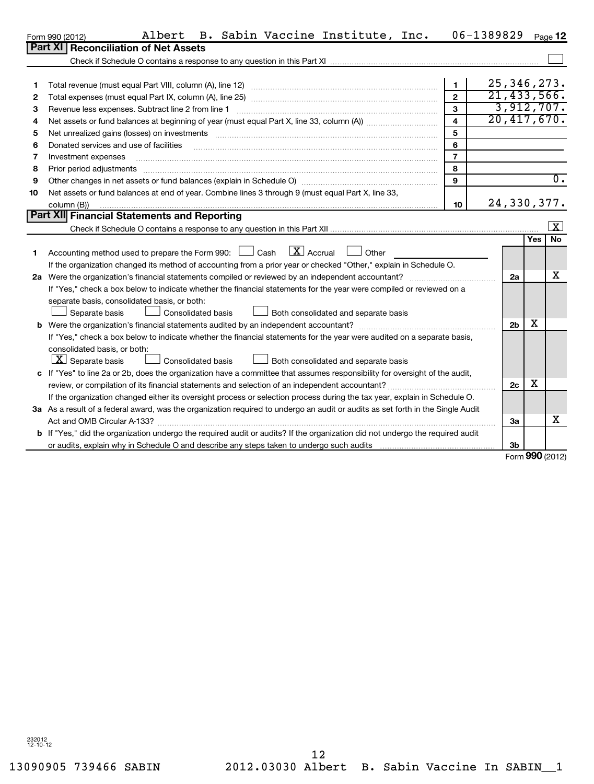|              | Albert B. Sabin Vaccine Institute, Inc.<br>Form 990 (2012)                                                                                                                                                                    |              | 06-1389829 $_{\text{Page}}$ 12 |            |
|--------------|-------------------------------------------------------------------------------------------------------------------------------------------------------------------------------------------------------------------------------|--------------|--------------------------------|------------|
|              | <b>Part XI Reconciliation of Net Assets</b>                                                                                                                                                                                   |              |                                |            |
|              |                                                                                                                                                                                                                               |              |                                |            |
|              |                                                                                                                                                                                                                               |              |                                |            |
|              | Total revenue (must equal Part VIII, column (A), line 12)                                                                                                                                                                     |              | 25, 346, 273.                  |            |
| $\mathbf{2}$ |                                                                                                                                                                                                                               | 2            | 21, 433, 566.                  |            |
| 3            | Revenue less expenses. Subtract line 2 from line 1                                                                                                                                                                            | з            |                                | 3,912,707. |
| 4            | Net assets or fund balances at beginning of year (must equal Part X, line 33, column (A))                                                                                                                                     | $\mathbf{A}$ | 20,417,670.                    |            |
| 5.           | Net unrealized gains (losses) on investments [11] manufactures in the state of the state of the state of the state of the state of the state of the state of the state of the state of the state of the state of the state of | 5            |                                |            |

| 6  | Donated services and use of facilities                                                                            |    |             |     |    |
|----|-------------------------------------------------------------------------------------------------------------------|----|-------------|-----|----|
|    | Investment expenses                                                                                               |    |             |     |    |
| 8  | Prior period adjustments                                                                                          | Õ  |             |     |    |
| 9  |                                                                                                                   |    |             |     |    |
| 10 | Net assets or fund balances at end of year. Combine lines 3 through 9 (must equal Part X, line 33,                |    |             |     |    |
|    | column (B))                                                                                                       | 10 | 24,330,377. |     |    |
|    | Part XII Financial Statements and Reporting                                                                       |    |             |     |    |
|    |                                                                                                                   |    |             |     |    |
|    |                                                                                                                   |    |             | Yes | No |
|    | Accounting method used to prepare the Form 990: $\Box$ Cash $\Box$ Accrual<br>Other                               |    |             |     |    |
|    | If the organization changed its method of accounting from a prior year or checked "Other," explain in Schedule O. |    |             |     |    |
|    |                                                                                                                   |    |             |     | v  |

| If the organization changed its method of accounting from a prior year or checked "Other," explain in Schedule O.                    |                |   |   |  |  |
|--------------------------------------------------------------------------------------------------------------------------------------|----------------|---|---|--|--|
| 2a Were the organization's financial statements compiled or reviewed by an independent accountant?                                   | 2a             |   | х |  |  |
| If "Yes," check a box below to indicate whether the financial statements for the year were compiled or reviewed on a                 |                |   |   |  |  |
| separate basis, consolidated basis, or both:                                                                                         |                |   |   |  |  |
| <b>Consolidated basis</b><br>Separate basis<br>Both consolidated and separate basis                                                  |                |   |   |  |  |
| b Were the organization's financial statements audited by an independent accountant?                                                 | 2 <sub>b</sub> | х |   |  |  |
| If "Yes," check a box below to indicate whether the financial statements for the year were audited on a separate basis,              |                |   |   |  |  |
| consolidated basis, or both:                                                                                                         |                |   |   |  |  |
| $ \mathbf{X} $ Separate basis<br><b>Consolidated basis</b><br>Both consolidated and separate basis                                   |                |   |   |  |  |
| c If "Yes" to line 2a or 2b, does the organization have a committee that assumes responsibility for oversight of the audit,          |                |   |   |  |  |
| review, or compilation of its financial statements and selection of an independent accountant?                                       |                |   |   |  |  |
| If the organization changed either its oversight process or selection process during the tax year, explain in Schedule O.            |                |   |   |  |  |
| 3a As a result of a federal award, was the organization required to undergo an audit or audits as set forth in the Single Audit      |                |   |   |  |  |
| Act and OMB Circular A-133?                                                                                                          | За             |   | x |  |  |
| <b>b</b> If "Yes," did the organization undergo the required audit or audits? If the organization did not undergo the required audit |                |   |   |  |  |
| or audits, explain why in Schedule O and describe any steps taken to undergo such audits matures and the section of                  | 3b             |   |   |  |  |

Form **990** (2012)

 $|$  3b

232012 12-10-12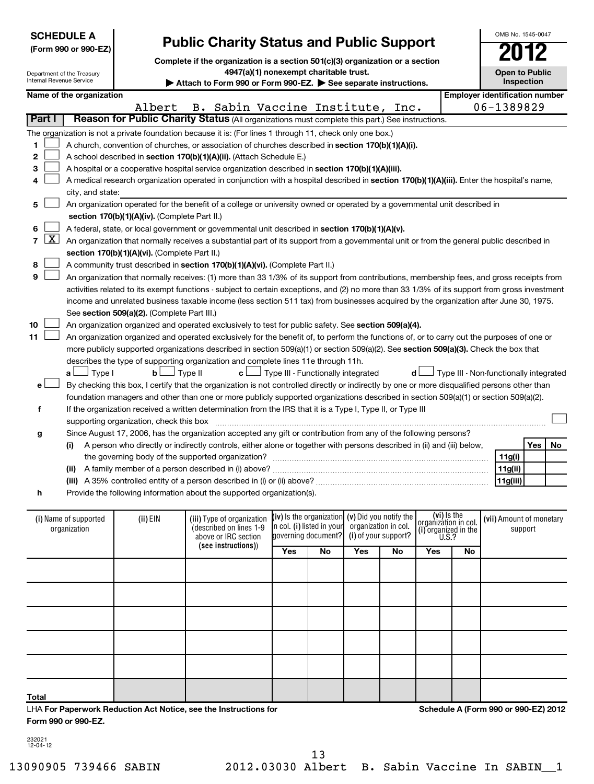| Internal Revenue Service              | <b>SCHEDULE A</b><br>(Form 990 or 990-EZ)<br>Department of the Treasury                                                                                                                                                                                                                                                                                                                                                                                                                                                                                                                                                                                                                                                                                                                                            |                                               | <b>Public Charity Status and Public Support</b><br>Complete if the organization is a section 501(c)(3) organization or a section<br>4947(a)(1) nonexempt charitable trust.<br>Attach to Form 990 or Form 990-EZ. See separate instructions.                                                                                                                                                                                                                                                                                                                                                                                                                             |                                                                                                                                                                                                                                |    |     |    |     |    | OMB No. 1545-0047<br><b>Open to Public</b><br>Inspection |         |    |
|---------------------------------------|--------------------------------------------------------------------------------------------------------------------------------------------------------------------------------------------------------------------------------------------------------------------------------------------------------------------------------------------------------------------------------------------------------------------------------------------------------------------------------------------------------------------------------------------------------------------------------------------------------------------------------------------------------------------------------------------------------------------------------------------------------------------------------------------------------------------|-----------------------------------------------|-------------------------------------------------------------------------------------------------------------------------------------------------------------------------------------------------------------------------------------------------------------------------------------------------------------------------------------------------------------------------------------------------------------------------------------------------------------------------------------------------------------------------------------------------------------------------------------------------------------------------------------------------------------------------|--------------------------------------------------------------------------------------------------------------------------------------------------------------------------------------------------------------------------------|----|-----|----|-----|----|----------------------------------------------------------|---------|----|
|                                       | Name of the organization                                                                                                                                                                                                                                                                                                                                                                                                                                                                                                                                                                                                                                                                                                                                                                                           |                                               |                                                                                                                                                                                                                                                                                                                                                                                                                                                                                                                                                                                                                                                                         |                                                                                                                                                                                                                                |    |     |    |     |    | <b>Employer identification number</b>                    |         |    |
| Part I                                |                                                                                                                                                                                                                                                                                                                                                                                                                                                                                                                                                                                                                                                                                                                                                                                                                    | Albert                                        | B. Sabin Vaccine Institute, Inc.<br>Reason for Public Charity Status (All organizations must complete this part.) See instructions.                                                                                                                                                                                                                                                                                                                                                                                                                                                                                                                                     |                                                                                                                                                                                                                                |    |     |    |     |    | 06-1389829                                               |         |    |
| 1<br>2<br>3<br>4<br>5                 | city, and state:                                                                                                                                                                                                                                                                                                                                                                                                                                                                                                                                                                                                                                                                                                                                                                                                   |                                               | The organization is not a private foundation because it is: (For lines 1 through 11, check only one box.)<br>A church, convention of churches, or association of churches described in section 170(b)(1)(A)(i).<br>A school described in section 170(b)(1)(A)(ii). (Attach Schedule E.)<br>A hospital or a cooperative hospital service organization described in section 170(b)(1)(A)(iii).<br>A medical research organization operated in conjunction with a hospital described in section 170(b)(1)(A)(iii). Enter the hospital's name,<br>An organization operated for the benefit of a college or university owned or operated by a governmental unit described in |                                                                                                                                                                                                                                |    |     |    |     |    |                                                          |         |    |
|                                       |                                                                                                                                                                                                                                                                                                                                                                                                                                                                                                                                                                                                                                                                                                                                                                                                                    | section 170(b)(1)(A)(iv). (Complete Part II.) |                                                                                                                                                                                                                                                                                                                                                                                                                                                                                                                                                                                                                                                                         |                                                                                                                                                                                                                                |    |     |    |     |    |                                                          |         |    |
| $\mathbf{X}$<br>7<br>8                | 6<br>A federal, state, or local government or governmental unit described in section 170(b)(1)(A)(v).<br>An organization that normally receives a substantial part of its support from a governmental unit or from the general public described in<br>section 170(b)(1)(A)(vi). (Complete Part II.)<br>A community trust described in section 170(b)(1)(A)(vi). (Complete Part II.)                                                                                                                                                                                                                                                                                                                                                                                                                                |                                               |                                                                                                                                                                                                                                                                                                                                                                                                                                                                                                                                                                                                                                                                         |                                                                                                                                                                                                                                |    |     |    |     |    |                                                          |         |    |
| 9<br>10                               | An organization that normally receives: (1) more than 33 1/3% of its support from contributions, membership fees, and gross receipts from<br>activities related to its exempt functions - subject to certain exceptions, and (2) no more than 33 1/3% of its support from gross investment<br>income and unrelated business taxable income (less section 511 tax) from businesses acquired by the organization after June 30, 1975.<br>See section 509(a)(2). (Complete Part III.)<br>An organization organized and operated exclusively to test for public safety. See section 509(a)(4).                                                                                                                                                                                                                         |                                               |                                                                                                                                                                                                                                                                                                                                                                                                                                                                                                                                                                                                                                                                         |                                                                                                                                                                                                                                |    |     |    |     |    |                                                          |         |    |
| 11<br>e۱                              | An organization organized and operated exclusively for the benefit of, to perform the functions of, or to carry out the purposes of one or<br>more publicly supported organizations described in section 509(a)(1) or section 509(a)(2). See section 509(a)(3). Check the box that<br>describes the type of supporting organization and complete lines 11e through 11h.<br>Type III - Functionally integrated<br>$\Box$ Type I<br>b <sub>1</sub><br>Type II<br>d l<br>Type III - Non-functionally integrated<br>c l<br>aι<br>By checking this box, I certify that the organization is not controlled directly or indirectly by one or more disqualified persons other than<br>foundation managers and other than one or more publicly supported organizations described in section 509(a)(1) or section 509(a)(2). |                                               |                                                                                                                                                                                                                                                                                                                                                                                                                                                                                                                                                                                                                                                                         |                                                                                                                                                                                                                                |    |     |    |     |    |                                                          |         |    |
| f                                     |                                                                                                                                                                                                                                                                                                                                                                                                                                                                                                                                                                                                                                                                                                                                                                                                                    |                                               | If the organization received a written determination from the IRS that it is a Type I, Type II, or Type III                                                                                                                                                                                                                                                                                                                                                                                                                                                                                                                                                             |                                                                                                                                                                                                                                |    |     |    |     |    |                                                          |         |    |
|                                       |                                                                                                                                                                                                                                                                                                                                                                                                                                                                                                                                                                                                                                                                                                                                                                                                                    | supporting organization, check this box       | Since August 17, 2006, has the organization accepted any gift or contribution from any of the following persons?                                                                                                                                                                                                                                                                                                                                                                                                                                                                                                                                                        |                                                                                                                                                                                                                                |    |     |    |     |    |                                                          |         |    |
| g                                     | (i)                                                                                                                                                                                                                                                                                                                                                                                                                                                                                                                                                                                                                                                                                                                                                                                                                |                                               | A person who directly or indirectly controls, either alone or together with persons described in (ii) and (iii) below,<br>(ii) A family member of a person described in (i) above?                                                                                                                                                                                                                                                                                                                                                                                                                                                                                      |                                                                                                                                                                                                                                |    |     |    |     |    | 11g(i)<br>11g(ii)                                        | Yes     | No |
|                                       |                                                                                                                                                                                                                                                                                                                                                                                                                                                                                                                                                                                                                                                                                                                                                                                                                    |                                               | (iii) A 35% controlled entity of a person described in (i) or (ii) above?                                                                                                                                                                                                                                                                                                                                                                                                                                                                                                                                                                                               |                                                                                                                                                                                                                                |    |     |    |     |    | 11g(iii)                                                 |         |    |
| h                                     |                                                                                                                                                                                                                                                                                                                                                                                                                                                                                                                                                                                                                                                                                                                                                                                                                    |                                               | Provide the following information about the supported organization(s).                                                                                                                                                                                                                                                                                                                                                                                                                                                                                                                                                                                                  |                                                                                                                                                                                                                                |    |     |    |     |    |                                                          |         |    |
| (i) Name of supported<br>organization |                                                                                                                                                                                                                                                                                                                                                                                                                                                                                                                                                                                                                                                                                                                                                                                                                    | (ii) EIN                                      | (iii) Type of organization<br>(described on lines 1-9<br>above or IRC section<br>(see instructions))                                                                                                                                                                                                                                                                                                                                                                                                                                                                                                                                                                    | (vi) Is the<br>organization in col.<br>(iv) is the organization $(v)$ Did you notify the<br>in col. (i) listed in your<br>organization in col.<br>(i) organized in the $U.S.$ ?<br>governing document?<br>(i) of your support? |    |     |    |     |    | (vii) Amount of monetary                                 | support |    |
|                                       |                                                                                                                                                                                                                                                                                                                                                                                                                                                                                                                                                                                                                                                                                                                                                                                                                    |                                               |                                                                                                                                                                                                                                                                                                                                                                                                                                                                                                                                                                                                                                                                         | Yes                                                                                                                                                                                                                            | No | Yes | No | Yes | No |                                                          |         |    |
|                                       |                                                                                                                                                                                                                                                                                                                                                                                                                                                                                                                                                                                                                                                                                                                                                                                                                    |                                               |                                                                                                                                                                                                                                                                                                                                                                                                                                                                                                                                                                                                                                                                         |                                                                                                                                                                                                                                |    |     |    |     |    |                                                          |         |    |

232021 12-04-12

**Total**

**Form 990 or 990-EZ.**

LHA **For Paperwork Reduction Act Notice, see the Instructions for** 

**Schedule A (Form 990 or 990-EZ) 2012**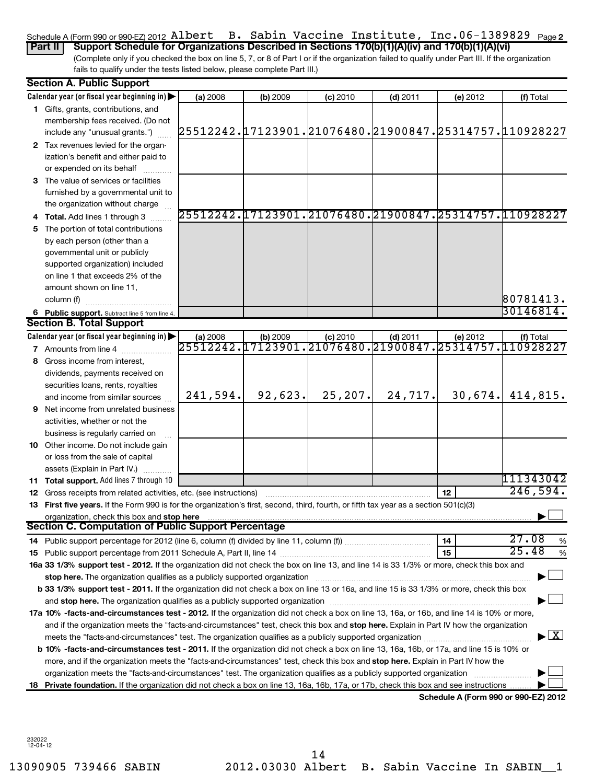#### Schedule A (Form 990 or 990-EZ) 2012 <code>Albert B.</code> Sabin Vaccine Institute, Inc.06-1389829 <code>page2</code> **Part II Support Schedule for Organizations Described in Sections 170(b)(1)(A)(iv) and 170(b)(1)(A)(vi)**

(Complete only if you checked the box on line 5, 7, or 8 of Part I or if the organization failed to qualify under Part III. If the organization fails to qualify under the tests listed below, please complete Part III.)

|    | <b>Section A. Public Support</b>                                                                                                                                                                                               |           |            |                                                        |            |                                      |                                                         |
|----|--------------------------------------------------------------------------------------------------------------------------------------------------------------------------------------------------------------------------------|-----------|------------|--------------------------------------------------------|------------|--------------------------------------|---------------------------------------------------------|
|    | Calendar year (or fiscal year beginning in)                                                                                                                                                                                    | (a) 2008  | (b) 2009   | $(c)$ 2010                                             | $(d)$ 2011 | (e) 2012                             | (f) Total                                               |
|    | 1 Gifts, grants, contributions, and                                                                                                                                                                                            |           |            |                                                        |            |                                      |                                                         |
|    | membership fees received. (Do not                                                                                                                                                                                              |           |            |                                                        |            |                                      |                                                         |
|    | include any "unusual grants.")                                                                                                                                                                                                 |           |            |                                                        |            |                                      | ,25512242.17123901.21076480.21900847.25314757.110928227 |
|    | 2 Tax revenues levied for the organ-                                                                                                                                                                                           |           |            |                                                        |            |                                      |                                                         |
|    | ization's benefit and either paid to                                                                                                                                                                                           |           |            |                                                        |            |                                      |                                                         |
|    | or expended on its behalf                                                                                                                                                                                                      |           |            |                                                        |            |                                      |                                                         |
|    | 3 The value of services or facilities                                                                                                                                                                                          |           |            |                                                        |            |                                      |                                                         |
|    | furnished by a governmental unit to                                                                                                                                                                                            |           |            |                                                        |            |                                      |                                                         |
|    | the organization without charge                                                                                                                                                                                                |           |            |                                                        |            |                                      |                                                         |
|    | 4 Total. Add lines 1 through 3                                                                                                                                                                                                 |           |            | 25512242.17123901.21076480.21900847.25314757.110928227 |            |                                      |                                                         |
|    | 5 The portion of total contributions                                                                                                                                                                                           |           |            |                                                        |            |                                      |                                                         |
|    | by each person (other than a                                                                                                                                                                                                   |           |            |                                                        |            |                                      |                                                         |
|    | governmental unit or publicly                                                                                                                                                                                                  |           |            |                                                        |            |                                      |                                                         |
|    | supported organization) included                                                                                                                                                                                               |           |            |                                                        |            |                                      |                                                         |
|    | on line 1 that exceeds 2% of the                                                                                                                                                                                               |           |            |                                                        |            |                                      |                                                         |
|    | amount shown on line 11,                                                                                                                                                                                                       |           |            |                                                        |            |                                      |                                                         |
|    | column (f)                                                                                                                                                                                                                     |           |            |                                                        |            |                                      | 80781413.                                               |
|    | 6 Public support. Subtract line 5 from line 4.                                                                                                                                                                                 |           |            |                                                        |            |                                      | 30146814.                                               |
|    | <b>Section B. Total Support</b>                                                                                                                                                                                                |           |            |                                                        |            |                                      |                                                         |
|    | Calendar year (or fiscal year beginning in)                                                                                                                                                                                    | (a) 2008  | $(b)$ 2009 | $(c)$ 2010                                             | $(d)$ 2011 | (e) 2012                             | (f) Total                                               |
|    | <b>7</b> Amounts from line 4                                                                                                                                                                                                   | 25512242. | 17123901.  |                                                        |            |                                      | , 21076480. 21900847. 25314757. 110928227               |
|    | 8 Gross income from interest.                                                                                                                                                                                                  |           |            |                                                        |            |                                      |                                                         |
|    | dividends, payments received on                                                                                                                                                                                                |           |            |                                                        |            |                                      |                                                         |
|    | securities loans, rents, royalties                                                                                                                                                                                             |           |            |                                                        |            |                                      |                                                         |
|    | and income from similar sources                                                                                                                                                                                                | 241,594.  | 92,623.    | 25,207.                                                | 24,717.    | 30,674.                              | 414,815.                                                |
|    | <b>9</b> Net income from unrelated business                                                                                                                                                                                    |           |            |                                                        |            |                                      |                                                         |
|    | activities, whether or not the                                                                                                                                                                                                 |           |            |                                                        |            |                                      |                                                         |
|    | business is regularly carried on                                                                                                                                                                                               |           |            |                                                        |            |                                      |                                                         |
|    | 10 Other income. Do not include gain                                                                                                                                                                                           |           |            |                                                        |            |                                      |                                                         |
|    | or loss from the sale of capital                                                                                                                                                                                               |           |            |                                                        |            |                                      |                                                         |
|    | assets (Explain in Part IV.)                                                                                                                                                                                                   |           |            |                                                        |            |                                      |                                                         |
|    | 11 Total support. Add lines 7 through 10                                                                                                                                                                                       |           |            |                                                        |            |                                      | 111343042                                               |
|    | <b>12</b> Gross receipts from related activities, etc. (see instructions)                                                                                                                                                      |           |            |                                                        |            | 12                                   | 246,594.                                                |
|    | 13 First five years. If the Form 990 is for the organization's first, second, third, fourth, or fifth tax year as a section 501(c)(3)                                                                                          |           |            |                                                        |            |                                      |                                                         |
|    | organization, check this box and stop here                                                                                                                                                                                     |           |            |                                                        |            |                                      |                                                         |
|    | <b>Section C. Computation of Public Support Percentage</b>                                                                                                                                                                     |           |            |                                                        |            |                                      |                                                         |
|    | 14 Public support percentage for 2012 (line 6, column (f) divided by line 11, column (f) <i>marroummaname</i>                                                                                                                  |           |            |                                                        |            | 14                                   | 27.08<br>%                                              |
|    |                                                                                                                                                                                                                                |           |            |                                                        |            | 15                                   | 25.48<br>%                                              |
|    | 16a 33 1/3% support test - 2012. If the organization did not check the box on line 13, and line 14 is 33 1/3% or more, check this box and                                                                                      |           |            |                                                        |            |                                      |                                                         |
|    | stop here. The organization qualifies as a publicly supported organization manufaction manufacture content of the organization manufacture content of the content of the state of the state of the state of the state of the s |           |            |                                                        |            |                                      |                                                         |
|    | b 33 1/3% support test - 2011. If the organization did not check a box on line 13 or 16a, and line 15 is 33 1/3% or more, check this box                                                                                       |           |            |                                                        |            |                                      |                                                         |
|    |                                                                                                                                                                                                                                |           |            |                                                        |            |                                      |                                                         |
|    | 17a 10% -facts-and-circumstances test - 2012. If the organization did not check a box on line 13, 16a, or 16b, and line 14 is 10% or more,                                                                                     |           |            |                                                        |            |                                      |                                                         |
|    | and if the organization meets the "facts-and-circumstances" test, check this box and stop here. Explain in Part IV how the organization                                                                                        |           |            |                                                        |            |                                      |                                                         |
|    |                                                                                                                                                                                                                                |           |            |                                                        |            |                                      | $\blacktriangleright$ $\lfloor$ X $\rfloor$             |
|    | <b>b 10%</b> -facts-and-circumstances test - 2011. If the organization did not check a box on line 13, 16a, 16b, or 17a, and line 15 is 10% or                                                                                 |           |            |                                                        |            |                                      |                                                         |
|    | more, and if the organization meets the "facts-and-circumstances" test, check this box and stop here. Explain in Part IV how the                                                                                               |           |            |                                                        |            |                                      |                                                         |
|    | organization meets the "facts-and-circumstances" test. The organization qualifies as a publicly supported organization                                                                                                         |           |            |                                                        |            |                                      |                                                         |
| 18 | Private foundation. If the organization did not check a box on line 13, 16a, 16b, 17a, or 17b, check this box and see instructions                                                                                             |           |            |                                                        |            |                                      |                                                         |
|    |                                                                                                                                                                                                                                |           |            |                                                        |            | Schedule A (Form 990 or 990-EZ) 2012 |                                                         |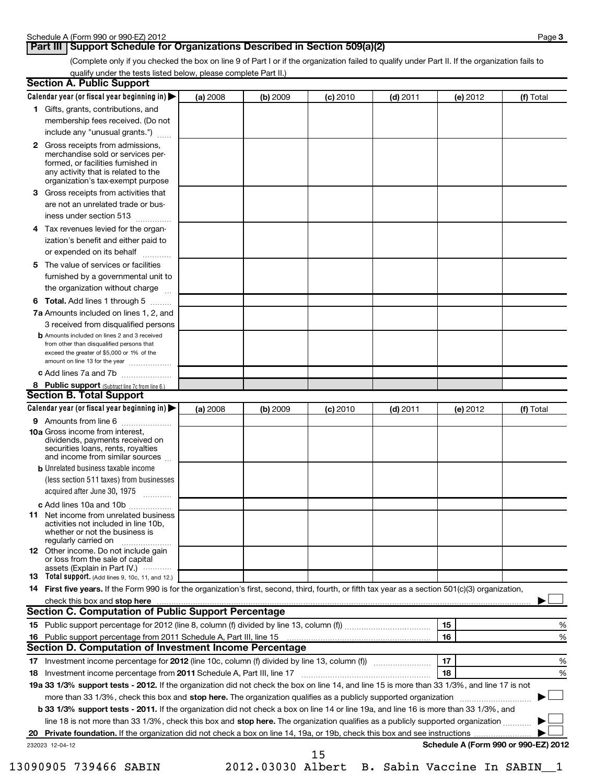#### **Part III Support Schedule for Organizations Described in Section 509(a)(2)**

(Complete only if you checked the box on line 9 of Part I or if the organization failed to qualify under Part II. If the organization fails to qualify under the tests listed below, please complete Part II.)

| <b>Section A. Public Support</b>                                                                                                                                                                |          |          |            |            |                                      |           |
|-------------------------------------------------------------------------------------------------------------------------------------------------------------------------------------------------|----------|----------|------------|------------|--------------------------------------|-----------|
| Calendar year (or fiscal year beginning in)                                                                                                                                                     | (a) 2008 | (b) 2009 | $(c)$ 2010 | $(d)$ 2011 | (e) 2012                             | (f) Total |
| 1 Gifts, grants, contributions, and                                                                                                                                                             |          |          |            |            |                                      |           |
| membership fees received. (Do not                                                                                                                                                               |          |          |            |            |                                      |           |
| include any "unusual grants.")                                                                                                                                                                  |          |          |            |            |                                      |           |
| <b>2</b> Gross receipts from admissions,<br>merchandise sold or services per-<br>formed, or facilities furnished in<br>any activity that is related to the<br>organization's tax-exempt purpose |          |          |            |            |                                      |           |
| 3 Gross receipts from activities that<br>are not an unrelated trade or bus-                                                                                                                     |          |          |            |            |                                      |           |
| iness under section 513                                                                                                                                                                         |          |          |            |            |                                      |           |
| Tax revenues levied for the organ-<br>4                                                                                                                                                         |          |          |            |            |                                      |           |
| ization's benefit and either paid to<br>or expended on its behalf                                                                                                                               |          |          |            |            |                                      |           |
| 5 The value of services or facilities                                                                                                                                                           |          |          |            |            |                                      |           |
| furnished by a governmental unit to                                                                                                                                                             |          |          |            |            |                                      |           |
| the organization without charge                                                                                                                                                                 |          |          |            |            |                                      |           |
| <b>6 Total.</b> Add lines 1 through 5                                                                                                                                                           |          |          |            |            |                                      |           |
| 7a Amounts included on lines 1, 2, and<br>3 received from disqualified persons                                                                                                                  |          |          |            |            |                                      |           |
| <b>b</b> Amounts included on lines 2 and 3 received<br>from other than disqualified persons that<br>exceed the greater of \$5,000 or 1% of the<br>amount on line 13 for the year                |          |          |            |            |                                      |           |
| c Add lines 7a and 7b                                                                                                                                                                           |          |          |            |            |                                      |           |
| 8 Public support (Subtract line 7c from line 6.)                                                                                                                                                |          |          |            |            |                                      |           |
| <b>Section B. Total Support</b>                                                                                                                                                                 |          |          |            |            |                                      |           |
| Calendar year (or fiscal year beginning in)                                                                                                                                                     | (a) 2008 | (b) 2009 | (c) 2010   | $(d)$ 2011 | (e) 2012                             | (f) Total |
| 9 Amounts from line 6<br><b>10a</b> Gross income from interest,                                                                                                                                 |          |          |            |            |                                      |           |
| dividends, payments received on<br>securities loans, rents, royalties<br>and income from similar sources                                                                                        |          |          |            |            |                                      |           |
| <b>b</b> Unrelated business taxable income                                                                                                                                                      |          |          |            |            |                                      |           |
| (less section 511 taxes) from businesses                                                                                                                                                        |          |          |            |            |                                      |           |
| acquired after June 30, 1975<br>$\overline{\phantom{a}}$                                                                                                                                        |          |          |            |            |                                      |           |
| c Add lines 10a and 10b                                                                                                                                                                         |          |          |            |            |                                      |           |
| <b>11</b> Net income from unrelated business<br>activities not included in line 10b,<br>whether or not the business is<br>regularly carried on                                                  |          |          |            |            |                                      |           |
| 12 Other income. Do not include gain<br>or loss from the sale of capital<br>assets (Explain in Part IV.)                                                                                        |          |          |            |            |                                      |           |
| <b>13</b> Total support. (Add lines 9, 10c, 11, and 12.)                                                                                                                                        |          |          |            |            |                                      |           |
| 14 First five years. If the Form 990 is for the organization's first, second, third, fourth, or fifth tax year as a section 501(c)(3) organization,                                             |          |          |            |            |                                      |           |
|                                                                                                                                                                                                 |          |          |            |            |                                      |           |
| Section C. Computation of Public Support Percentage                                                                                                                                             |          |          |            |            |                                      |           |
|                                                                                                                                                                                                 |          |          |            |            | 15                                   | %         |
|                                                                                                                                                                                                 |          |          |            |            | 16                                   | %         |
| Section D. Computation of Investment Income Percentage                                                                                                                                          |          |          |            |            |                                      |           |
|                                                                                                                                                                                                 |          |          |            |            | 17                                   | %         |
| 18 Investment income percentage from 2011 Schedule A, Part III, line 17                                                                                                                         |          |          |            |            | 18                                   | %         |
| 19a 33 1/3% support tests - 2012. If the organization did not check the box on line 14, and line 15 is more than 33 1/3%, and line 17 is not                                                    |          |          |            |            |                                      |           |
| more than 33 1/3%, check this box and stop here. The organization qualifies as a publicly supported organization                                                                                |          |          |            |            |                                      |           |
| b 33 1/3% support tests - 2011. If the organization did not check a box on line 14 or line 19a, and line 16 is more than 33 1/3%, and                                                           |          |          |            |            |                                      |           |
| line 18 is not more than 33 1/3%, check this box and stop here. The organization qualifies as a publicly supported organization                                                                 |          |          |            |            |                                      |           |
| 20<br>232023 12-04-12                                                                                                                                                                           |          |          |            |            | Schedule A (Form 990 or 990-EZ) 2012 |           |
|                                                                                                                                                                                                 |          |          | 15         |            |                                      |           |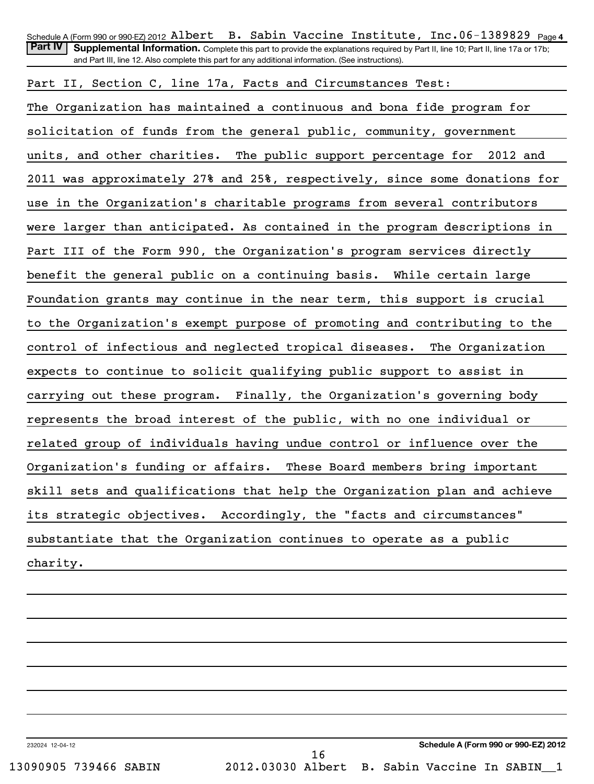| Schedule A (Form 990 or 990-EZ) 2012 Albert B. Sabin Vaccine Institute, Inc.06-1389829 $_{\text{Page 4}}$                                          |
|----------------------------------------------------------------------------------------------------------------------------------------------------|
| <b>Part IV</b><br>Supplemental Information. Complete this part to provide the explanations required by Part II, line 10; Part II, line 17a or 17b; |
| and Part III, line 12. Also complete this part for any additional information. (See instructions).                                                 |
| Part II, Section C, line 17a, Facts and Circumstances Test:                                                                                        |
| The Organization has maintained a continuous and bona fide program for                                                                             |
| solicitation of funds from the general public, community, government                                                                               |
| units, and other charities. The public support percentage for 2012 and                                                                             |
| 2011 was approximately 27% and 25%, respectively, since some donations for                                                                         |
| use in the Organization's charitable programs from several contributors                                                                            |
| were larger than anticipated. As contained in the program descriptions in                                                                          |
| Part III of the Form 990, the Organization's program services directly                                                                             |
| benefit the general public on a continuing basis. While certain large                                                                              |
| Foundation grants may continue in the near term, this support is crucial                                                                           |
| to the Organization's exempt purpose of promoting and contributing to the                                                                          |
| control of infectious and neglected tropical diseases.<br>The Organization                                                                         |
| expects to continue to solicit qualifying public support to assist in                                                                              |
| carrying out these program. Finally, the Organization's governing body                                                                             |
| represents the broad interest of the public, with no one individual or                                                                             |
| related group of individuals having undue control or influence over the                                                                            |
| Organization's funding or affairs.<br>These Board members bring important                                                                          |
| skill sets and qualifications that help the Organization plan and achieve                                                                          |
| its strategic objectives. Accordingly, the "facts and circumstances"                                                                               |
| substantiate that the Organization continues to operate as a public                                                                                |
| charity.                                                                                                                                           |
|                                                                                                                                                    |

232024 12-04-12

**Schedule A (Form 990 or 990-EZ) 2012** 13090905 739466 SABIN 2012.03030 Albert B. Sabin Vaccine In SABIN\_\_1 16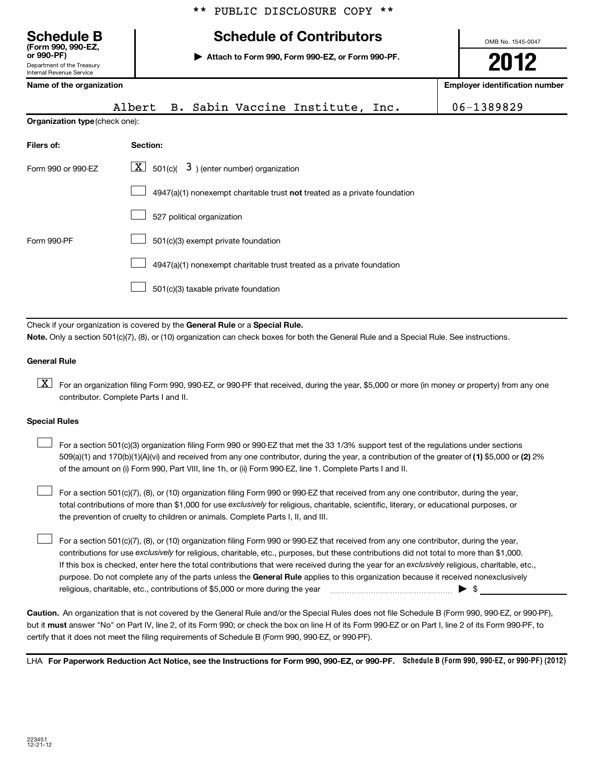# **(Form 990, 990-EZ, Schedule B Schedule of Contributors**

**or 990-PF) | Attach to Form 990, Form 990-EZ, or Form 990-PF.**

OMB No. 1545-0047 **2012**

| Internal Revenue Service              |                                                                             |                                       |
|---------------------------------------|-----------------------------------------------------------------------------|---------------------------------------|
| Name of the organization              |                                                                             | <b>Employer identification number</b> |
|                                       | Albert B. Sabin Vaccine Institute, Inc.                                     | 06-1389829                            |
| <b>Organization type (check one):</b> |                                                                             |                                       |
| Filers of:                            | Section:                                                                    |                                       |
| Form 990 or 990-EZ                    | $\lfloor \underline{X} \rfloor$ 501(c)( 3) (enter number) organization      |                                       |
|                                       | $4947(a)(1)$ nonexempt charitable trust not treated as a private foundation |                                       |
|                                       | 527 political organization                                                  |                                       |
| Form 990-PF                           | 501(c)(3) exempt private foundation                                         |                                       |
|                                       | 4947(a)(1) nonexempt charitable trust treated as a private foundation       |                                       |
|                                       | 501(c)(3) taxable private foundation                                        |                                       |
|                                       |                                                                             |                                       |

Check if your organization is covered by the General Rule or a Special Rule. **Note.**  Only a section 501(c)(7), (8), or (10) organization can check boxes for both the General Rule and a Special Rule. See instructions.

#### **General Rule**

Department of the Treasury

 $\boxed{\textbf{X}}$  For an organization filing Form 990, 990-EZ, or 990-PF that received, during the year, \$5,000 or more (in money or property) from any one contributor. Complete Parts I and II.

#### **Special Rules**

509(a)(1) and 170(b)(1)(A)(vi) and received from any one contributor, during the year, a contribution of the greater of (1**)** \$5,000 or (**2**) 2% For a section 501(c)(3) organization filing Form 990 or 990-EZ that met the 33 1/3% support test of the regulations under sections of the amount on (i) Form 990, Part VIII, line 1h, or (ii) Form 990-EZ, line 1. Complete Parts I and II.  $\left\vert \cdot\right\vert$ 

total contributions of more than \$1,000 for use exclusively for religious, charitable, scientific, literary, or educational purposes, or For a section 501(c)(7), (8), or (10) organization filing Form 990 or 990-EZ that received from any one contributor, during the year, the prevention of cruelty to children or animals. Complete Parts I, II, and III.  $\left\vert \cdot\right\vert$ 

purpose. Do not complete any of the parts unless the General Rule applies to this organization because it received nonexclusively contributions for use exclusively for religious, charitable, etc., purposes, but these contributions did not total to more than \$1,000. If this box is checked, enter here the total contributions that were received during the year for an exclusively religious, charitable, etc., For a section 501(c)(7), (8), or (10) organization filing Form 990 or 990-EZ that received from any one contributor, during the year, religious, charitable, etc., contributions of \$5,000 or more during the year  $\ldots$   $\ldots$   $\ldots$   $\ldots$   $\ldots$   $\ldots$   $\ldots$   $\ldots$   $\blacktriangleright$   $\uparrow$ 

**Caution.** An organization that is not covered by the General Rule and/or the Special Rules does not file Schedule B (Form 990, 990-EZ, or 990-PF), but it **must** answer "No" on Part IV, line 2, of its Form 990; or check the box on line H of its Form 990-EZ or on Part I, line 2 of its Form 990-PF, to certify that it does not meet the filing requirements of Schedule B (Form 990, 990-EZ, or 990-PF).

LHA For Paperwork Reduction Act Notice, see the Instructions for Form 990, 990-EZ, or 990-PF. Schedule B (Form 990, 990-EZ, or 990-PF) (2012)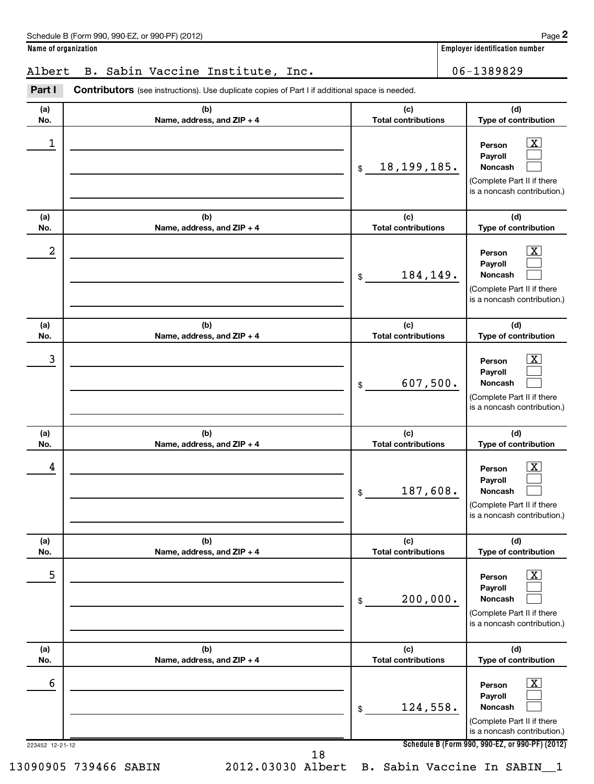**(d) Type of contribution**

### Albert B. Sabin Vaccine Institute, Inc. 106-1389829

**(a) No. (b) Name, address, and ZIP + 4 (c) Total contributions** Part I Contributors (see instructions). Use duplicate copies of Part I if additional space is needed.

| 1                    |                                   | 18, 199, 185.<br>\$               | $\vert$ X<br>Person<br>Payroll<br>Noncash<br>(Complete Part II if there<br>is a noncash contribution.)                                                             |
|----------------------|-----------------------------------|-----------------------------------|--------------------------------------------------------------------------------------------------------------------------------------------------------------------|
| (a)<br>No.           | (b)<br>Name, address, and ZIP + 4 | (c)<br><b>Total contributions</b> | (d)<br>Type of contribution                                                                                                                                        |
| 2                    |                                   | 184,149.<br>\$                    | $\lfloor x \rfloor$<br>Person<br>Payroll<br>Noncash<br>(Complete Part II if there<br>is a noncash contribution.)                                                   |
| (a)<br>No.           | (b)<br>Name, address, and ZIP + 4 | (c)<br><b>Total contributions</b> | (d)<br>Type of contribution                                                                                                                                        |
| 3                    |                                   | 607,500.<br>\$                    | $\boxed{\textbf{X}}$<br>Person<br>Payroll<br>Noncash<br>(Complete Part II if there<br>is a noncash contribution.)                                                  |
| (a)<br>No.           | (b)<br>Name, address, and ZIP + 4 | (c)<br><b>Total contributions</b> | (d)<br>Type of contribution                                                                                                                                        |
| 4                    |                                   | 187,608.<br>\$                    | $\overline{\mathbf{X}}$<br>Person<br>Payroll<br>Noncash<br>(Complete Part II if there<br>is a noncash contribution.)                                               |
| (a)<br>No.           | (b)<br>Name, address, and ZIP + 4 | (c)<br><b>Total contributions</b> | (d)<br>Type of contribution                                                                                                                                        |
| 5                    |                                   | 200,000.<br>\$                    | $\mathbf{X}$<br>Person<br>Payroll<br>Noncash<br>(Complete Part II if there<br>is a noncash contribution.)                                                          |
| (a)<br>No.           | (b)<br>Name, address, and ZIP + 4 | (c)<br><b>Total contributions</b> | (d)<br>Type of contribution                                                                                                                                        |
| 6<br>223452 12-21-12 |                                   | 124,558.<br>\$                    | $\boxed{\text{X}}$<br>Person<br>Payroll<br>Noncash<br>(Complete Part II if there<br>is a noncash contribution.)<br>Schedule B (Form 990, 990-EZ, or 990-PF) (2012) |
|                      | 18                                |                                   |                                                                                                                                                                    |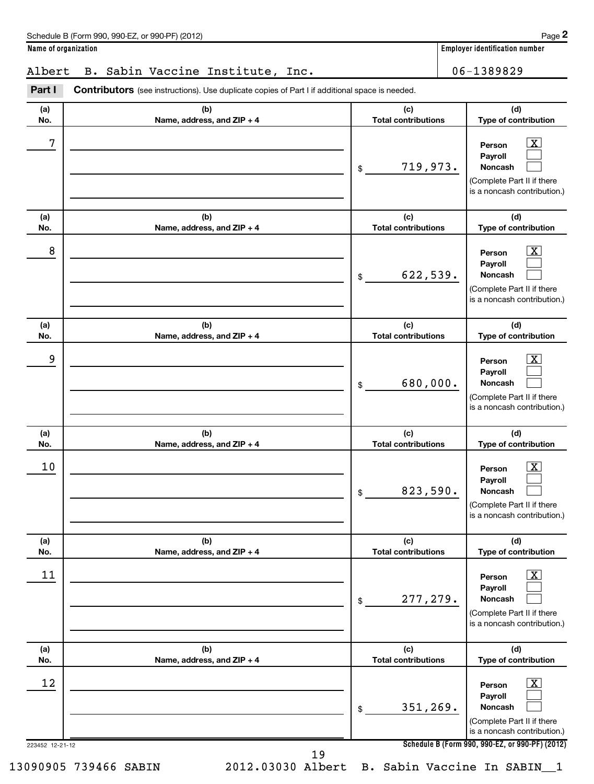## Albert B. Sabin Vaccine Institute, Inc. | 06-1389829

223452 12-21-12 **Schedule B (Form 990, 990-EZ, or 990-PF) (2012) (a) No. (b) Name, address, and ZIP + 4 (c) Total contributions (d) Type of contribution Person Payroll Noncash (a) No. (b) Name, address, and ZIP + 4 (c) Total contributions (d) Type of contribution Person Payroll Noncash (a) No. (b) Name, address, and ZIP + 4 (c) Total contributions (d) Type of contribution Person Payroll Noncash (a) No. (b) Name, address, and ZIP + 4 (c) Total contributions (d) Type of contribution Person Payroll Noncash (a) No. (b) Name, address, and ZIP + 4 (c) Total contributions (d) Type of contribution Person Payroll Noncash (a) No. (b) Name, address, and ZIP + 4 (c) Total contributions (d) Type of contribution Person Payroll Noncash** Part I Contributors (see instructions). Use duplicate copies of Part I if additional space is needed. \$ (Complete Part II if there is a noncash contribution.) \$ (Complete Part II if there is a noncash contribution.) \$ (Complete Part II if there is a noncash contribution.) \$ (Complete Part II if there is a noncash contribution.) \$ (Complete Part II if there is a noncash contribution.) \$ (Complete Part II if there is a noncash contribution.)  $\overline{X}$  $\Box$  $\Box$  $\boxed{\text{X}}$  $\Box$  $\Box$  $\vert$  X  $\vert$  $\Box$  $\Box$  $\overline{X}$  $\Box$  $\Box$  $\lfloor x \rfloor$  $\Box$  $\Box$  $\vert$  X  $\vert$  $\Box$  $\Box$  $7$   $|$  Person  $\overline{\text{X}}$ 719,973.  $8$  Person  $\overline{\text{X}}$ 622,539. 9 X 680,000.  $10$  Person  $\overline{\text{X}}$ 823,590.  $\begin{array}{|c|c|c|c|c|c|}\hline \text{11} & \text{Person} & \text{X} \end{array}$ 277,279. 12 X 351,269. 13090905 739466 SABIN 2012.03030 Albert B. Sabin Vaccine In SABIN\_\_1 19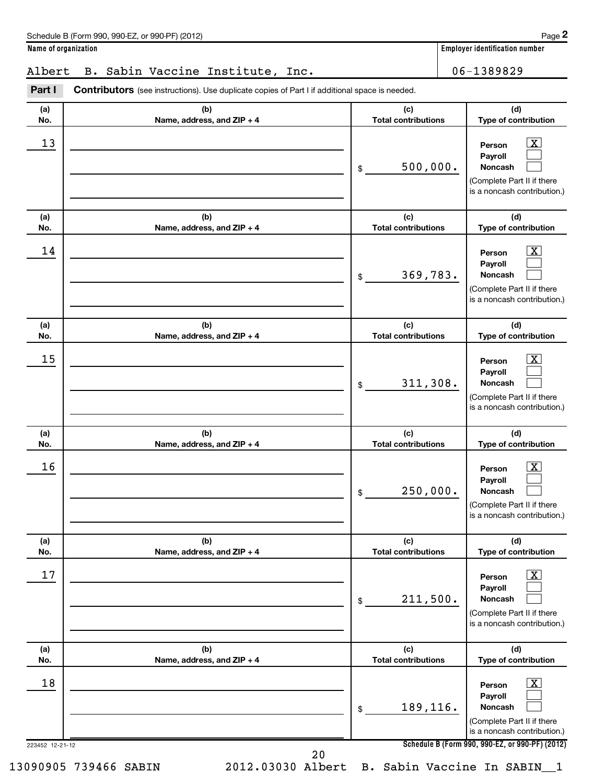## Albert B. Sabin Vaccine Institute, Inc. | 06-1389829

223452 12-21-12 **Schedule B (Form 990, 990-EZ, or 990-PF) (2012) (a) No. (b) Name, address, and ZIP + 4 (c) Total contributions (d) Type of contribution Person Payroll Noncash (a) No. (b) Name, address, and ZIP + 4 (c) Total contributions (d) Type of contribution Person Payroll Noncash (a) No. (b) Name, address, and ZIP + 4 (c) Total contributions (d) Type of contribution Person Payroll Noncash (a) No. (b) Name, address, and ZIP + 4 (c) Total contributions (d) Type of contribution Person Payroll Noncash (a) No. (b) Name, address, and ZIP + 4 (c) Total contributions (d) Type of contribution Person Payroll Noncash (a) No. (b) Name, address, and ZIP + 4 (c) Total contributions (d) Type of contribution Person Payroll Noncash** Part I Contributors (see instructions). Use duplicate copies of Part I if additional space is needed. \$ (Complete Part II if there is a noncash contribution.) \$ (Complete Part II if there is a noncash contribution.) \$ (Complete Part II if there is a noncash contribution.) \$ (Complete Part II if there is a noncash contribution.) \$ (Complete Part II if there is a noncash contribution.) \$ (Complete Part II if there is a noncash contribution.)  $\overline{X}$  $\Box$  $\Box$  $\boxed{\text{X}}$  $\Box$  $\Box$  $\vert$  X  $\vert$  $\Box$  $\Box$  $\overline{X}$  $\Box$  $\Box$  $\lfloor x \rfloor$  $\Box$  $\Box$  $\vert$  X  $\vert$  $\Box$  $\Box$ 13 X 500,000.  $14$  Person  $\overline{\text{X}}$ 369,783.  $15$  Person  $\overline{\text{X}}$ 311,308.  $16$  Person  $\overline{\text{X}}$ 250,000.  $17$  Person  $\overline{\text{X}}$ 211,500. 18 X 189,116. 13090905 739466 SABIN 2012.03030 Albert B. Sabin Vaccine In SABIN\_\_1 20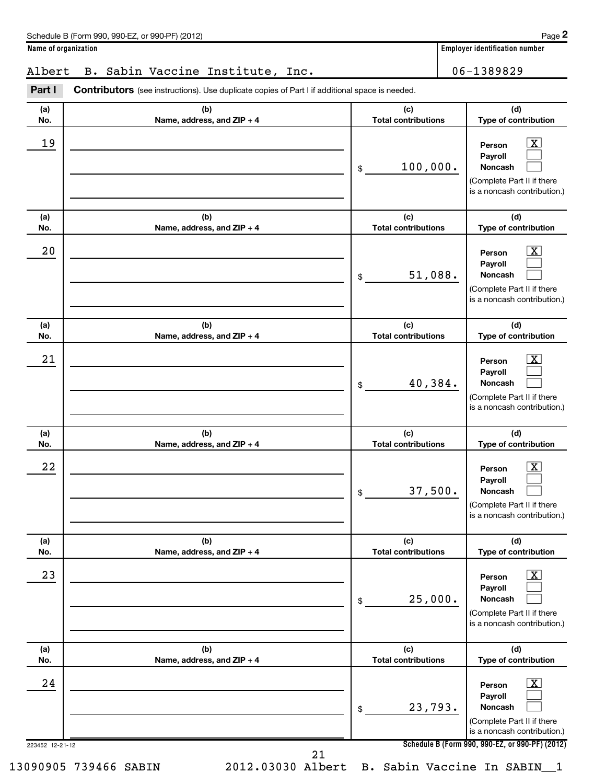## Albert B. Sabin Vaccine Institute, Inc. | 06-1389829

223452 12-21-12 **Schedule B (Form 990, 990-EZ, or 990-PF) (2012) (a) No. (b) Name, address, and ZIP + 4 (c) Total contributions (d) Type of contribution Person Payroll Noncash (a) No. (b) Name, address, and ZIP + 4 (c) Total contributions (d) Type of contribution Person Payroll Noncash (a) No. (b) Name, address, and ZIP + 4 (c) Total contributions (d) Type of contribution Person Payroll Noncash (a) No. (b) Name, address, and ZIP + 4 (c) Total contributions (d) Type of contribution Person Payroll Noncash (a) No. (b) Name, address, and ZIP + 4 (c) Total contributions (d) Type of contribution Person Payroll Noncash (a) No. (b) Name, address, and ZIP + 4 (c) Total contributions (d) Type of contribution Person Payroll Noncash** Part I Contributors (see instructions). Use duplicate copies of Part I if additional space is needed. \$ (Complete Part II if there is a noncash contribution.) \$ (Complete Part II if there is a noncash contribution.) \$ (Complete Part II if there is a noncash contribution.) \$ (Complete Part II if there is a noncash contribution.) \$ (Complete Part II if there is a noncash contribution.) \$ (Complete Part II if there is a noncash contribution.)  $\overline{X}$  $\Box$  $\Box$  $\boxed{\text{X}}$  $\Box$  $\Box$  $\vert$  X  $\vert$  $\Box$  $\Box$  $\overline{X}$  $\Box$  $\Box$  $\lfloor x \rfloor$  $\Box$  $\Box$  $\vert$  X  $\vert$  $\Box$  $\Box$  $19$  Person  $\overline{\text{X}}$ 100,000.  $20$  Person  $\overline{\text{X}}$ 51,088.  $21$  Person  $\overline{\text{X}}$ 40,384.  $22$  Person  $\overline{\text{X}}$ 37,500.  $23$  Person  $\overline{\text{X}}$ 25,000.  $24$  Person  $\overline{\text{X}}$ 23,793. 21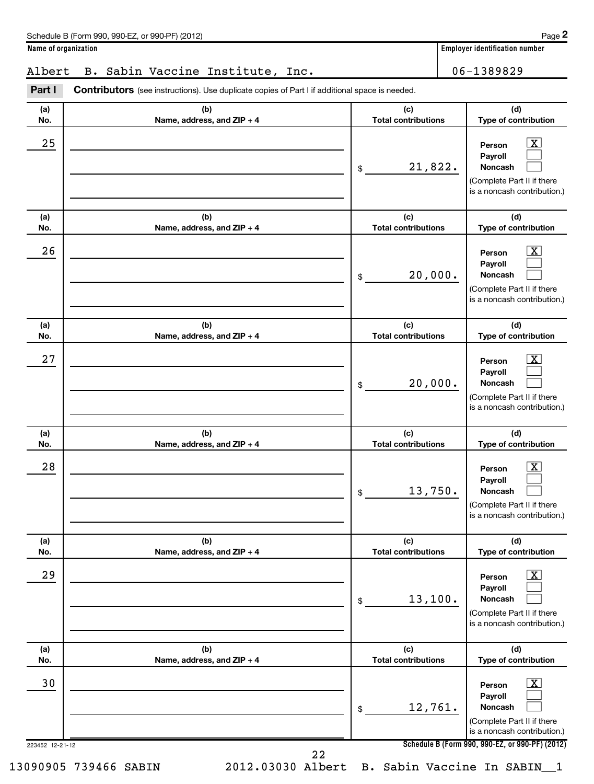## Albert B. Sabin Vaccine Institute, Inc. | 06-1389829

223452 12-21-12 **Schedule B (Form 990, 990-EZ, or 990-PF) (2012) (a) No. (b) Name, address, and ZIP + 4 (c) Total contributions (d) Type of contribution Person Payroll Noncash (a) No. (b) Name, address, and ZIP + 4 (c) Total contributions (d) Type of contribution Person Payroll Noncash (a) No. (b) Name, address, and ZIP + 4 (c) Total contributions (d) Type of contribution Person Payroll Noncash (a) No. (b) Name, address, and ZIP + 4 (c) Total contributions (d) Type of contribution Person Payroll Noncash (a) No. (b) Name, address, and ZIP + 4 (c) Total contributions (d) Type of contribution Person Payroll Noncash (a) No. (b) Name, address, and ZIP + 4 (c) Total contributions (d) Type of contribution Person Payroll Noncash** Part I Contributors (see instructions). Use duplicate copies of Part I if additional space is needed. \$ (Complete Part II if there is a noncash contribution.) \$ (Complete Part II if there is a noncash contribution.) \$ (Complete Part II if there is a noncash contribution.) \$ (Complete Part II if there is a noncash contribution.) \$ (Complete Part II if there is a noncash contribution.) \$ (Complete Part II if there is a noncash contribution.)  $\overline{\mathbf{x}}$  $\Box$  $\Box$  $\boxed{\text{X}}$  $\Box$  $\Box$  $\vert$  X  $\vert$  $\Box$  $\Box$  $\overline{X}$  $\Box$  $\Box$  $\lfloor x \rfloor$  $\Box$  $\Box$  $\vert$  X  $\vert$  $\Box$  $\Box$  $25$  Person  $\overline{\text{X}}$ 21,822.  $26$  Person  $\overline{\text{X}}$ 20,000.  $27$  Person  $\overline{\text{X}}$ 20,000.  $28$  Person  $\overline{\text{X}}$ 13,750.  $29$  Person  $\overline{\text{X}}$ 13,100. 30 X 12,761. 22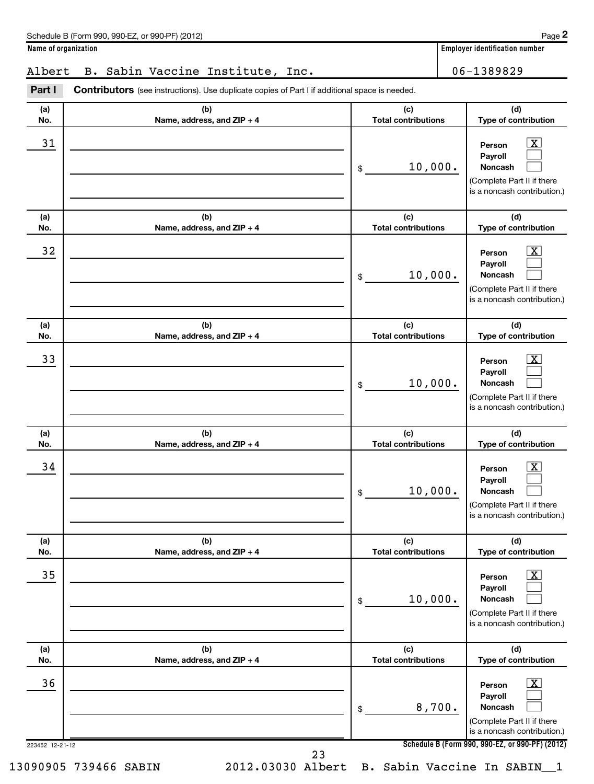## Albert B. Sabin Vaccine Institute, Inc. | 06-1389829

223452 12-21-12 **Schedule B (Form 990, 990-EZ, or 990-PF) (2012) (a) No. (b) Name, address, and ZIP + 4 (c) Total contributions (d) Type of contribution Person Payroll Noncash (a) No. (b) Name, address, and ZIP + 4 (c) Total contributions (d) Type of contribution Person Payroll Noncash (a) No. (b) Name, address, and ZIP + 4 (c) Total contributions (d) Type of contribution Person Payroll Noncash (a) No. (b) Name, address, and ZIP + 4 (c) Total contributions (d) Type of contribution Person Payroll Noncash (a) No. (b) Name, address, and ZIP + 4 (c) Total contributions (d) Type of contribution Person Payroll Noncash (a) No. (b) Name, address, and ZIP + 4 (c) Total contributions (d) Type of contribution Person Payroll Noncash** Part I Contributors (see instructions). Use duplicate copies of Part I if additional space is needed. \$ (Complete Part II if there is a noncash contribution.) \$ (Complete Part II if there is a noncash contribution.) \$ (Complete Part II if there is a noncash contribution.) \$ (Complete Part II if there is a noncash contribution.) \$ (Complete Part II if there is a noncash contribution.) \$ (Complete Part II if there is a noncash contribution.)  $\overline{\mathbf{x}}$  $\Box$  $\Box$  $\boxed{\text{X}}$  $\Box$  $\Box$  $\vert$  X  $\vert$  $\Box$  $\Box$  $\overline{X}$  $\Box$  $\Box$  $\lfloor x \rfloor$  $\Box$  $\Box$  $\vert$  X  $\vert$  $\Box$  $\Box$ 31 X 10,000. 32 X 10,000.  $\overline{33}$  Person  $\overline{\text{X}}$ 10,000.  $\begin{array}{|c|c|c|c|c|c|}\hline \text{34} & \text{Person} & \text{XX} \\\hline \end{array}$ 10,000.  $\overline{35}$  Person  $\overline{\text{X}}$ 10,000.  $36$  Person  $\overline{\text{X}}$ 8,700. 23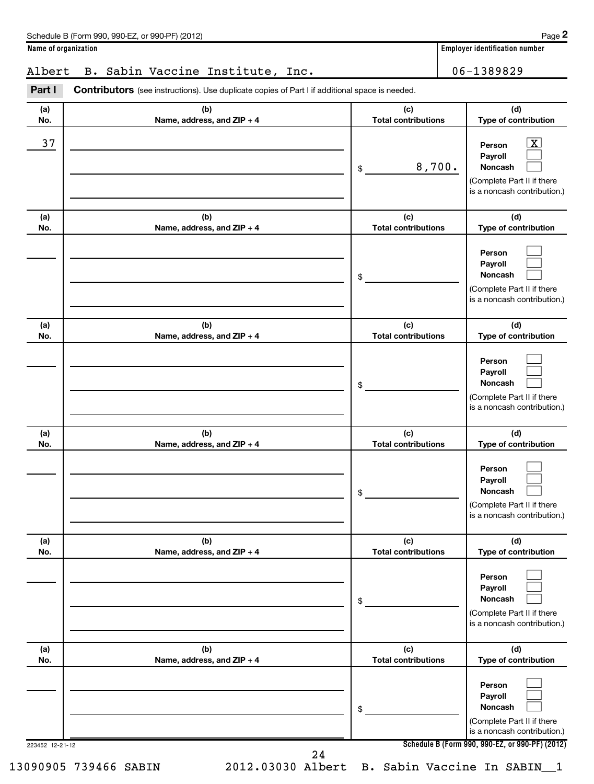## Albert B. Sabin Vaccine Institute, Inc. 106-1389829

| (a) | (b)                        | (c)                        | (d)                                                                                                                    |
|-----|----------------------------|----------------------------|------------------------------------------------------------------------------------------------------------------------|
| No. | Name, address, and ZIP + 4 | <b>Total contributions</b> | Type of contribution                                                                                                   |
| 37  |                            | 8,700.<br>\$               | $\boxed{\text{X}}$<br>Person<br>Payroll<br><b>Noncash</b><br>(Complete Part II if there<br>is a noncash contribution.) |
| (a) | (b)                        | (c)                        | (d)                                                                                                                    |
| No. | Name, address, and ZIP + 4 | <b>Total contributions</b> | Type of contribution                                                                                                   |
|     |                            | \$                         | Person<br>Payroll<br><b>Noncash</b><br>(Complete Part II if there<br>is a noncash contribution.)                       |
| (a) | (b)                        | (c)                        | (d)                                                                                                                    |
| No. | Name, address, and ZIP + 4 | <b>Total contributions</b> | Type of contribution                                                                                                   |
|     |                            | \$                         | Person<br>Payroll<br><b>Noncash</b><br>(Complete Part II if there<br>is a noncash contribution.)                       |
| (a) | (b)                        | (c)                        | (d)                                                                                                                    |
| No. | Name, address, and ZIP + 4 | <b>Total contributions</b> | Type of contribution                                                                                                   |
|     |                            | \$                         | Person<br>Payroll<br>Noncash<br>(Complete Part II if there<br>is a noncash contribution.)                              |
| (a) | (b)                        | (c)                        | (d)                                                                                                                    |
| No. | Name, address, and ZIP + 4 | <b>Total contributions</b> | Type of contribution                                                                                                   |
|     |                            | \$                         | Person<br>Payroll<br><b>Noncash</b><br>(Complete Part II if there<br>is a noncash contribution.)                       |
| (a) | (b)                        | (c)                        | (d)                                                                                                                    |
| No. | Name, address, and ZIP + 4 | <b>Total contributions</b> | Type of contribution                                                                                                   |
|     |                            | \$                         | Person<br>Payroll<br><b>Noncash</b><br>(Complete Part II if there<br>is a noncash contribution.)                       |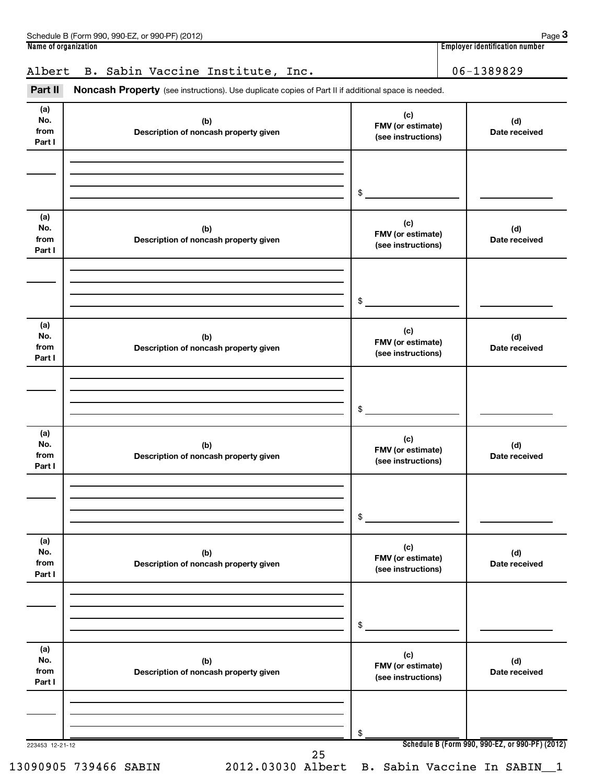|                              | Page 3<br>Schedule B (Form 990, 990-EZ, or 990-PF) (2012)                                                                                      |                                                       |                                       |                      |  |  |  |  |
|------------------------------|------------------------------------------------------------------------------------------------------------------------------------------------|-------------------------------------------------------|---------------------------------------|----------------------|--|--|--|--|
| Name of organization         |                                                                                                                                                |                                                       | <b>Employer identification number</b> |                      |  |  |  |  |
| Albert<br>Part II            | B. Sabin Vaccine Institute, Inc.<br><b>Noncash Property</b> (see instructions). Use duplicate copies of Part II if additional space is needed. |                                                       |                                       | 06-1389829           |  |  |  |  |
| (a)<br>No.<br>from<br>Part I | (b)<br>Description of noncash property given                                                                                                   | (c)<br><b>FMV</b> (or estimate)<br>(see instructions) |                                       | (d)<br>Date received |  |  |  |  |
|                              |                                                                                                                                                | \$.                                                   |                                       |                      |  |  |  |  |

| (a)<br>No.<br>from<br>Part I | (b)<br>Description of noncash property given | (c)<br>FMV (or estimate)<br>(see instructions) | (d)<br>Date received                            |
|------------------------------|----------------------------------------------|------------------------------------------------|-------------------------------------------------|
|                              |                                              |                                                |                                                 |
|                              |                                              |                                                |                                                 |
|                              |                                              | \$                                             |                                                 |
| (a)                          |                                              | (c)                                            |                                                 |
| No.<br>from                  | (b)<br>Description of noncash property given | FMV (or estimate)                              | (d)<br>Date received                            |
| Part I                       |                                              | (see instructions)                             |                                                 |
|                              |                                              |                                                |                                                 |
|                              |                                              |                                                |                                                 |
|                              |                                              | \$                                             |                                                 |
| (a)                          |                                              | (c)                                            |                                                 |
| No.<br>from                  | (b)<br>Description of noncash property given | FMV (or estimate)                              | (d)<br>Date received                            |
| Part I                       |                                              | (see instructions)                             |                                                 |
|                              |                                              |                                                |                                                 |
|                              |                                              |                                                |                                                 |
|                              |                                              | \$                                             |                                                 |
| (a)                          |                                              | (c)                                            |                                                 |
| No.<br>from                  | (b)<br>Description of noncash property given | FMV (or estimate)                              | (d)<br>Date received                            |
| Part I                       |                                              | (see instructions)                             |                                                 |
|                              |                                              |                                                |                                                 |
|                              |                                              |                                                |                                                 |
|                              |                                              | \$                                             |                                                 |
| (a)                          |                                              | (c)                                            |                                                 |
| No.<br>from                  | (b)                                          | FMV (or estimate)                              | (d)                                             |
| Part I                       | Description of noncash property given        | (see instructions)                             | Date received                                   |
|                              |                                              |                                                |                                                 |
|                              |                                              |                                                |                                                 |
|                              |                                              | \$                                             |                                                 |
| 223453 12-21-12              | 25                                           |                                                | Schedule B (Form 990, 990-EZ, or 990-PF) (2012) |
| 13090905 739466 SABIN        | 2012.03030 Albert                            | B. Sabin Vaccine In SABIN 1                    |                                                 |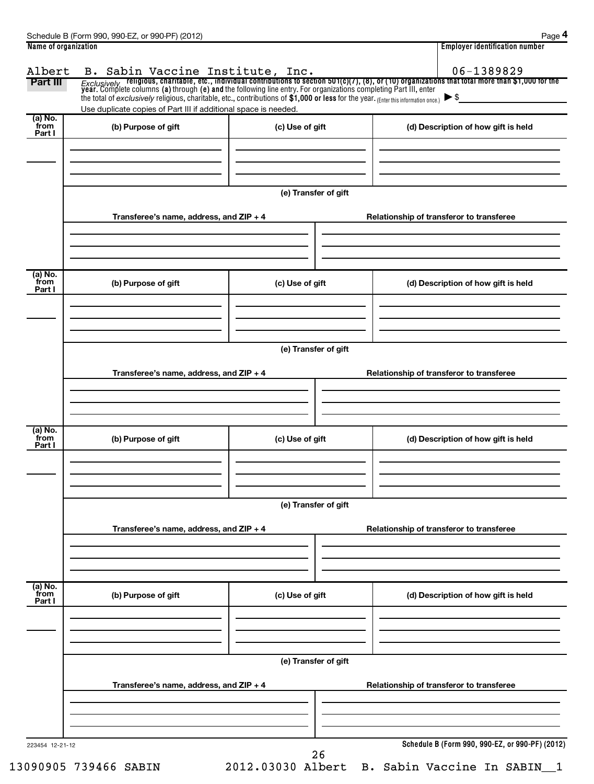| Part III                  | the total of exclusively religious, charitable, etc., contributions of $$1,000$ or less for the year. (Enter this information once.) $\triangleright$ \$<br>Use duplicate copies of Part III if additional space is needed. |                      | B. Sabin Vaccine Institute, Inc. $06-1389829$<br>Exclusively religious, charitable, etc., individual contributions to section 501(c)(7), (8), or (10) organizations that total more than \$1,000 for the year. Complete columns ( |
|---------------------------|-----------------------------------------------------------------------------------------------------------------------------------------------------------------------------------------------------------------------------|----------------------|-----------------------------------------------------------------------------------------------------------------------------------------------------------------------------------------------------------------------------------|
| (a) No.<br>from<br>Part I | (b) Purpose of gift                                                                                                                                                                                                         | (c) Use of gift      | (d) Description of how gift is held                                                                                                                                                                                               |
|                           | Transferee's name, address, and ZIP + 4                                                                                                                                                                                     | (e) Transfer of gift | Relationship of transferor to transferee                                                                                                                                                                                          |
| (a) No.<br>from<br>Part I | (b) Purpose of gift                                                                                                                                                                                                         | (c) Use of gift      | (d) Description of how gift is held                                                                                                                                                                                               |
|                           | Transferee's name, address, and ZIP + 4                                                                                                                                                                                     | (e) Transfer of gift | Relationship of transferor to transferee                                                                                                                                                                                          |
| (a) No.<br>from<br>Part I | (b) Purpose of gift                                                                                                                                                                                                         | (c) Use of gift      | (d) Description of how gift is held                                                                                                                                                                                               |
|                           | Transferee's name, address, and ZIP + 4                                                                                                                                                                                     | (e) Transfer of gift | Relationship of transferor to transferee                                                                                                                                                                                          |
| (a) No.                   |                                                                                                                                                                                                                             |                      |                                                                                                                                                                                                                                   |
| from<br>Part I            | (b) Purpose of gift                                                                                                                                                                                                         | (c) Use of gift      | (d) Description of how gift is held                                                                                                                                                                                               |
|                           | Transferee's name, address, and ZIP + 4                                                                                                                                                                                     | (e) Transfer of gift | Relationship of transferor to transferee                                                                                                                                                                                          |
|                           |                                                                                                                                                                                                                             |                      |                                                                                                                                                                                                                                   |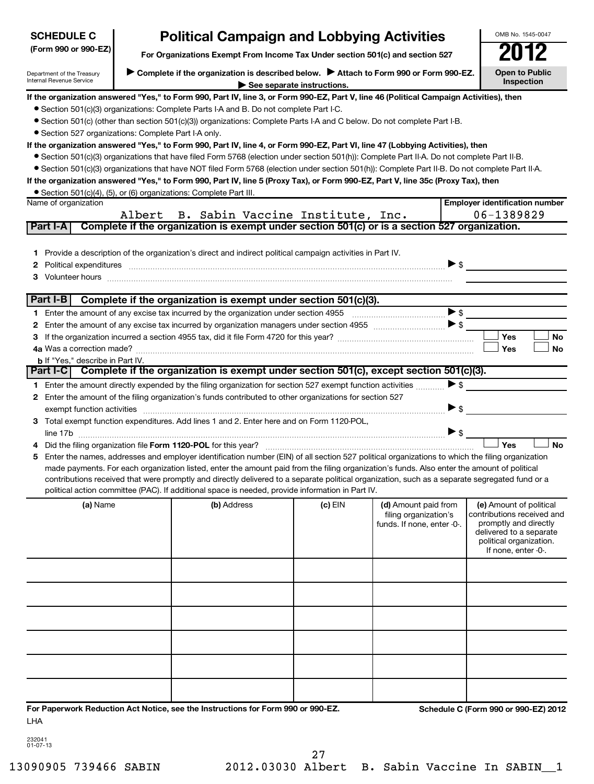| <b>SCHEDULE C</b>                                      |        | <b>Political Campaign and Lobbying Activities</b>                                                                                                                                                                                   |                            |                                                                             |                          | OMB No. 1545-0047                                                                                                                                           |
|--------------------------------------------------------|--------|-------------------------------------------------------------------------------------------------------------------------------------------------------------------------------------------------------------------------------------|----------------------------|-----------------------------------------------------------------------------|--------------------------|-------------------------------------------------------------------------------------------------------------------------------------------------------------|
| (Form 990 or 990-EZ)                                   |        | For Organizations Exempt From Income Tax Under section 501(c) and section 527                                                                                                                                                       |                            |                                                                             |                          |                                                                                                                                                             |
| Department of the Treasury<br>Internal Revenue Service |        | Complete if the organization is described below.<br>Attach to Form 990 or Form 990-EZ.                                                                                                                                              | See separate instructions. |                                                                             |                          | <b>Open to Public</b><br>Inspection                                                                                                                         |
|                                                        |        | If the organization answered "Yes," to Form 990, Part IV, line 3, or Form 990-EZ, Part V, line 46 (Political Campaign Activities), then                                                                                             |                            |                                                                             |                          |                                                                                                                                                             |
|                                                        |        | • Section 501(c)(3) organizations: Complete Parts I-A and B. Do not complete Part I-C.                                                                                                                                              |                            |                                                                             |                          |                                                                                                                                                             |
|                                                        |        | ● Section 501(c) (other than section 501(c)(3)) organizations: Complete Parts I-A and C below. Do not complete Part I-B.                                                                                                            |                            |                                                                             |                          |                                                                                                                                                             |
| • Section 527 organizations: Complete Part I-A only.   |        |                                                                                                                                                                                                                                     |                            |                                                                             |                          |                                                                                                                                                             |
|                                                        |        | If the organization answered "Yes," to Form 990, Part IV, line 4, or Form 990-EZ, Part VI, line 47 (Lobbying Activities), then                                                                                                      |                            |                                                                             |                          |                                                                                                                                                             |
|                                                        |        | • Section 501(c)(3) organizations that have filed Form 5768 (election under section 501(h)): Complete Part II-A. Do not complete Part II-B.                                                                                         |                            |                                                                             |                          |                                                                                                                                                             |
|                                                        |        | • Section 501(c)(3) organizations that have NOT filed Form 5768 (election under section 501(h)): Complete Part II-B. Do not complete Part II-A.                                                                                     |                            |                                                                             |                          |                                                                                                                                                             |
|                                                        |        | If the organization answered "Yes," to Form 990, Part IV, line 5 (Proxy Tax), or Form 990-EZ, Part V, line 35c (Proxy Tax), then                                                                                                    |                            |                                                                             |                          |                                                                                                                                                             |
|                                                        |        | • Section 501(c)(4), (5), or (6) organizations: Complete Part III.                                                                                                                                                                  |                            |                                                                             |                          |                                                                                                                                                             |
| Name of organization                                   |        |                                                                                                                                                                                                                                     |                            |                                                                             |                          | <b>Employer identification number</b>                                                                                                                       |
|                                                        | Albert | B. Sabin Vaccine Institute, Inc.                                                                                                                                                                                                    |                            |                                                                             |                          | 06-1389829                                                                                                                                                  |
| Part I-A                                               |        | Complete if the organization is exempt under section 501(c) or is a section 527 organization.                                                                                                                                       |                            |                                                                             |                          |                                                                                                                                                             |
|                                                        |        |                                                                                                                                                                                                                                     |                            |                                                                             |                          |                                                                                                                                                             |
|                                                        |        | 1 Provide a description of the organization's direct and indirect political campaign activities in Part IV.                                                                                                                         |                            |                                                                             |                          |                                                                                                                                                             |
|                                                        |        | 2 Political expenditures <b>communications</b> and contract the contract of the contract of the contract of the contract of the contract of the contract of the contract of the contract of the contract of the contract of the con |                            |                                                                             | $\triangleright$ s       |                                                                                                                                                             |
|                                                        |        |                                                                                                                                                                                                                                     |                            |                                                                             |                          |                                                                                                                                                             |
| Part I-B                                               |        |                                                                                                                                                                                                                                     |                            |                                                                             |                          |                                                                                                                                                             |
|                                                        |        | Complete if the organization is exempt under section 501(c)(3).                                                                                                                                                                     |                            |                                                                             |                          |                                                                                                                                                             |
|                                                        |        |                                                                                                                                                                                                                                     |                            |                                                                             |                          |                                                                                                                                                             |
|                                                        |        |                                                                                                                                                                                                                                     |                            |                                                                             |                          | Yes<br>No                                                                                                                                                   |
|                                                        |        |                                                                                                                                                                                                                                     |                            |                                                                             |                          | <b>No</b><br>Yes                                                                                                                                            |
| <b>b</b> If "Yes," describe in Part IV.                |        |                                                                                                                                                                                                                                     |                            |                                                                             |                          |                                                                                                                                                             |
| Part I-C                                               |        | Complete if the organization is exempt under section 501(c), except section 501(c)(3).                                                                                                                                              |                            |                                                                             |                          |                                                                                                                                                             |
|                                                        |        | 1 Enter the amount directly expended by the filing organization for section 527 exempt function activities                                                                                                                          |                            |                                                                             | $\blacktriangleright$ \$ |                                                                                                                                                             |
|                                                        |        | 2 Enter the amount of the filing organization's funds contributed to other organizations for section 527                                                                                                                            |                            |                                                                             |                          |                                                                                                                                                             |
|                                                        |        | exempt function activities exempt function activities exempt function activities exempt function activities exempt function activities exempt function activities exempt function activities exempt of the state of the state       |                            |                                                                             | $\blacktriangleright$ \$ |                                                                                                                                                             |
|                                                        |        | 3 Total exempt function expenditures. Add lines 1 and 2. Enter here and on Form 1120-POL.                                                                                                                                           |                            |                                                                             |                          |                                                                                                                                                             |
| line 17b                                               |        |                                                                                                                                                                                                                                     |                            |                                                                             | $\triangleright$ s       |                                                                                                                                                             |
|                                                        |        |                                                                                                                                                                                                                                     |                            |                                                                             |                          | Yes<br><b>No</b>                                                                                                                                            |
|                                                        |        | 5 Enter the names, addresses and employer identification number (EIN) of all section 527 political organizations to which the filing organization                                                                                   |                            |                                                                             |                          |                                                                                                                                                             |
|                                                        |        | made payments. For each organization listed, enter the amount paid from the filing organization's funds. Also enter the amount of political                                                                                         |                            |                                                                             |                          |                                                                                                                                                             |
|                                                        |        | contributions received that were promptly and directly delivered to a separate political organization, such as a separate segregated fund or a                                                                                      |                            |                                                                             |                          |                                                                                                                                                             |
|                                                        |        | political action committee (PAC). If additional space is needed, provide information in Part IV.                                                                                                                                    |                            |                                                                             |                          |                                                                                                                                                             |
| (a) Name                                               |        | (b) Address                                                                                                                                                                                                                         | (c) EIN                    | (d) Amount paid from<br>filing organization's<br>funds. If none, enter -0-. |                          | (e) Amount of political<br>contributions received and<br>promptly and directly<br>delivered to a separate<br>political organization.<br>If none, enter -0-. |
|                                                        |        |                                                                                                                                                                                                                                     |                            |                                                                             |                          |                                                                                                                                                             |
|                                                        |        |                                                                                                                                                                                                                                     |                            |                                                                             |                          |                                                                                                                                                             |
|                                                        |        |                                                                                                                                                                                                                                     |                            |                                                                             |                          |                                                                                                                                                             |
|                                                        |        |                                                                                                                                                                                                                                     |                            |                                                                             |                          |                                                                                                                                                             |
|                                                        |        |                                                                                                                                                                                                                                     |                            |                                                                             |                          |                                                                                                                                                             |
|                                                        |        |                                                                                                                                                                                                                                     |                            |                                                                             |                          |                                                                                                                                                             |
|                                                        |        |                                                                                                                                                                                                                                     |                            |                                                                             |                          |                                                                                                                                                             |
| LHA                                                    |        | For Paperwork Reduction Act Notice, see the Instructions for Form 990 or 990-EZ.                                                                                                                                                    |                            |                                                                             |                          | Schedule C (Form 990 or 990-EZ) 2012                                                                                                                        |

| 232041<br>01-07-13 |
|--------------------|
|                    |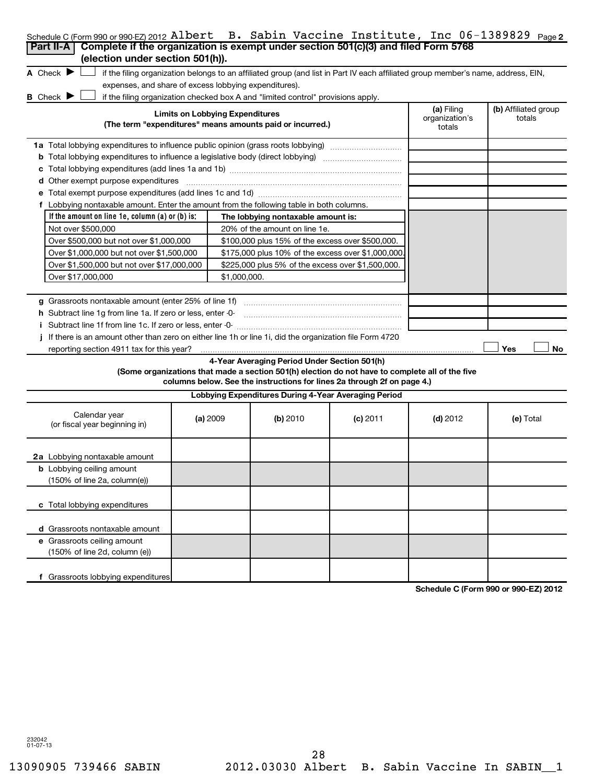| Schedule C (Form 990 or 990-EZ) 2012 Albert B. Sabin Vaccine Institute, Inc 06-1389829 Page2              |                                                                                                     |              |                                                                                  |                                                                                                                                   |            |                                      |
|-----------------------------------------------------------------------------------------------------------|-----------------------------------------------------------------------------------------------------|--------------|----------------------------------------------------------------------------------|-----------------------------------------------------------------------------------------------------------------------------------|------------|--------------------------------------|
| Complete if the organization is exempt under section 501(c)(3) and filed Form 5768<br>Part II-A           |                                                                                                     |              |                                                                                  |                                                                                                                                   |            |                                      |
| (election under section 501(h)).<br>A Check $\blacktriangleright$                                         |                                                                                                     |              |                                                                                  |                                                                                                                                   |            |                                      |
| expenses, and share of excess lobbying expenditures).                                                     |                                                                                                     |              |                                                                                  | if the filing organization belongs to an affiliated group (and list in Part IV each affiliated group member's name, address, EIN, |            |                                      |
| <b>B</b> Check $\blacktriangleright$                                                                      |                                                                                                     |              | if the filing organization checked box A and "limited control" provisions apply. |                                                                                                                                   |            |                                      |
|                                                                                                           |                                                                                                     |              |                                                                                  |                                                                                                                                   | (a) Filing | (b) Affiliated group                 |
|                                                                                                           | <b>Limits on Lobbying Expenditures</b><br>(The term "expenditures" means amounts paid or incurred.) |              |                                                                                  |                                                                                                                                   |            | totals                               |
| 1a Total lobbying expenditures to influence public opinion (grass roots lobbying)                         |                                                                                                     |              |                                                                                  |                                                                                                                                   |            |                                      |
| <b>b</b> Total lobbying expenditures to influence a legislative body (direct lobbying) <i>manumumumum</i> |                                                                                                     |              |                                                                                  |                                                                                                                                   |            |                                      |
|                                                                                                           |                                                                                                     |              |                                                                                  |                                                                                                                                   |            |                                      |
| d Other exempt purpose expenditures                                                                       |                                                                                                     |              |                                                                                  |                                                                                                                                   |            |                                      |
|                                                                                                           |                                                                                                     |              |                                                                                  |                                                                                                                                   |            |                                      |
| f Lobbying nontaxable amount. Enter the amount from the following table in both columns.                  |                                                                                                     |              |                                                                                  |                                                                                                                                   |            |                                      |
| If the amount on line $1e$ , column $(a)$ or $(b)$ is:                                                    |                                                                                                     |              | The lobbying nontaxable amount is:                                               |                                                                                                                                   |            |                                      |
| Not over \$500,000                                                                                        |                                                                                                     |              | 20% of the amount on line 1e.                                                    |                                                                                                                                   |            |                                      |
| Over \$500,000 but not over \$1,000,000                                                                   |                                                                                                     |              | \$100,000 plus 15% of the excess over \$500,000.                                 |                                                                                                                                   |            |                                      |
| Over \$1,000,000 but not over \$1,500,000                                                                 |                                                                                                     |              | \$175,000 plus 10% of the excess over \$1,000,000                                |                                                                                                                                   |            |                                      |
| Over \$1,500,000 but not over \$17,000,000                                                                |                                                                                                     |              | \$225,000 plus 5% of the excess over \$1,500,000.                                |                                                                                                                                   |            |                                      |
| Over \$17,000,000                                                                                         |                                                                                                     | \$1,000,000. |                                                                                  |                                                                                                                                   |            |                                      |
|                                                                                                           |                                                                                                     |              |                                                                                  |                                                                                                                                   |            |                                      |
| g Grassroots nontaxable amount (enter 25% of line 1f)                                                     |                                                                                                     |              |                                                                                  |                                                                                                                                   |            |                                      |
| h Subtract line 1q from line 1a. If zero or less, enter -0-                                               |                                                                                                     |              |                                                                                  |                                                                                                                                   |            |                                      |
| i Subtract line 1f from line 1c. If zero or less, enter -0-                                               |                                                                                                     |              |                                                                                  |                                                                                                                                   |            |                                      |
| If there is an amount other than zero on either line 1h or line 1i, did the organization file Form 4720   |                                                                                                     |              |                                                                                  |                                                                                                                                   |            |                                      |
| reporting section 4911 tax for this year?                                                                 |                                                                                                     |              |                                                                                  |                                                                                                                                   |            | Yes<br>No                            |
|                                                                                                           |                                                                                                     |              | 4-Year Averaging Period Under Section 501(h)                                     | (Some organizations that made a section 501(h) election do not have to complete all of the five                                   |            |                                      |
|                                                                                                           |                                                                                                     |              |                                                                                  | columns below. See the instructions for lines 2a through 2f on page 4.)                                                           |            |                                      |
|                                                                                                           |                                                                                                     |              | Lobbying Expenditures During 4-Year Averaging Period                             |                                                                                                                                   |            |                                      |
| Calendar year                                                                                             |                                                                                                     |              |                                                                                  |                                                                                                                                   |            |                                      |
| (or fiscal year beginning in)                                                                             |                                                                                                     | (a) 2009     | (b) 2010                                                                         | $(c)$ 2011                                                                                                                        | $(d)$ 2012 | (e) Total                            |
|                                                                                                           |                                                                                                     |              |                                                                                  |                                                                                                                                   |            |                                      |
|                                                                                                           |                                                                                                     |              |                                                                                  |                                                                                                                                   |            |                                      |
| 2a Lobbying nontaxable amount                                                                             |                                                                                                     |              |                                                                                  |                                                                                                                                   |            |                                      |
| <b>b</b> Lobbying ceiling amount                                                                          |                                                                                                     |              |                                                                                  |                                                                                                                                   |            |                                      |
| (150% of line 2a, column(e))                                                                              |                                                                                                     |              |                                                                                  |                                                                                                                                   |            |                                      |
|                                                                                                           |                                                                                                     |              |                                                                                  |                                                                                                                                   |            |                                      |
| c Total lobbying expenditures                                                                             |                                                                                                     |              |                                                                                  |                                                                                                                                   |            |                                      |
| d Grassroots nontaxable amount                                                                            |                                                                                                     |              |                                                                                  |                                                                                                                                   |            |                                      |
| e Grassroots ceiling amount                                                                               |                                                                                                     |              |                                                                                  |                                                                                                                                   |            |                                      |
| (150% of line 2d, column (e))                                                                             |                                                                                                     |              |                                                                                  |                                                                                                                                   |            |                                      |
|                                                                                                           |                                                                                                     |              |                                                                                  |                                                                                                                                   |            |                                      |
| f Grassroots lobbying expenditures                                                                        |                                                                                                     |              |                                                                                  |                                                                                                                                   |            |                                      |
|                                                                                                           |                                                                                                     |              |                                                                                  |                                                                                                                                   |            | Schedule C (Form 990 or 990-EZ) 2012 |

**Schedule C (Form 990 or 990-EZ) 2012**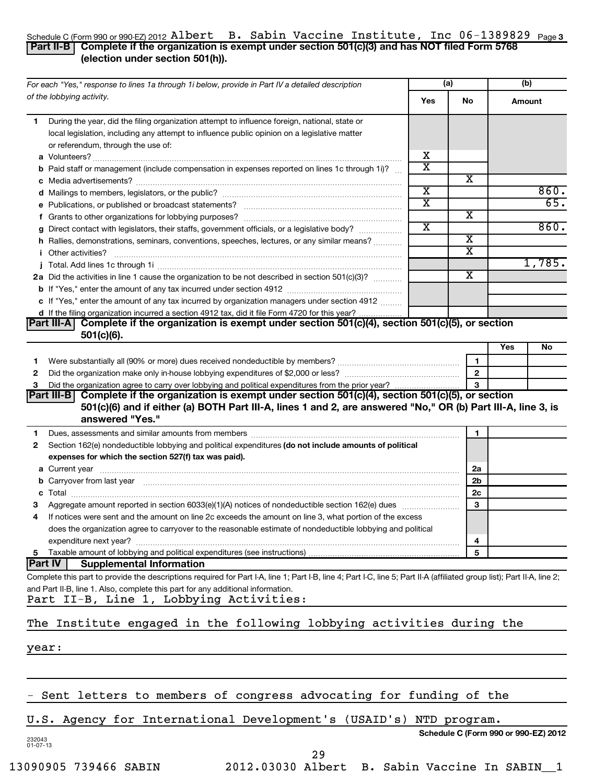#### Schedule C (Form 990 or 990-EZ) 2012 <code>AlDert B.</code> Sabin Vaccine Institute, Inc <code>Ub-1389829</code> <code>Page3</code> Albert B. Sabin Vaccine Institute, Inc 06-1389829

#### **Part II-B Complete if the organization is exempt under section 501(c)(3) and has NOT filed Form 5768 (election under section 501(h)).**

| For each "Yes," response to lines 1a through 1i below, provide in Part IV a detailed description                                                                                                                                            |                         | (a)                     | (b) |                   |
|---------------------------------------------------------------------------------------------------------------------------------------------------------------------------------------------------------------------------------------------|-------------------------|-------------------------|-----|-------------------|
| of the lobbying activity.                                                                                                                                                                                                                   | Yes                     | No                      |     | Amount            |
| During the year, did the filing organization attempt to influence foreign, national, state or<br>1.                                                                                                                                         |                         |                         |     |                   |
| local legislation, including any attempt to influence public opinion on a legislative matter                                                                                                                                                |                         |                         |     |                   |
| or referendum, through the use of:                                                                                                                                                                                                          |                         |                         |     |                   |
|                                                                                                                                                                                                                                             | х                       |                         |     |                   |
| <b>b</b> Paid staff or management (include compensation in expenses reported on lines 1c through 1i)?                                                                                                                                       | $\overline{\text{x}}$   |                         |     |                   |
|                                                                                                                                                                                                                                             |                         | X                       |     |                   |
|                                                                                                                                                                                                                                             | $\overline{\textbf{x}}$ |                         |     | 860.              |
|                                                                                                                                                                                                                                             | $\overline{\text{x}}$   |                         |     | $\overline{65}$ . |
|                                                                                                                                                                                                                                             |                         | X                       |     |                   |
| g Direct contact with legislators, their staffs, government officials, or a legislative body?                                                                                                                                               | $\overline{\text{x}}$   |                         |     | 860.              |
| h Rallies, demonstrations, seminars, conventions, speeches, lectures, or any similar means?                                                                                                                                                 |                         | $\overline{\textbf{x}}$ |     |                   |
| <i>i</i> Other activities?                                                                                                                                                                                                                  |                         | $\overline{\text{x}}$   |     |                   |
|                                                                                                                                                                                                                                             |                         |                         |     | 1,785.            |
| 2a Did the activities in line 1 cause the organization to be not described in section 501(c)(3)?                                                                                                                                            |                         | $\overline{\text{x}}$   |     |                   |
|                                                                                                                                                                                                                                             |                         |                         |     |                   |
| c If "Yes," enter the amount of any tax incurred by organization managers under section 4912                                                                                                                                                |                         |                         |     |                   |
| d If the filing organization incurred a section 4912 tax, did it file Form 4720 for this year?                                                                                                                                              |                         |                         |     |                   |
| Part III-A Complete if the organization is exempt under section 501(c)(4), section 501(c)(5), or section<br>$501(c)(6)$ .                                                                                                                   |                         |                         |     |                   |
|                                                                                                                                                                                                                                             |                         |                         | Yes | No                |
| Were substantially all (90% or more) dues received nondeductible by members? www.communition.communition.<br>1                                                                                                                              |                         | $\mathbf{1}$            |     |                   |
| 2                                                                                                                                                                                                                                           |                         | $\overline{2}$          |     |                   |
| з                                                                                                                                                                                                                                           |                         |                         |     |                   |
| Part III-B Complete if the organization is exempt under section 501(c)(4), section 501(c)(5), or section<br>501(c)(6) and if either (a) BOTH Part III-A, lines 1 and 2, are answered "No," OR (b) Part III-A, line 3, is<br>answered "Yes." |                         |                         |     |                   |
| 1                                                                                                                                                                                                                                           |                         | 1                       |     |                   |
| Section 162(e) nondeductible lobbying and political expenditures (do not include amounts of political<br>2                                                                                                                                  |                         |                         |     |                   |
| expenses for which the section 527(f) tax was paid).                                                                                                                                                                                        |                         |                         |     |                   |
|                                                                                                                                                                                                                                             |                         | 2a                      |     |                   |
| b Carryover from last year manufactured and continuum contract to contact the contract of the contract of the contract of the contract of the contract of the contract of the contract of the contract of the contract of the               |                         | 2b                      |     |                   |
|                                                                                                                                                                                                                                             |                         | 2c                      |     |                   |
| з                                                                                                                                                                                                                                           |                         | 3                       |     |                   |
| If notices were sent and the amount on line 2c exceeds the amount on line 3, what portion of the excess<br>4                                                                                                                                |                         |                         |     |                   |
| does the organization agree to carryover to the reasonable estimate of nondeductible lobbying and political                                                                                                                                 |                         |                         |     |                   |
| expenditure next year?                                                                                                                                                                                                                      |                         | 4                       |     |                   |
| Taxable amount of lobbying and political expenditures (see instructions)<br>5                                                                                                                                                               |                         | 5                       |     |                   |
| <b>Part IV</b><br><b>Supplemental Information</b>                                                                                                                                                                                           |                         |                         |     |                   |
| Complete this part to provide the descriptions required for Part I-A, line 1; Part I-B, line 4; Part I-C, line 5; Part II-A (affiliated group list); Part II-A, line 2;                                                                     |                         |                         |     |                   |
| and Part II-B, line 1. Also, complete this part for any additional information.                                                                                                                                                             |                         |                         |     |                   |
| Part II-B, Line 1, Lobbying Activities:                                                                                                                                                                                                     |                         |                         |     |                   |
| The Institute engaged in the following lobbying activities during the                                                                                                                                                                       |                         |                         |     |                   |
| year:                                                                                                                                                                                                                                       |                         |                         |     |                   |
|                                                                                                                                                                                                                                             |                         |                         |     |                   |
|                                                                                                                                                                                                                                             |                         |                         |     |                   |
| - Sent letters to members of congress advocating for funding of the                                                                                                                                                                         |                         |                         |     |                   |

## U.S. Agency for International Development's (USAID's) NTD program.

**Schedule C (Form 990 or 990-EZ) 2012**

232043 01-07-13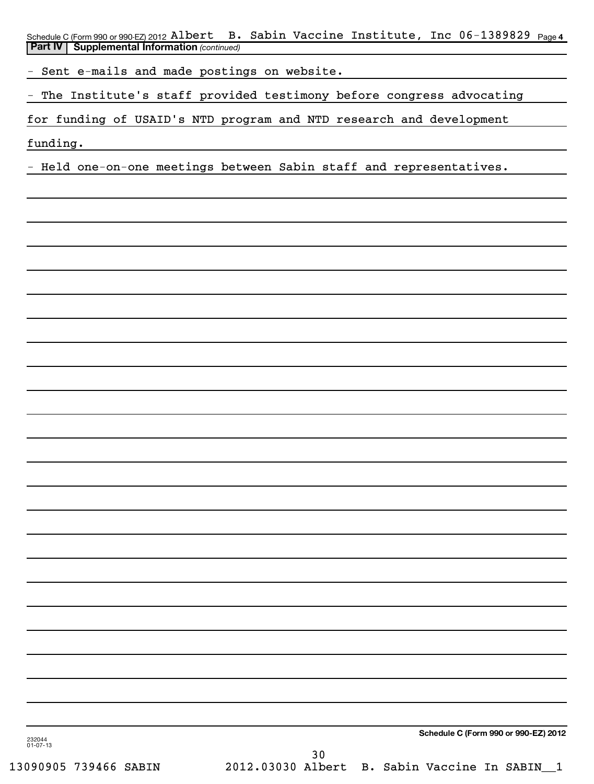Schedule C (Form 990 or 990-EZ) 2012 <code>Albert B.</code> Sabin Vaccine Institute, Inc 06-1389829 <code>page4</code> **Part IV** | Supplemental Information (continued)

- Sent e-mails and made postings on website.

The Institute's staff provided testimony before congress advocating

for funding of USAID's NTD program and NTD research and development

funding.

- Held one-on-one meetings between Sabin staff and representatives.

**Schedule C (Form 990 or 990-EZ) 2012**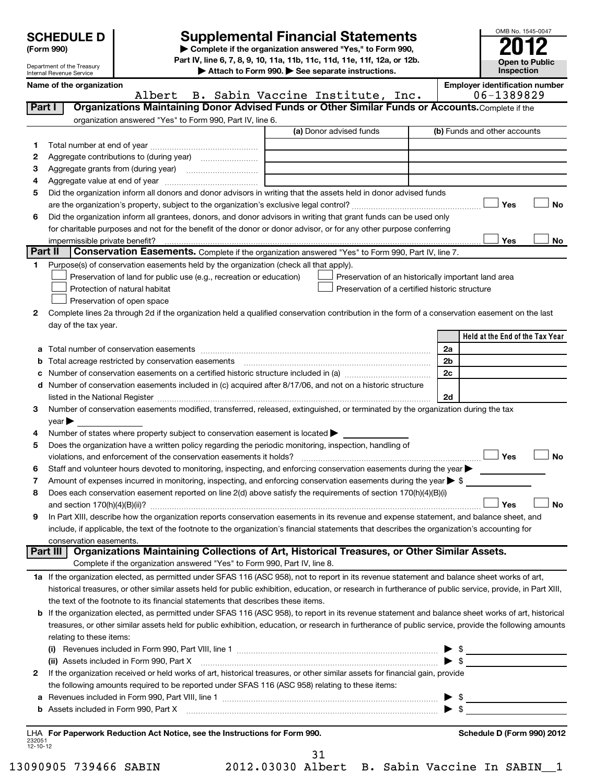| <b>SCHEDULE D</b> |  |
|-------------------|--|
|-------------------|--|

# **Supplemental Financial Statements**

OMB No. 1545-0047

**Open to Public Inspection**

**(Form 990) | Complete if the organization answered "Yes," to Form 990, Part IV, line 6, 7, 8, 9, 10, 11a, 11b, 11c, 11d, 11e, 11f, 12a, or 12b.**

|                    | Department of the Treasury<br>Inspection<br>Attach to Form 990. See separate instructions.<br>Internal Revenue Service |                                                                                                        |                                                                                                                                                                                                                               |    |                                       |  |  |  |  |  |
|--------------------|------------------------------------------------------------------------------------------------------------------------|--------------------------------------------------------------------------------------------------------|-------------------------------------------------------------------------------------------------------------------------------------------------------------------------------------------------------------------------------|----|---------------------------------------|--|--|--|--|--|
|                    | Name of the organization                                                                                               |                                                                                                        |                                                                                                                                                                                                                               |    | <b>Employer identification number</b> |  |  |  |  |  |
|                    |                                                                                                                        | Albert                                                                                                 | B. Sabin Vaccine Institute, Inc.                                                                                                                                                                                              |    | 06-1389829                            |  |  |  |  |  |
| Part I             |                                                                                                                        |                                                                                                        | Organizations Maintaining Donor Advised Funds or Other Similar Funds or Accounts. Complete if the                                                                                                                             |    |                                       |  |  |  |  |  |
|                    |                                                                                                                        | organization answered "Yes" to Form 990, Part IV, line 6.                                              |                                                                                                                                                                                                                               |    |                                       |  |  |  |  |  |
|                    |                                                                                                                        |                                                                                                        | (a) Donor advised funds                                                                                                                                                                                                       |    | (b) Funds and other accounts          |  |  |  |  |  |
| 1.                 |                                                                                                                        |                                                                                                        |                                                                                                                                                                                                                               |    |                                       |  |  |  |  |  |
| 2                  |                                                                                                                        |                                                                                                        |                                                                                                                                                                                                                               |    |                                       |  |  |  |  |  |
| з                  |                                                                                                                        |                                                                                                        |                                                                                                                                                                                                                               |    |                                       |  |  |  |  |  |
| 4                  |                                                                                                                        | Aggregate value at end of year                                                                         |                                                                                                                                                                                                                               |    |                                       |  |  |  |  |  |
| 5                  |                                                                                                                        |                                                                                                        | Did the organization inform all donors and donor advisors in writing that the assets held in donor advised funds                                                                                                              |    |                                       |  |  |  |  |  |
|                    |                                                                                                                        |                                                                                                        |                                                                                                                                                                                                                               |    | <b>No</b><br>Yes                      |  |  |  |  |  |
| 6                  |                                                                                                                        |                                                                                                        | Did the organization inform all grantees, donors, and donor advisors in writing that grant funds can be used only                                                                                                             |    |                                       |  |  |  |  |  |
|                    |                                                                                                                        |                                                                                                        | for charitable purposes and not for the benefit of the donor or donor advisor, or for any other purpose conferring                                                                                                            |    |                                       |  |  |  |  |  |
|                    | impermissible private benefit?                                                                                         |                                                                                                        |                                                                                                                                                                                                                               |    | Yes<br>No                             |  |  |  |  |  |
| <b>Part II</b>     |                                                                                                                        |                                                                                                        | Conservation Easements. Complete if the organization answered "Yes" to Form 990, Part IV, line 7.                                                                                                                             |    |                                       |  |  |  |  |  |
| 1.                 |                                                                                                                        | Purpose(s) of conservation easements held by the organization (check all that apply).                  |                                                                                                                                                                                                                               |    |                                       |  |  |  |  |  |
|                    |                                                                                                                        | Preservation of land for public use (e.g., recreation or education)                                    | Preservation of an historically important land area                                                                                                                                                                           |    |                                       |  |  |  |  |  |
|                    |                                                                                                                        | Protection of natural habitat                                                                          | Preservation of a certified historic structure                                                                                                                                                                                |    |                                       |  |  |  |  |  |
|                    |                                                                                                                        | Preservation of open space                                                                             |                                                                                                                                                                                                                               |    |                                       |  |  |  |  |  |
| 2                  |                                                                                                                        |                                                                                                        | Complete lines 2a through 2d if the organization held a qualified conservation contribution in the form of a conservation easement on the last                                                                                |    |                                       |  |  |  |  |  |
|                    | day of the tax year.                                                                                                   |                                                                                                        |                                                                                                                                                                                                                               |    | Held at the End of the Tax Year       |  |  |  |  |  |
| a                  |                                                                                                                        |                                                                                                        |                                                                                                                                                                                                                               | 2a |                                       |  |  |  |  |  |
| b                  |                                                                                                                        | Total acreage restricted by conservation easements                                                     |                                                                                                                                                                                                                               | 2b |                                       |  |  |  |  |  |
| с                  |                                                                                                                        |                                                                                                        | Number of conservation easements on a certified historic structure included in (a) manufacture included in (a)                                                                                                                | 2c |                                       |  |  |  |  |  |
| d                  |                                                                                                                        |                                                                                                        | Number of conservation easements included in (c) acquired after 8/17/06, and not on a historic structure                                                                                                                      |    |                                       |  |  |  |  |  |
|                    |                                                                                                                        |                                                                                                        | listed in the National Register [111] Marshall Register [11] Marshall Register [11] Marshall Register [11] Marshall Register [11] Marshall Register [11] Marshall Register [11] Marshall Register [11] Marshall Register [11] | 2d |                                       |  |  |  |  |  |
| 3                  |                                                                                                                        |                                                                                                        | Number of conservation easements modified, transferred, released, extinguished, or terminated by the organization during the tax                                                                                              |    |                                       |  |  |  |  |  |
|                    | year                                                                                                                   |                                                                                                        |                                                                                                                                                                                                                               |    |                                       |  |  |  |  |  |
| 4                  |                                                                                                                        | Number of states where property subject to conservation easement is located >                          |                                                                                                                                                                                                                               |    |                                       |  |  |  |  |  |
| 5                  |                                                                                                                        | Does the organization have a written policy regarding the periodic monitoring, inspection, handling of |                                                                                                                                                                                                                               |    |                                       |  |  |  |  |  |
|                    |                                                                                                                        | violations, and enforcement of the conservation easements it holds?                                    |                                                                                                                                                                                                                               |    | Yes<br><b>No</b>                      |  |  |  |  |  |
| 6                  |                                                                                                                        |                                                                                                        | Staff and volunteer hours devoted to monitoring, inspecting, and enforcing conservation easements during the year                                                                                                             |    |                                       |  |  |  |  |  |
| 7                  |                                                                                                                        |                                                                                                        | Amount of expenses incurred in monitoring, inspecting, and enforcing conservation easements during the year $\triangleright$ \$                                                                                               |    |                                       |  |  |  |  |  |
| 8                  |                                                                                                                        |                                                                                                        | Does each conservation easement reported on line 2(d) above satisfy the requirements of section 170(h)(4)(B)(i)                                                                                                               |    |                                       |  |  |  |  |  |
|                    |                                                                                                                        |                                                                                                        |                                                                                                                                                                                                                               |    | Yes<br>No                             |  |  |  |  |  |
| 9                  |                                                                                                                        |                                                                                                        | In Part XIII, describe how the organization reports conservation easements in its revenue and expense statement, and balance sheet, and                                                                                       |    |                                       |  |  |  |  |  |
|                    |                                                                                                                        |                                                                                                        | include, if applicable, the text of the footnote to the organization's financial statements that describes the organization's accounting for                                                                                  |    |                                       |  |  |  |  |  |
|                    | conservation easements.                                                                                                |                                                                                                        |                                                                                                                                                                                                                               |    |                                       |  |  |  |  |  |
|                    | <b>Part III</b>                                                                                                        |                                                                                                        | Organizations Maintaining Collections of Art, Historical Treasures, or Other Similar Assets.                                                                                                                                  |    |                                       |  |  |  |  |  |
|                    |                                                                                                                        | Complete if the organization answered "Yes" to Form 990, Part IV, line 8.                              |                                                                                                                                                                                                                               |    |                                       |  |  |  |  |  |
|                    |                                                                                                                        |                                                                                                        | 1a If the organization elected, as permitted under SFAS 116 (ASC 958), not to report in its revenue statement and balance sheet works of art,                                                                                 |    |                                       |  |  |  |  |  |
|                    |                                                                                                                        |                                                                                                        | historical treasures, or other similar assets held for public exhibition, education, or research in furtherance of public service, provide, in Part XIII,                                                                     |    |                                       |  |  |  |  |  |
|                    |                                                                                                                        | the text of the footnote to its financial statements that describes these items.                       |                                                                                                                                                                                                                               |    |                                       |  |  |  |  |  |
|                    |                                                                                                                        |                                                                                                        | <b>b</b> If the organization elected, as permitted under SFAS 116 (ASC 958), to report in its revenue statement and balance sheet works of art, historical                                                                    |    |                                       |  |  |  |  |  |
|                    |                                                                                                                        |                                                                                                        | treasures, or other similar assets held for public exhibition, education, or research in furtherance of public service, provide the following amounts                                                                         |    |                                       |  |  |  |  |  |
|                    | relating to these items:                                                                                               |                                                                                                        |                                                                                                                                                                                                                               |    |                                       |  |  |  |  |  |
|                    |                                                                                                                        |                                                                                                        |                                                                                                                                                                                                                               |    |                                       |  |  |  |  |  |
| 2                  |                                                                                                                        | (ii) Assets included in Form 990, Part X                                                               | If the organization received or held works of art, historical treasures, or other similar assets for financial gain, provide                                                                                                  |    | $\triangleright$ \$                   |  |  |  |  |  |
|                    |                                                                                                                        | the following amounts required to be reported under SFAS 116 (ASC 958) relating to these items:        |                                                                                                                                                                                                                               |    |                                       |  |  |  |  |  |
| а                  |                                                                                                                        |                                                                                                        |                                                                                                                                                                                                                               |    |                                       |  |  |  |  |  |
|                    |                                                                                                                        |                                                                                                        | Assets included in Form 990, Part X [CONDITED INTERNATION IN A SERVICE 2010]                                                                                                                                                  |    | $\blacktriangleright$ \$              |  |  |  |  |  |
|                    |                                                                                                                        |                                                                                                        |                                                                                                                                                                                                                               |    |                                       |  |  |  |  |  |
|                    |                                                                                                                        | LHA For Paperwork Reduction Act Notice, see the Instructions for Form 990.                             |                                                                                                                                                                                                                               |    | Schedule D (Form 990) 2012            |  |  |  |  |  |
| 232051<br>12-10-12 |                                                                                                                        |                                                                                                        |                                                                                                                                                                                                                               |    |                                       |  |  |  |  |  |
|                    |                                                                                                                        |                                                                                                        | 31                                                                                                                                                                                                                            |    |                                       |  |  |  |  |  |

|  | 3030 | A 1 |  |
|--|------|-----|--|
|  |      |     |  |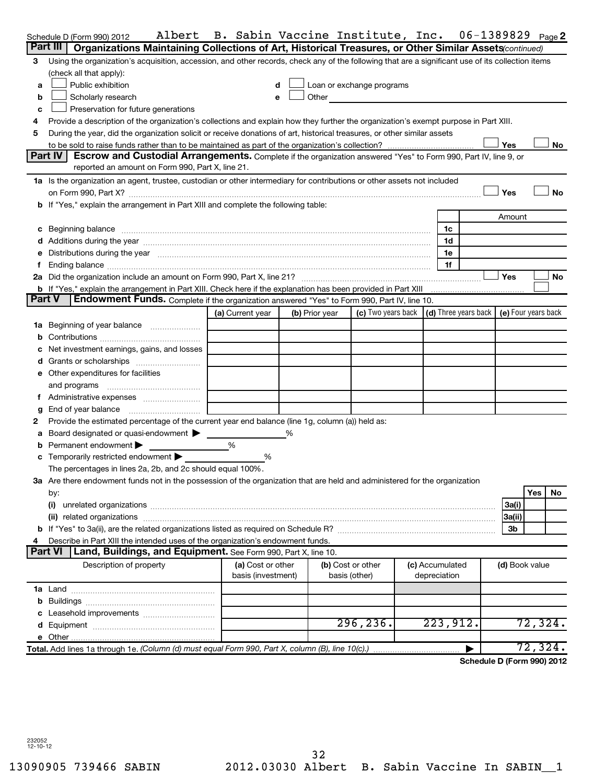|               | Albert<br>Schedule D (Form 990) 2012                                                                                                                                                                                           | B. Sabin Vaccine Institute, Inc. |                |                                                                             |                 | 06-1389829 |                | Page 2                     |
|---------------|--------------------------------------------------------------------------------------------------------------------------------------------------------------------------------------------------------------------------------|----------------------------------|----------------|-----------------------------------------------------------------------------|-----------------|------------|----------------|----------------------------|
|               | Organizations Maintaining Collections of Art, Historical Treasures, or Other Similar Assets (continued)<br>Part III                                                                                                            |                                  |                |                                                                             |                 |            |                |                            |
| 3             | Using the organization's acquisition, accession, and other records, check any of the following that are a significant use of its collection items                                                                              |                                  |                |                                                                             |                 |            |                |                            |
|               | (check all that apply):                                                                                                                                                                                                        |                                  |                |                                                                             |                 |            |                |                            |
| a             | Public exhibition                                                                                                                                                                                                              | d                                |                | Loan or exchange programs                                                   |                 |            |                |                            |
| b             | Scholarly research                                                                                                                                                                                                             | e                                | Other          |                                                                             |                 |            |                |                            |
| c             | Preservation for future generations                                                                                                                                                                                            |                                  |                |                                                                             |                 |            |                |                            |
| 4             | Provide a description of the organization's collections and explain how they further the organization's exempt purpose in Part XIII.                                                                                           |                                  |                |                                                                             |                 |            |                |                            |
| 5             | During the year, did the organization solicit or receive donations of art, historical treasures, or other similar assets                                                                                                       |                                  |                |                                                                             |                 |            |                |                            |
|               |                                                                                                                                                                                                                                |                                  |                |                                                                             |                 |            | Yes            | No                         |
|               | Part IV<br>Escrow and Custodial Arrangements. Complete if the organization answered "Yes" to Form 990, Part IV, line 9, or                                                                                                     |                                  |                |                                                                             |                 |            |                |                            |
|               | reported an amount on Form 990, Part X, line 21.                                                                                                                                                                               |                                  |                |                                                                             |                 |            |                |                            |
|               | 1a Is the organization an agent, trustee, custodian or other intermediary for contributions or other assets not included                                                                                                       |                                  |                |                                                                             |                 |            |                |                            |
|               |                                                                                                                                                                                                                                |                                  |                |                                                                             |                 |            | Yes            | No                         |
|               | b If "Yes," explain the arrangement in Part XIII and complete the following table:                                                                                                                                             |                                  |                |                                                                             |                 |            |                |                            |
|               |                                                                                                                                                                                                                                |                                  |                |                                                                             |                 |            | Amount         |                            |
| c             | Beginning balance entertainment contracts and the contracts of the contracts of the contracts of the contracts                                                                                                                 |                                  |                |                                                                             | 1c              |            |                |                            |
|               |                                                                                                                                                                                                                                |                                  |                |                                                                             | 1d              |            |                |                            |
|               | Distributions during the year manufactured and an account of the year manufactured and the year manufactured and the year manufactured and the year manufactured and the year manufactured and the year manufactured and the y |                                  |                |                                                                             | 1e              |            |                |                            |
|               |                                                                                                                                                                                                                                |                                  |                |                                                                             | 1f              |            |                |                            |
|               |                                                                                                                                                                                                                                |                                  |                |                                                                             |                 |            | Yes            | No                         |
| <b>Part V</b> | b If "Yes," explain the arrangement in Part XIII. Check here if the explanation has been provided in Part XIII<br>Endowment Funds. Complete if the organization answered "Yes" to Form 990, Part IV, line 10.                  |                                  |                |                                                                             |                 |            |                |                            |
|               |                                                                                                                                                                                                                                | (a) Current year                 |                | (c) Two years back $\vert$ (d) Three years back $\vert$ (e) Four years back |                 |            |                |                            |
|               |                                                                                                                                                                                                                                |                                  | (b) Prior year |                                                                             |                 |            |                |                            |
|               |                                                                                                                                                                                                                                |                                  |                |                                                                             |                 |            |                |                            |
|               |                                                                                                                                                                                                                                |                                  |                |                                                                             |                 |            |                |                            |
|               | Net investment earnings, gains, and losses                                                                                                                                                                                     |                                  |                |                                                                             |                 |            |                |                            |
|               | e Other expenditures for facilities                                                                                                                                                                                            |                                  |                |                                                                             |                 |            |                |                            |
|               |                                                                                                                                                                                                                                |                                  |                |                                                                             |                 |            |                |                            |
|               | and programs                                                                                                                                                                                                                   |                                  |                |                                                                             |                 |            |                |                            |
| Ť.            | End of year balance                                                                                                                                                                                                            |                                  |                |                                                                             |                 |            |                |                            |
| g<br>2        | Provide the estimated percentage of the current year end balance (line 1g, column (a)) held as:                                                                                                                                |                                  |                |                                                                             |                 |            |                |                            |
| а             | Board designated or quasi-endowment >                                                                                                                                                                                          |                                  |                |                                                                             |                 |            |                |                            |
| b             | Permanent endowment                                                                                                                                                                                                            | %                                |                |                                                                             |                 |            |                |                            |
|               | c Temporarily restricted endowment                                                                                                                                                                                             | %                                |                |                                                                             |                 |            |                |                            |
|               | The percentages in lines 2a, 2b, and 2c should equal 100%.                                                                                                                                                                     |                                  |                |                                                                             |                 |            |                |                            |
|               | 3a Are there endowment funds not in the possession of the organization that are held and administered for the organization                                                                                                     |                                  |                |                                                                             |                 |            |                |                            |
|               | by:                                                                                                                                                                                                                            |                                  |                |                                                                             |                 |            |                | Yes<br>No                  |
|               | (i)                                                                                                                                                                                                                            |                                  |                |                                                                             |                 |            | 3a(i)          |                            |
|               |                                                                                                                                                                                                                                |                                  |                |                                                                             |                 |            | 3a(ii)         |                            |
|               |                                                                                                                                                                                                                                |                                  |                |                                                                             |                 |            | 3b             |                            |
|               | Describe in Part XIII the intended uses of the organization's endowment funds.                                                                                                                                                 |                                  |                |                                                                             |                 |            |                |                            |
|               | Part VI<br>Land, Buildings, and Equipment. See Form 990, Part X, line 10.                                                                                                                                                      |                                  |                |                                                                             |                 |            |                |                            |
|               | Description of property                                                                                                                                                                                                        | (a) Cost or other                |                | (b) Cost or other                                                           | (c) Accumulated |            | (d) Book value |                            |
|               |                                                                                                                                                                                                                                | basis (investment)               |                | basis (other)                                                               | depreciation    |            |                |                            |
|               |                                                                                                                                                                                                                                |                                  |                |                                                                             |                 |            |                |                            |
|               |                                                                                                                                                                                                                                |                                  |                |                                                                             |                 |            |                |                            |
|               |                                                                                                                                                                                                                                |                                  |                |                                                                             |                 |            |                |                            |
|               |                                                                                                                                                                                                                                |                                  |                | 296, 236.                                                                   | 223,912.        |            |                | 72,324.                    |
|               |                                                                                                                                                                                                                                |                                  |                |                                                                             |                 |            |                |                            |
|               | Total. Add lines 1a through 1e. (Column (d) must equal Form 990, Part X, column (B), line 10(c).)                                                                                                                              |                                  |                |                                                                             |                 |            |                | 72,324.                    |
|               |                                                                                                                                                                                                                                |                                  |                |                                                                             |                 |            |                | Schodule D (Form 990) 2012 |

**Schedule D (Form 990) 2012**

232052 12-10-12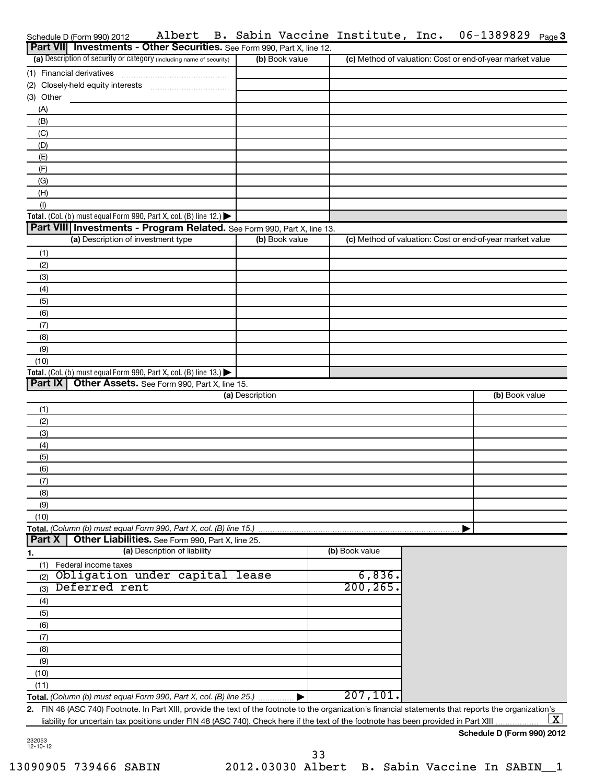|                | Schedule D (Form 990) 2012                                                                                                                              | Albert                                            |                 |                | B. Sabin Vaccine Institute, Inc.                          |  | 06-1389829     | Page $3$   |
|----------------|---------------------------------------------------------------------------------------------------------------------------------------------------------|---------------------------------------------------|-----------------|----------------|-----------------------------------------------------------|--|----------------|------------|
|                | Part VII Investments - Other Securities. See Form 990, Part X, line 12.                                                                                 |                                                   |                 |                |                                                           |  |                |            |
|                | (a) Description of security or category (including name of security)                                                                                    |                                                   |                 | (b) Book value | (c) Method of valuation: Cost or end-of-year market value |  |                |            |
|                |                                                                                                                                                         |                                                   |                 |                |                                                           |  |                |            |
|                |                                                                                                                                                         |                                                   |                 |                |                                                           |  |                |            |
| (3) Other      |                                                                                                                                                         |                                                   |                 |                |                                                           |  |                |            |
| (A)            |                                                                                                                                                         |                                                   |                 |                |                                                           |  |                |            |
| (B)            |                                                                                                                                                         |                                                   |                 |                |                                                           |  |                |            |
| (C)            |                                                                                                                                                         |                                                   |                 |                |                                                           |  |                |            |
| (D)            |                                                                                                                                                         |                                                   |                 |                |                                                           |  |                |            |
| (E)            |                                                                                                                                                         |                                                   |                 |                |                                                           |  |                |            |
| (F)            |                                                                                                                                                         |                                                   |                 |                |                                                           |  |                |            |
| (G)            |                                                                                                                                                         |                                                   |                 |                |                                                           |  |                |            |
| (H)            |                                                                                                                                                         |                                                   |                 |                |                                                           |  |                |            |
| (1)            |                                                                                                                                                         |                                                   |                 |                |                                                           |  |                |            |
|                | Total. (Col. (b) must equal Form 990, Part X, col. (B) line 12.) $\blacktriangleright$                                                                  |                                                   |                 |                |                                                           |  |                |            |
|                | Part VIII Investments - Program Related. See Form 990, Part X, line 13.                                                                                 |                                                   |                 |                |                                                           |  |                |            |
|                | (a) Description of investment type                                                                                                                      |                                                   |                 | (b) Book value | (c) Method of valuation: Cost or end-of-year market value |  |                |            |
|                |                                                                                                                                                         |                                                   |                 |                |                                                           |  |                |            |
| (1)            |                                                                                                                                                         |                                                   |                 |                |                                                           |  |                |            |
| (2)            |                                                                                                                                                         |                                                   |                 |                |                                                           |  |                |            |
| (3)            |                                                                                                                                                         |                                                   |                 |                |                                                           |  |                |            |
| (4)            |                                                                                                                                                         |                                                   |                 |                |                                                           |  |                |            |
| (5)            |                                                                                                                                                         |                                                   |                 |                |                                                           |  |                |            |
| (6)            |                                                                                                                                                         |                                                   |                 |                |                                                           |  |                |            |
| (7)            |                                                                                                                                                         |                                                   |                 |                |                                                           |  |                |            |
| (8)            |                                                                                                                                                         |                                                   |                 |                |                                                           |  |                |            |
| (9)            |                                                                                                                                                         |                                                   |                 |                |                                                           |  |                |            |
| (10)           |                                                                                                                                                         |                                                   |                 |                |                                                           |  |                |            |
|                | Total. (Col. (b) must equal Form 990, Part X, col. (B) line 13.) $\blacktriangleright$                                                                  |                                                   |                 |                |                                                           |  |                |            |
| <b>Part IX</b> |                                                                                                                                                         | Other Assets. See Form 990, Part X, line 15.      |                 |                |                                                           |  |                |            |
|                |                                                                                                                                                         |                                                   | (a) Description |                |                                                           |  | (b) Book value |            |
| (1)            |                                                                                                                                                         |                                                   |                 |                |                                                           |  |                |            |
| (2)            |                                                                                                                                                         |                                                   |                 |                |                                                           |  |                |            |
| (3)            |                                                                                                                                                         |                                                   |                 |                |                                                           |  |                |            |
| (4)            |                                                                                                                                                         |                                                   |                 |                |                                                           |  |                |            |
| (5)            |                                                                                                                                                         |                                                   |                 |                |                                                           |  |                |            |
| (6)            |                                                                                                                                                         |                                                   |                 |                |                                                           |  |                |            |
| (7)            |                                                                                                                                                         |                                                   |                 |                |                                                           |  |                |            |
| (8)            |                                                                                                                                                         |                                                   |                 |                |                                                           |  |                |            |
| (9)            |                                                                                                                                                         |                                                   |                 |                |                                                           |  |                |            |
| (10)           |                                                                                                                                                         |                                                   |                 |                |                                                           |  |                |            |
|                | Total. (Column (b) must equal Form 990, Part X, col. (B) line 15.)                                                                                      |                                                   |                 |                |                                                           |  |                |            |
| Part X         |                                                                                                                                                         | Other Liabilities. See Form 990, Part X, line 25. |                 |                |                                                           |  |                |            |
|                |                                                                                                                                                         | (a) Description of liability                      |                 |                | (b) Book value                                            |  |                |            |
| 1.             | (1) Federal income taxes                                                                                                                                |                                                   |                 |                |                                                           |  |                |            |
| (2)            | Obligation under capital lease                                                                                                                          |                                                   |                 |                | 6,836.                                                    |  |                |            |
|                | Deferred rent                                                                                                                                           |                                                   |                 |                | 200, 265                                                  |  |                |            |
| (3)            |                                                                                                                                                         |                                                   |                 |                |                                                           |  |                |            |
| (4)            |                                                                                                                                                         |                                                   |                 |                |                                                           |  |                |            |
| (5)            |                                                                                                                                                         |                                                   |                 |                |                                                           |  |                |            |
| (6)            |                                                                                                                                                         |                                                   |                 |                |                                                           |  |                |            |
| (7)            |                                                                                                                                                         |                                                   |                 |                |                                                           |  |                |            |
| (8)            |                                                                                                                                                         |                                                   |                 |                |                                                           |  |                |            |
| (9)            |                                                                                                                                                         |                                                   |                 |                |                                                           |  |                |            |
| (10)           |                                                                                                                                                         |                                                   |                 |                |                                                           |  |                |            |
| (11)           |                                                                                                                                                         |                                                   |                 |                |                                                           |  |                |            |
|                | Total. (Column (b) must equal Form 990, Part X, col. (B) line 25.)                                                                                      |                                                   |                 |                | 207, 101.                                                 |  |                |            |
|                | 2. FIN 48 (ASC 740) Footnote. In Part XIII, provide the text of the footnote to the organization's financial statements that reports the organization's |                                                   |                 |                |                                                           |  |                |            |
|                | liability for uncertain tax positions under FIN 48 (ASC 740). Check here if the text of the footnote has been provided in Part XIII.                    |                                                   |                 |                |                                                           |  |                | <u>x  </u> |

**Schedule D (Form 990) 2012**

232053 12-10-12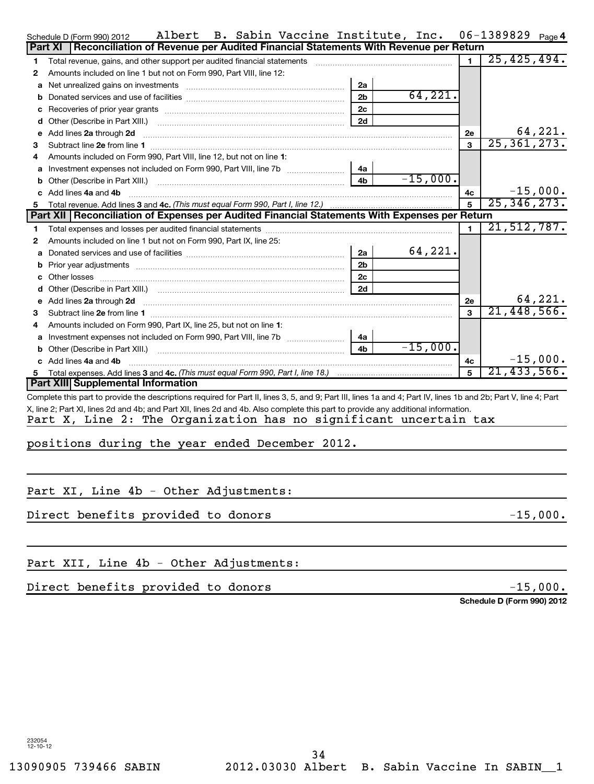|   | B. Sabin Vaccine Institute, Inc.<br>Albert<br>Schedule D (Form 990) 2012                                                                                         |                | 06-1389829    | Page 4  |
|---|------------------------------------------------------------------------------------------------------------------------------------------------------------------|----------------|---------------|---------|
|   | Reconciliation of Revenue per Audited Financial Statements With Revenue per Return<br>Part XI                                                                    |                |               |         |
| 1 | Total revenue, gains, and other support per audited financial statements                                                                                         | $\blacksquare$ | 25, 425, 494. |         |
| 2 | Amounts included on line 1 but not on Form 990, Part VIII, line 12:                                                                                              |                |               |         |
| а | 2a                                                                                                                                                               |                |               |         |
| b | 64, 221.<br>2 <sub>b</sub>                                                                                                                                       |                |               |         |
|   | 2c                                                                                                                                                               |                |               |         |
|   | 2d                                                                                                                                                               |                |               |         |
|   | e Add lines 2a through 2d                                                                                                                                        | 2е             |               | 64,221. |
| з |                                                                                                                                                                  | 3              | 25, 361, 273. |         |
|   | Amounts included on Form 990, Part VIII, line 12, but not on line 1:                                                                                             |                |               |         |
|   | Investment expenses not included on Form 990, Part VIII, line 7b [11, 11, 11, 11, 11]<br>4a                                                                      |                |               |         |
|   | $-15,000.$<br>4b                                                                                                                                                 |                |               |         |
|   | c Add lines 4a and 4b                                                                                                                                            | 4с             | $-15,000.$    |         |
| 5 |                                                                                                                                                                  | 5              | 25, 346, 273. |         |
|   | Part XII   Reconciliation of Expenses per Audited Financial Statements With Expenses per Return                                                                  |                |               |         |
| 1 |                                                                                                                                                                  | 1.             | 21, 512, 787. |         |
| 2 | Amounts included on line 1 but not on Form 990, Part IX, line 25:                                                                                                |                |               |         |
| а | 64,221.<br>2a                                                                                                                                                    |                |               |         |
|   | 2 <sub>b</sub>                                                                                                                                                   |                |               |         |
|   | 2c                                                                                                                                                               |                |               |         |
|   | 2d                                                                                                                                                               |                |               |         |
|   |                                                                                                                                                                  | <b>2e</b>      |               | 64,221. |
| з |                                                                                                                                                                  | $\mathbf{a}$   | 21,448,566.   |         |
|   | Amounts included on Form 990, Part IX, line 25, but not on line 1:                                                                                               |                |               |         |
|   | a Investment expenses not included on Form 990, Part VIII, line 7b [11, 11, 11, 11, 11]<br>4a                                                                    |                |               |         |
|   | $-15,000.$<br>4 <sub>b</sub>                                                                                                                                     |                |               |         |
|   | c Add lines 4a and 4b                                                                                                                                            | 4с             | $-15,000.$    |         |
|   |                                                                                                                                                                  | 5              | 21, 433, 566. |         |
|   | Part XIII Supplemental Information                                                                                                                               |                |               |         |
|   | Complete this part to provide the descriptions required for Part II, lines 3, 5, and 9; Part III, lines 1a and 4; Part IV, lines 1b and 2b; Part V, line 4; Part |                |               |         |
|   | X, line 2; Part XI, lines 2d and 4b; and Part XII, lines 2d and 4b. Also complete this part to provide any additional information.                               |                |               |         |
|   | Part X, Line 2: The Organization has no significant uncertain tax                                                                                                |                |               |         |
|   | positions during the year ended December 2012.                                                                                                                   |                |               |         |
|   |                                                                                                                                                                  |                |               |         |
|   |                                                                                                                                                                  |                |               |         |
|   |                                                                                                                                                                  |                |               |         |
|   | Part XI, Line 4b - Other Adjustments:                                                                                                                            |                |               |         |
|   |                                                                                                                                                                  |                |               |         |
|   | Direct benefits provided to donors                                                                                                                               |                | $-15,000.$    |         |
|   |                                                                                                                                                                  |                |               |         |
|   |                                                                                                                                                                  |                |               |         |
|   |                                                                                                                                                                  |                |               |         |
|   | Part XII, Line 4b - Other Adjustments:                                                                                                                           |                |               |         |

Direct benefits provided to donors -15,000.

**Schedule D (Form 990) 2012**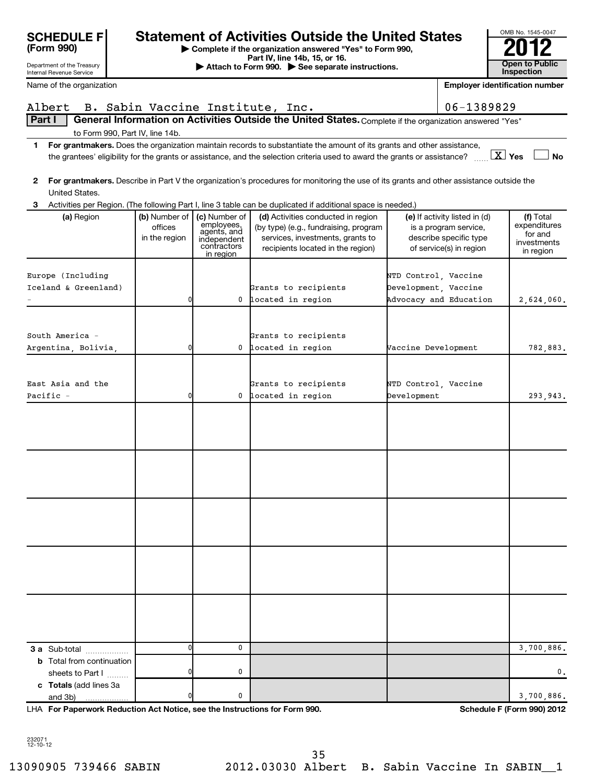|                                                                            |                                           |                                                                                       | the grantees' eligibility for the grants or assistance, and the selection criteria used to award the grants or assistance? $\frac{X}{\cdot \cdot \cdot}$ Yes                                                                                                         |                                                                                                             | No                                                               |
|----------------------------------------------------------------------------|-------------------------------------------|---------------------------------------------------------------------------------------|----------------------------------------------------------------------------------------------------------------------------------------------------------------------------------------------------------------------------------------------------------------------|-------------------------------------------------------------------------------------------------------------|------------------------------------------------------------------|
| 2<br>United States.                                                        |                                           |                                                                                       | For grantmakers. Describe in Part V the organization's procedures for monitoring the use of its grants and other assistance outside the                                                                                                                              |                                                                                                             |                                                                  |
| 3<br>(a) Region                                                            | (b) Number of<br>offices<br>in the region | (c) Number of<br>employees,<br>agents, and<br>independent<br>contractors<br>in region | Activities per Region. (The following Part I, line 3 table can be duplicated if additional space is needed.)<br>(d) Activities conducted in region<br>(by type) (e.g., fundraising, program<br>services, investments, grants to<br>recipients located in the region) | (e) If activity listed in (d)<br>is a program service,<br>describe specific type<br>of service(s) in region | (f) Total<br>expenditures<br>for and<br>investments<br>in region |
| Europe (Including<br>Iceland & Greenland)                                  | 0                                         | 0                                                                                     | Grants to recipients<br>located in region                                                                                                                                                                                                                            | NTD Control, Vaccine<br>Development, Vaccine<br>Advocacy and Education                                      | 2,624,060.                                                       |
| South America -<br>Argentina, Bolivia,                                     | 0                                         |                                                                                       | Grants to recipients<br>0 located in region                                                                                                                                                                                                                          | Vaccine Development                                                                                         | 782,883.                                                         |
| East Asia and the<br>Pacific -                                             | 0                                         | 0                                                                                     | Grants to recipients<br>located in region                                                                                                                                                                                                                            | NTD Control, Vaccine<br>Development                                                                         | 293,943.                                                         |
|                                                                            |                                           |                                                                                       |                                                                                                                                                                                                                                                                      |                                                                                                             |                                                                  |
|                                                                            |                                           |                                                                                       |                                                                                                                                                                                                                                                                      |                                                                                                             |                                                                  |
|                                                                            |                                           |                                                                                       |                                                                                                                                                                                                                                                                      |                                                                                                             |                                                                  |
|                                                                            |                                           |                                                                                       |                                                                                                                                                                                                                                                                      |                                                                                                             |                                                                  |
|                                                                            |                                           |                                                                                       |                                                                                                                                                                                                                                                                      |                                                                                                             |                                                                  |
| 3 a Sub-total                                                              | 0                                         | 0                                                                                     |                                                                                                                                                                                                                                                                      |                                                                                                             | 3,700,886.                                                       |
| <b>b</b> Total from continuation                                           | $\mathbf{0}$                              | 0                                                                                     |                                                                                                                                                                                                                                                                      |                                                                                                             | $\mathbf{0}$ .                                                   |
| sheets to Part I<br>c Totals (add lines 3a<br>and 3b)<br>.                 | 0                                         | 0                                                                                     |                                                                                                                                                                                                                                                                      |                                                                                                             | 3,700,886.                                                       |
| LHA For Paperwork Reduction Act Notice, see the Instructions for Form 990. |                                           |                                                                                       |                                                                                                                                                                                                                                                                      |                                                                                                             | Schedule F (Form 990) 2012                                       |

|  |  | Albert B. Sabin Vaccine Institute, Inc. |                                                                                                                        | $ 06 - 1389829$ |
|--|--|-----------------------------------------|------------------------------------------------------------------------------------------------------------------------|-----------------|
|  |  |                                         | <b>Part I General Information on Activities Outside the United States.</b> Complete if the organization answered "Yes" |                 |

**1 For grantmakers.**  Does the organization maintain records to substantiate the amount of its grants and other assistance, to Form 990, Part IV, line 14b.

- 
- 

**| Complete if the organization answered "Yes" to Form 990, Part IV, line 14b, 15, or 16. and Separate instructions.** The Attach to Form 990. All See separate instructions. **The Conduction of the See Separate instructions.** The See Separate instructions. The See Separate instruc **Employer identification number** SCHEDULE F<br> **Statement of Activities Outside the United States**<br> **Exact IV, line 14b, 15, or 16.**<br> **Perside the States**<br> **Perside the States**<br> **Perside the States**<br> **Perside the States**<br> **Perside the States**<br> **Perside the** 



**(Form 990)**

Department of the Treasury Internal Revenue Service

|  | Name of the organization |
|--|--------------------------|
|  |                          |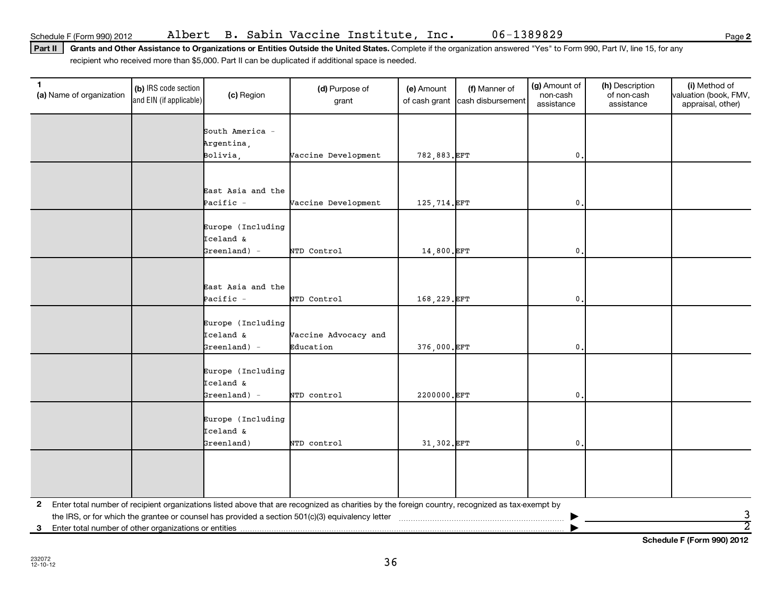**2**

Part II | Grants and Other Assistance to Organizations or Entities Outside the United States. Complete if the organization answered "Yes" to Form 990, Part IV, line 15, for any recipient who received more than \$5,000. Part II can be duplicated if additional space is needed.

| $\mathbf 1$<br>(a) Name of organization                 | (b) IRS code section<br>and EIN (if applicable) | (c) Region                                        | (d) Purpose of<br>grant                                                                                                                           | (e) Amount<br>of cash grant | (f) Manner of<br>cash disbursement | (g) Amount of<br>non-cash<br>assistance | (h) Description<br>of non-cash<br>assistance | (i) Method of<br>valuation (book, FMV,<br>appraisal, other) |
|---------------------------------------------------------|-------------------------------------------------|---------------------------------------------------|---------------------------------------------------------------------------------------------------------------------------------------------------|-----------------------------|------------------------------------|-----------------------------------------|----------------------------------------------|-------------------------------------------------------------|
|                                                         |                                                 | South America -<br>Argentina,                     |                                                                                                                                                   |                             |                                    |                                         |                                              |                                                             |
|                                                         |                                                 | Bolivia,                                          | Vaccine Development                                                                                                                               | 782,883.EFT                 |                                    | $\mathbf{0}$                            |                                              |                                                             |
|                                                         |                                                 |                                                   |                                                                                                                                                   |                             |                                    |                                         |                                              |                                                             |
|                                                         |                                                 | East Asia and the<br>Pacific -                    | Vaccine Development                                                                                                                               | 125,714.EFT                 |                                    | $\mathbf{0}$ .                          |                                              |                                                             |
|                                                         |                                                 | Europe (Including<br>Iceland &                    |                                                                                                                                                   |                             |                                    |                                         |                                              |                                                             |
|                                                         |                                                 | $Greenland) -$                                    | NTD Control                                                                                                                                       | 14,800.EFT                  |                                    | $\mathbf{0}$ .                          |                                              |                                                             |
|                                                         |                                                 | East Asia and the<br>Pacific -                    | NTD Control                                                                                                                                       | 168,229.EFT                 |                                    | $\mathbf{0}$                            |                                              |                                                             |
|                                                         |                                                 | Europe (Including<br>Iceland &<br>$Greenland$ ) - | Vaccine Advocacy and<br>Education                                                                                                                 | 376,000.EFT                 |                                    | $\mathbf{0}$ .                          |                                              |                                                             |
|                                                         |                                                 | Europe (Including<br>Iceland &<br>Greenland) -    | NTD control                                                                                                                                       | 2200000.EFT                 |                                    | $\mathbf{0}$                            |                                              |                                                             |
|                                                         |                                                 | Europe (Including<br>Iceland &<br>Greenland)      | NTD control                                                                                                                                       | 31,302.EFT                  |                                    | $\mathbf{0}$ .                          |                                              |                                                             |
|                                                         |                                                 |                                                   |                                                                                                                                                   |                             |                                    |                                         |                                              |                                                             |
|                                                         |                                                 |                                                   | 2 Enter total number of recipient organizations listed above that are recognized as charities by the foreign country, recognized as tax-exempt by |                             |                                    |                                         |                                              | 3                                                           |
| 3 Enter total number of other organizations or entities |                                                 |                                                   |                                                                                                                                                   |                             |                                    |                                         |                                              | $\overline{2}$                                              |

**Schedule F (Form 990) 2012**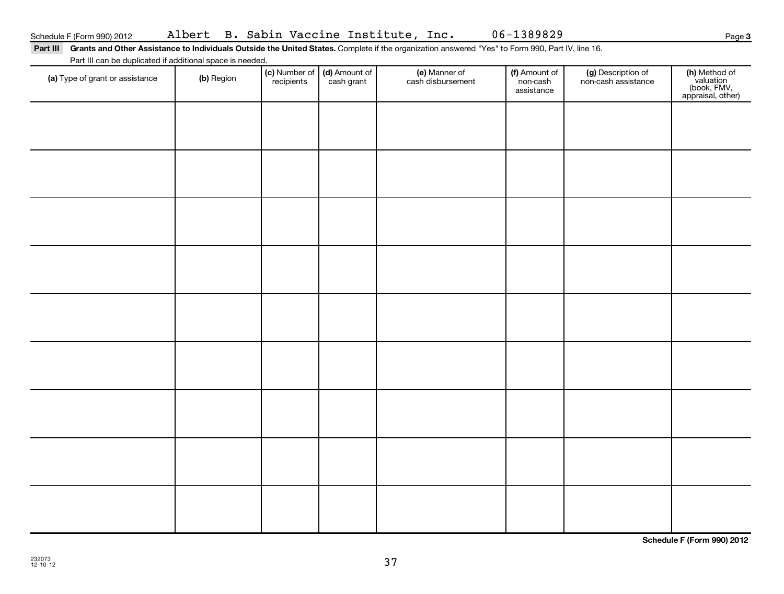Part III Grants and Other Assistance to Individuals Outside the United States. Complete if the organization answered "Yes" to Form 990, Part IV, line 16.

Part III can be duplicated if additional space is needed.

| art in carried adplication is additional opace to necesso<br>(a) Type of grant or assistance | (b) Region | (c) Number of (d) Amount of<br>recipients cash grant | (e) Manner of<br>cash disbursement | (f) Amount of<br>non-cash<br>assistance | (g) Description of<br>non-cash assistance | (h) Method of<br>valuation<br>(book, FMV,<br>appraisal, other) |
|----------------------------------------------------------------------------------------------|------------|------------------------------------------------------|------------------------------------|-----------------------------------------|-------------------------------------------|----------------------------------------------------------------|
|                                                                                              |            |                                                      |                                    |                                         |                                           |                                                                |
|                                                                                              |            |                                                      |                                    |                                         |                                           |                                                                |
|                                                                                              |            |                                                      |                                    |                                         |                                           |                                                                |
|                                                                                              |            |                                                      |                                    |                                         |                                           |                                                                |
|                                                                                              |            |                                                      |                                    |                                         |                                           |                                                                |
|                                                                                              |            |                                                      |                                    |                                         |                                           |                                                                |
|                                                                                              |            |                                                      |                                    |                                         |                                           |                                                                |
|                                                                                              |            |                                                      |                                    |                                         |                                           |                                                                |
|                                                                                              |            |                                                      |                                    |                                         |                                           |                                                                |
|                                                                                              |            |                                                      |                                    |                                         |                                           |                                                                |

**Schedule F (Form 990) 2012**

**3**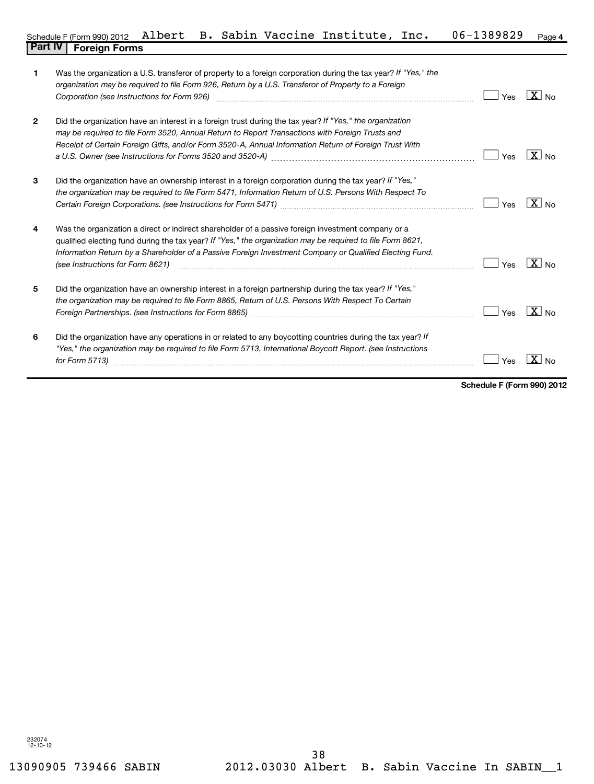| 1            | Was the organization a U.S. transferor of property to a foreign corporation during the tax year? If "Yes," the<br>organization may be required to file Form 926, Return by a U.S. Transferor of Property to a Foreign<br>Corporation (see Instructions for Form 926) [11] matter continuum matter of the Instruction (see Instructions for Form 926) [11] matter continuum matter of the Institute of the Institute of the Institute of the Institute o | Yes | $X_{N0}$            |
|--------------|---------------------------------------------------------------------------------------------------------------------------------------------------------------------------------------------------------------------------------------------------------------------------------------------------------------------------------------------------------------------------------------------------------------------------------------------------------|-----|---------------------|
| $\mathbf{2}$ | Did the organization have an interest in a foreign trust during the tax year? If "Yes," the organization<br>may be required to file Form 3520, Annual Return to Report Transactions with Foreign Trusts and<br>Receipt of Certain Foreign Gifts, and/or Form 3520-A, Annual Information Return of Foreign Trust With                                                                                                                                    | Yes | $\overline{X}$ No   |
| 3            | Did the organization have an ownership interest in a foreign corporation during the tax year? If "Yes,"<br>the organization may be required to file Form 5471, Information Return of U.S. Persons With Respect To                                                                                                                                                                                                                                       | Yes | $X _{N_Q}$          |
| 4            | Was the organization a direct or indirect shareholder of a passive foreign investment company or a<br>qualified electing fund during the tax year? If "Yes," the organization may be required to file Form 8621,<br>Information Return by a Shareholder of a Passive Foreign Investment Company or Qualified Electing Fund.<br>(see Instructions for Form 8621)                                                                                         | Yes | $X_{\text{No}}$     |
| 5            | Did the organization have an ownership interest in a foreign partnership during the tax year? If "Yes,"<br>the organization may be required to file Form 8865, Return of U.S. Persons With Respect To Certain                                                                                                                                                                                                                                           | Yes | $\overline{X}$ No   |
| 6            | Did the organization have any operations in or related to any boycotting countries during the tax year? If<br>"Yes," the organization may be required to file Form 5713, International Boycott Report. (see Instructions<br>for Form 5713)                                                                                                                                                                                                              | Yes | X<br>N <sub>0</sub> |

**Schedule F (Form 990) 2012**

 $\blacksquare$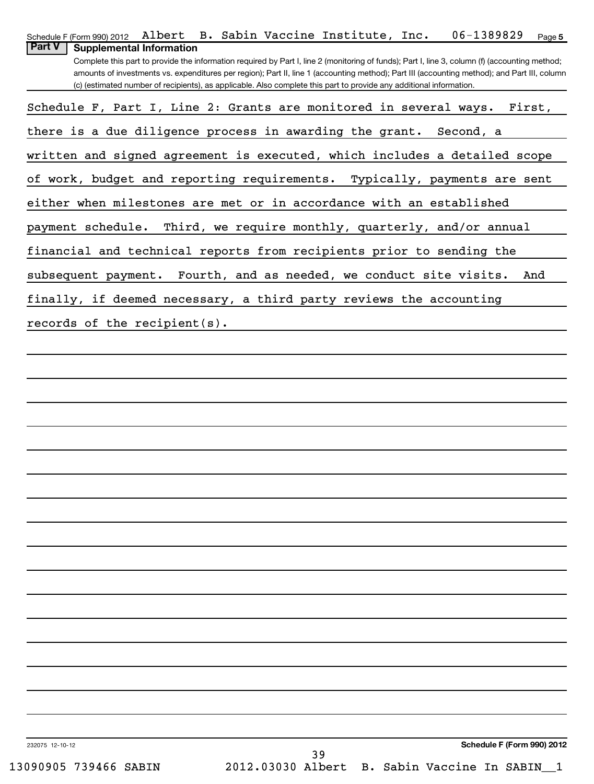| Albert B. Sabin Vaccine Institute, Inc.<br>06-1389829<br>Schedule F (Form 990) 2012<br>Page 5                                                                                                                                                                                                                                                                                                                                                                             |
|---------------------------------------------------------------------------------------------------------------------------------------------------------------------------------------------------------------------------------------------------------------------------------------------------------------------------------------------------------------------------------------------------------------------------------------------------------------------------|
| <b>Part V</b><br><b>Supplemental Information</b><br>Complete this part to provide the information required by Part I, line 2 (monitoring of funds); Part I, line 3, column (f) (accounting method;<br>amounts of investments vs. expenditures per region); Part II, line 1 (accounting method); Part III (accounting method); and Part III, column<br>(c) (estimated number of recipients), as applicable. Also complete this part to provide any additional information. |
| Schedule F, Part I, Line 2: Grants are monitored in several ways.<br>First,                                                                                                                                                                                                                                                                                                                                                                                               |
| there is a due diligence process in awarding the grant. Second, a                                                                                                                                                                                                                                                                                                                                                                                                         |
| written and signed agreement is executed, which includes a detailed scope                                                                                                                                                                                                                                                                                                                                                                                                 |
| of work, budget and reporting requirements. Typically, payments are sent                                                                                                                                                                                                                                                                                                                                                                                                  |
| either when milestones are met or in accordance with an established                                                                                                                                                                                                                                                                                                                                                                                                       |
| Third, we require monthly, quarterly, and/or annual<br>payment schedule.                                                                                                                                                                                                                                                                                                                                                                                                  |
| financial and technical reports from recipients prior to sending the                                                                                                                                                                                                                                                                                                                                                                                                      |
| subsequent payment. Fourth, and as needed, we conduct site visits.<br>And                                                                                                                                                                                                                                                                                                                                                                                                 |
| finally, if deemed necessary, a third party reviews the accounting                                                                                                                                                                                                                                                                                                                                                                                                        |
| records of the recipient(s).                                                                                                                                                                                                                                                                                                                                                                                                                                              |
|                                                                                                                                                                                                                                                                                                                                                                                                                                                                           |
|                                                                                                                                                                                                                                                                                                                                                                                                                                                                           |
|                                                                                                                                                                                                                                                                                                                                                                                                                                                                           |
|                                                                                                                                                                                                                                                                                                                                                                                                                                                                           |
|                                                                                                                                                                                                                                                                                                                                                                                                                                                                           |
|                                                                                                                                                                                                                                                                                                                                                                                                                                                                           |
|                                                                                                                                                                                                                                                                                                                                                                                                                                                                           |
|                                                                                                                                                                                                                                                                                                                                                                                                                                                                           |
|                                                                                                                                                                                                                                                                                                                                                                                                                                                                           |
|                                                                                                                                                                                                                                                                                                                                                                                                                                                                           |
|                                                                                                                                                                                                                                                                                                                                                                                                                                                                           |
|                                                                                                                                                                                                                                                                                                                                                                                                                                                                           |
|                                                                                                                                                                                                                                                                                                                                                                                                                                                                           |
|                                                                                                                                                                                                                                                                                                                                                                                                                                                                           |
|                                                                                                                                                                                                                                                                                                                                                                                                                                                                           |
|                                                                                                                                                                                                                                                                                                                                                                                                                                                                           |
|                                                                                                                                                                                                                                                                                                                                                                                                                                                                           |
| Schedule F (Form 990) 2012<br>232075 12-10-12<br>39                                                                                                                                                                                                                                                                                                                                                                                                                       |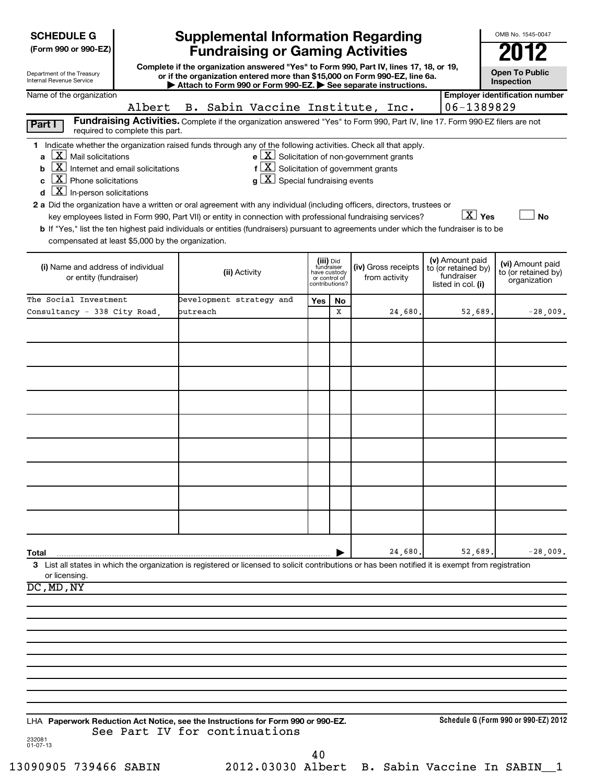| <b>SCHEDULE G</b> |
|-------------------|
|-------------------|

**(Form 990 or 990-EZ)**

| Department of the Treasury |  |
|----------------------------|--|
| Internal Revenue Service   |  |

# **Supplemental Information Regarding Fundraising or Gaming Activities 2012**

**Complete if the organization answered "Yes" to Form 990, Part IV, lines 17, 18, or 19, or if the organization entered more than \$15,000 on Form 990-EZ, line 6a. | Attach to Form 990 or Form 990-EZ. | See separate instructions.**

**Open To Public Inspection**

OMB No. 1545-0047

| Name of the organization<br>Albert                                                                                                                                                                                                                                                                                                                                                                                                                                                                                                                                                                                                                              | B. Sabin Vaccine Institute, Inc.                                                                                                                                                                                                |                                                          |                |                                                              | 06-1389829                                                                 | <b>Employer identification number</b>                   |
|-----------------------------------------------------------------------------------------------------------------------------------------------------------------------------------------------------------------------------------------------------------------------------------------------------------------------------------------------------------------------------------------------------------------------------------------------------------------------------------------------------------------------------------------------------------------------------------------------------------------------------------------------------------------|---------------------------------------------------------------------------------------------------------------------------------------------------------------------------------------------------------------------------------|----------------------------------------------------------|----------------|--------------------------------------------------------------|----------------------------------------------------------------------------|---------------------------------------------------------|
| Part I<br>required to complete this part.                                                                                                                                                                                                                                                                                                                                                                                                                                                                                                                                                                                                                       | Fundraising Activities. Complete if the organization answered "Yes" to Form 990, Part IV, line 17. Form 990-EZ filers are not                                                                                                   |                                                          |                |                                                              |                                                                            |                                                         |
| 1 Indicate whether the organization raised funds through any of the following activities. Check all that apply.<br>$\lfloor x \rfloor$ Mail solicitations<br>a<br>$\lfloor x \rfloor$<br>Internet and email solicitations<br>b<br>$\lfloor x \rfloor$ Phone solicitations<br>c<br>$\boxed{\mathbf{X}}$ In-person solicitations<br>d<br>2 a Did the organization have a written or oral agreement with any individual (including officers, directors, trustees or<br>b If "Yes," list the ten highest paid individuals or entities (fundraisers) pursuant to agreements under which the fundraiser is to be<br>compensated at least \$5,000 by the organization. | $f\left[\frac{X}{X}\right]$ Solicitation of government grants<br>$g\lfloor X \rfloor$ Special fundraising events<br>key employees listed in Form 990, Part VII) or entity in connection with professional fundraising services? |                                                          |                | $e$ $\boxed{\text{X}}$ Solicitation of non-government grants | $\boxed{\text{X}}$ Yes                                                     | <b>No</b>                                               |
| (i) Name and address of individual<br>or entity (fundraiser)                                                                                                                                                                                                                                                                                                                                                                                                                                                                                                                                                                                                    | (ii) Activity                                                                                                                                                                                                                   | (iii) Did<br>fundraiser<br>have custody<br>or control of | contributions? | (iv) Gross receipts<br>from activity                         | (v) Amount paid<br>to (or retained by)<br>fundraiser<br>listed in col. (i) | (vi) Amount paid<br>to (or retained by)<br>organization |
| The Social Investment<br>Consultancy - 338 City Road,                                                                                                                                                                                                                                                                                                                                                                                                                                                                                                                                                                                                           | Development strategy and<br>butreach                                                                                                                                                                                            | Yes                                                      | No<br>x        | 24,680.                                                      | 52,689.                                                                    | $-28,009.$                                              |
|                                                                                                                                                                                                                                                                                                                                                                                                                                                                                                                                                                                                                                                                 |                                                                                                                                                                                                                                 |                                                          |                |                                                              |                                                                            |                                                         |
|                                                                                                                                                                                                                                                                                                                                                                                                                                                                                                                                                                                                                                                                 |                                                                                                                                                                                                                                 |                                                          |                |                                                              |                                                                            |                                                         |
|                                                                                                                                                                                                                                                                                                                                                                                                                                                                                                                                                                                                                                                                 |                                                                                                                                                                                                                                 |                                                          |                |                                                              |                                                                            |                                                         |
|                                                                                                                                                                                                                                                                                                                                                                                                                                                                                                                                                                                                                                                                 |                                                                                                                                                                                                                                 |                                                          |                |                                                              |                                                                            |                                                         |
|                                                                                                                                                                                                                                                                                                                                                                                                                                                                                                                                                                                                                                                                 |                                                                                                                                                                                                                                 |                                                          |                |                                                              |                                                                            |                                                         |
|                                                                                                                                                                                                                                                                                                                                                                                                                                                                                                                                                                                                                                                                 |                                                                                                                                                                                                                                 |                                                          |                |                                                              |                                                                            |                                                         |
| Total                                                                                                                                                                                                                                                                                                                                                                                                                                                                                                                                                                                                                                                           |                                                                                                                                                                                                                                 |                                                          |                | 24,680.                                                      | 52,689.                                                                    | $-28,009.$                                              |
| 3 List all states in which the organization is registered or licensed to solicit contributions or has been notified it is exempt from registration<br>or licensing.<br>DC, MD, NY                                                                                                                                                                                                                                                                                                                                                                                                                                                                               |                                                                                                                                                                                                                                 |                                                          |                |                                                              |                                                                            |                                                         |
|                                                                                                                                                                                                                                                                                                                                                                                                                                                                                                                                                                                                                                                                 |                                                                                                                                                                                                                                 |                                                          |                |                                                              |                                                                            |                                                         |
|                                                                                                                                                                                                                                                                                                                                                                                                                                                                                                                                                                                                                                                                 |                                                                                                                                                                                                                                 |                                                          |                |                                                              |                                                                            |                                                         |
|                                                                                                                                                                                                                                                                                                                                                                                                                                                                                                                                                                                                                                                                 |                                                                                                                                                                                                                                 |                                                          |                |                                                              |                                                                            |                                                         |
| LHA Paperwork Reduction Act Notice, see the Instructions for Form 990 or 990-EZ.                                                                                                                                                                                                                                                                                                                                                                                                                                                                                                                                                                                |                                                                                                                                                                                                                                 |                                                          |                |                                                              |                                                                            | Schedule G (Form 990 or 990-EZ) 2012                    |
| 232081<br>$01 - 07 - 13$                                                                                                                                                                                                                                                                                                                                                                                                                                                                                                                                                                                                                                        | See Part IV for continuations                                                                                                                                                                                                   | 40                                                       |                |                                                              |                                                                            |                                                         |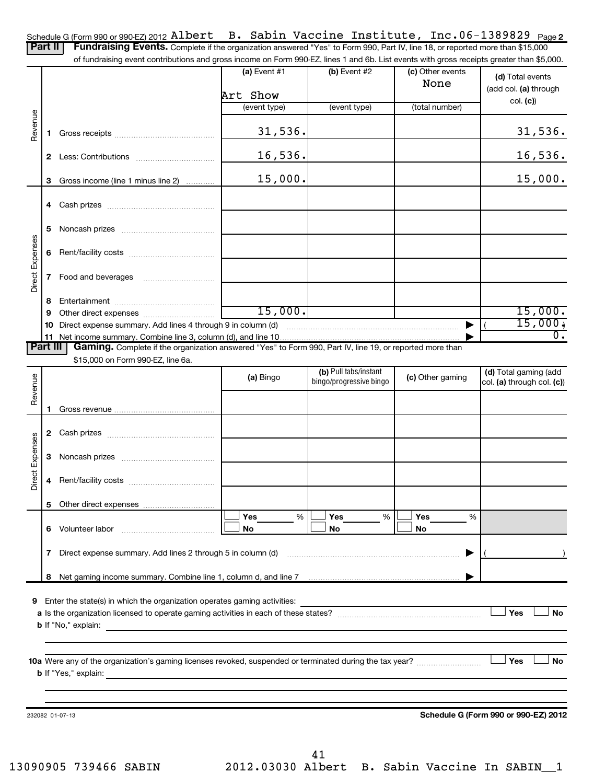| Schedule G (Form 990 or 990-EZ) 2012 Albert B. Sabin Vaccine Institute, Inc. 06-1389829 Page 2 |  |  |  |  |  |  |
|------------------------------------------------------------------------------------------------|--|--|--|--|--|--|
|------------------------------------------------------------------------------------------------|--|--|--|--|--|--|

Part II | Fundraising Events. Complete if the organization answered "Yes" to Form 990, Part IV, line 18, or reported more than \$15,000

|                 |              | of fundraising event contributions and gross income on Form 990-EZ, lines 1 and 6b. List events with gross receipts greater than \$5,000.           |                |                                                  |                          |                                                     |
|-----------------|--------------|-----------------------------------------------------------------------------------------------------------------------------------------------------|----------------|--------------------------------------------------|--------------------------|-----------------------------------------------------|
|                 |              |                                                                                                                                                     | (a) Event $#1$ | (b) Event #2                                     | (c) Other events<br>None | (d) Total events<br>(add col. (a) through           |
|                 |              |                                                                                                                                                     | Art Show       |                                                  |                          | col. (c)                                            |
|                 |              |                                                                                                                                                     | (event type)   | (event type)                                     | (total number)           |                                                     |
| Revenue         | 1.           |                                                                                                                                                     | 31,536.        |                                                  |                          | 31,536.                                             |
|                 |              |                                                                                                                                                     | 16,536.        |                                                  |                          | 16,536.                                             |
|                 | 3            | Gross income (line 1 minus line 2)                                                                                                                  | 15,000.        |                                                  |                          | 15,000.                                             |
|                 |              |                                                                                                                                                     |                |                                                  |                          |                                                     |
|                 | 5            |                                                                                                                                                     |                |                                                  |                          |                                                     |
|                 | 6            |                                                                                                                                                     |                |                                                  |                          |                                                     |
| Direct Expenses | 7            |                                                                                                                                                     |                |                                                  |                          |                                                     |
|                 | 8            |                                                                                                                                                     |                |                                                  |                          |                                                     |
|                 | 9            |                                                                                                                                                     | 15,000.        |                                                  |                          | 15,000.                                             |
|                 | 10           |                                                                                                                                                     |                |                                                  |                          | 15,000,                                             |
|                 |              |                                                                                                                                                     |                |                                                  |                          | $\overline{0}$ .                                    |
| <b>Part III</b> |              | Gaming. Complete if the organization answered "Yes" to Form 990, Part IV, line 19, or reported more than                                            |                |                                                  |                          |                                                     |
|                 |              | \$15,000 on Form 990-EZ, line 6a.                                                                                                                   |                |                                                  |                          |                                                     |
| Revenue         |              |                                                                                                                                                     | (a) Bingo      | (b) Pull tabs/instant<br>bingo/progressive bingo | (c) Other gaming         | (d) Total gaming (add<br>col. (a) through col. (c)) |
|                 |              |                                                                                                                                                     |                |                                                  |                          |                                                     |
|                 | 1.           |                                                                                                                                                     |                |                                                  |                          |                                                     |
|                 | $\mathbf{2}$ |                                                                                                                                                     |                |                                                  |                          |                                                     |
|                 |              |                                                                                                                                                     |                |                                                  |                          |                                                     |
| Direct Expenses | 3            |                                                                                                                                                     |                |                                                  |                          |                                                     |
|                 | 4            |                                                                                                                                                     |                |                                                  |                          |                                                     |
|                 |              | 5 Other direct expenses                                                                                                                             |                |                                                  |                          |                                                     |
|                 |              | 6 Volunteer labor                                                                                                                                   | Yes<br>%<br>No | <b>Yes</b><br>%<br>No                            | Yes<br>%<br>No           |                                                     |
|                 | 7            | Direct expense summary. Add lines 2 through 5 in column (d)                                                                                         |                |                                                  | ▶                        |                                                     |
|                 |              |                                                                                                                                                     |                |                                                  |                          |                                                     |
|                 |              |                                                                                                                                                     |                |                                                  |                          |                                                     |
| 9               |              | Enter the state(s) in which the organization operates gaming activities:                                                                            |                |                                                  |                          |                                                     |
|                 |              |                                                                                                                                                     |                |                                                  |                          | Yes<br><b>No</b>                                    |
|                 |              | <b>b</b> If "No," explain:<br><u> 1989 - Johann Stoff, deutscher Stoff, der Stoff, der Stoff, der Stoff, der Stoff, der Stoff, der Stoff, der S</u> |                |                                                  |                          |                                                     |
|                 |              |                                                                                                                                                     |                |                                                  |                          |                                                     |
|                 |              |                                                                                                                                                     |                |                                                  |                          | Yes<br>No                                           |
|                 |              |                                                                                                                                                     |                |                                                  |                          |                                                     |
|                 |              |                                                                                                                                                     |                |                                                  |                          |                                                     |
|                 |              |                                                                                                                                                     |                |                                                  |                          |                                                     |
|                 |              | 232082 01-07-13                                                                                                                                     |                |                                                  |                          | Schedule G (Form 990 or 990-EZ) 2012                |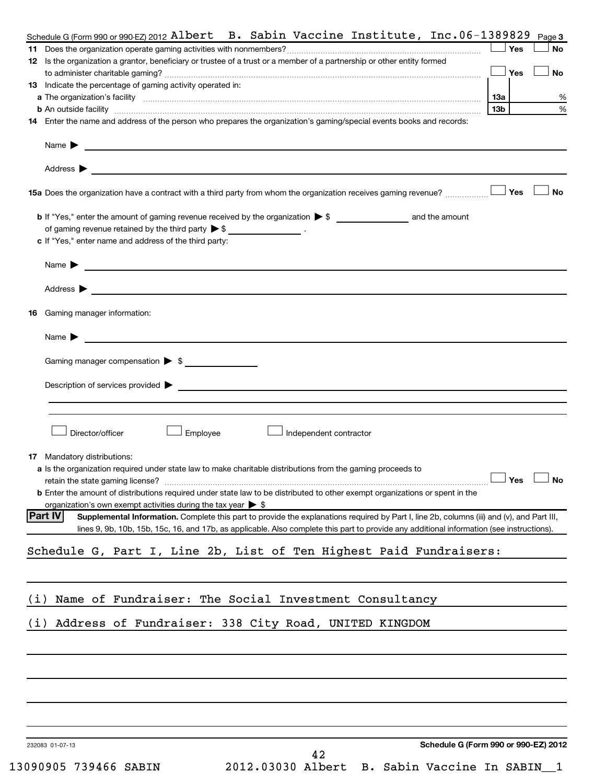|            | Schedule G (Form 990 or 990-EZ) 2012 Albert B. Sabin Vaccine Institute, $Inc.06-1389829$                                                                                                                                                  |     |            | Page 3               |
|------------|-------------------------------------------------------------------------------------------------------------------------------------------------------------------------------------------------------------------------------------------|-----|------------|----------------------|
|            |                                                                                                                                                                                                                                           |     | Yes        | No                   |
|            | 12 Is the organization a grantor, beneficiary or trustee of a trust or a member of a partnership or other entity formed                                                                                                                   |     |            |                      |
|            |                                                                                                                                                                                                                                           |     | <b>Yes</b> | <b>No</b>            |
|            | 13 Indicate the percentage of gaming activity operated in:                                                                                                                                                                                |     |            |                      |
|            | <b>b</b> An outside facility <b>with the contract of the contract of the contract of the contract of the contract of the contract of the contract of the contract of the contract of the contract of the contract of the contract of </b> | 13b |            |                      |
|            | 14 Enter the name and address of the person who prepares the organization's gaming/special events books and records:                                                                                                                      |     |            |                      |
|            |                                                                                                                                                                                                                                           |     |            |                      |
|            | Name <b>Definition of the Community of the Community of the Community of the Community of the Community of the Community of the Community of the Community of the Community of the Community of the Community of the Community o</b>      |     |            |                      |
|            |                                                                                                                                                                                                                                           |     |            |                      |
|            | Address $\blacktriangleright$<br>and the control of the control of the control of the control of the control of the control of the control of the                                                                                         |     |            |                      |
|            | 15a Does the organization have a contract with a third party from whom the organization receives gaming revenue?                                                                                                                          |     | Yes        | <b>No</b>            |
|            |                                                                                                                                                                                                                                           |     |            |                      |
|            |                                                                                                                                                                                                                                           |     |            |                      |
|            | of gaming revenue retained by the third party $\triangleright$ \$ ___________________.                                                                                                                                                    |     |            |                      |
|            | c If "Yes," enter name and address of the third party:                                                                                                                                                                                    |     |            |                      |
|            |                                                                                                                                                                                                                                           |     |            |                      |
|            | Name > 2008 - 2008 - 2009 - 2009 - 2009 - 2009 - 2009 - 2009 - 2009 - 2009 - 2009 - 2009 - 2009 - 2009 - 2009 - 2009 - 2009 - 2009 - 2009 - 2009 - 2009 - 2009 - 2009 - 2009 - 2009 - 2009 - 2009 - 2009 - 2009 - 2009 - 2009             |     |            |                      |
|            | Address $\blacktriangleright$                                                                                                                                                                                                             |     |            |                      |
|            |                                                                                                                                                                                                                                           |     |            |                      |
| 16         | Gaming manager information:                                                                                                                                                                                                               |     |            |                      |
|            |                                                                                                                                                                                                                                           |     |            |                      |
|            | Name $\blacktriangleright$<br><u> 1989 - Johann John Stein, markin film yn y brenin y brenin y brenin y brenin y brenin y brenin y brenin y br</u>                                                                                        |     |            |                      |
|            | Gaming manager compensation > \$                                                                                                                                                                                                          |     |            |                      |
|            |                                                                                                                                                                                                                                           |     |            |                      |
|            |                                                                                                                                                                                                                                           |     |            |                      |
|            |                                                                                                                                                                                                                                           |     |            |                      |
|            |                                                                                                                                                                                                                                           |     |            |                      |
|            | Director/officer<br>Employee<br>Independent contractor                                                                                                                                                                                    |     |            |                      |
|            |                                                                                                                                                                                                                                           |     |            |                      |
|            | <b>17</b> Mandatory distributions:                                                                                                                                                                                                        |     |            |                      |
|            | a Is the organization required under state law to make charitable distributions from the gaming proceeds to                                                                                                                               |     |            |                      |
|            |                                                                                                                                                                                                                                           |     |            | $\Box$ Yes $\Box$ No |
|            | <b>b</b> Enter the amount of distributions required under state law to be distributed to other exempt organizations or spent in the                                                                                                       |     |            |                      |
|            | organization's own exempt activities during the tax year $\triangleright$ \$                                                                                                                                                              |     |            |                      |
|            |                                                                                                                                                                                                                                           |     |            |                      |
|            | Part IV<br>Supplemental Information. Complete this part to provide the explanations required by Part I, line 2b, columns (iii) and (v), and Part III,                                                                                     |     |            |                      |
|            | lines 9, 9b, 10b, 15b, 15c, 16, and 17b, as applicable. Also complete this part to provide any additional information (see instructions).                                                                                                 |     |            |                      |
|            | Schedule G, Part I, Line 2b, List of Ten Highest Paid Fundraisers:                                                                                                                                                                        |     |            |                      |
|            |                                                                                                                                                                                                                                           |     |            |                      |
|            |                                                                                                                                                                                                                                           |     |            |                      |
|            |                                                                                                                                                                                                                                           |     |            |                      |
|            | Name of Fundraiser: The Social Investment Consultancy                                                                                                                                                                                     |     |            |                      |
|            | Address of Fundraiser: 338 City Road, UNITED KINGDOM                                                                                                                                                                                      |     |            |                      |
|            |                                                                                                                                                                                                                                           |     |            |                      |
|            |                                                                                                                                                                                                                                           |     |            |                      |
|            |                                                                                                                                                                                                                                           |     |            |                      |
|            |                                                                                                                                                                                                                                           |     |            |                      |
|            |                                                                                                                                                                                                                                           |     |            |                      |
|            |                                                                                                                                                                                                                                           |     |            |                      |
|            |                                                                                                                                                                                                                                           |     |            |                      |
|            |                                                                                                                                                                                                                                           |     |            |                      |
| (i)<br>(i) | Schedule G (Form 990 or 990-EZ) 2012<br>232083 01-07-13<br>42                                                                                                                                                                             |     |            |                      |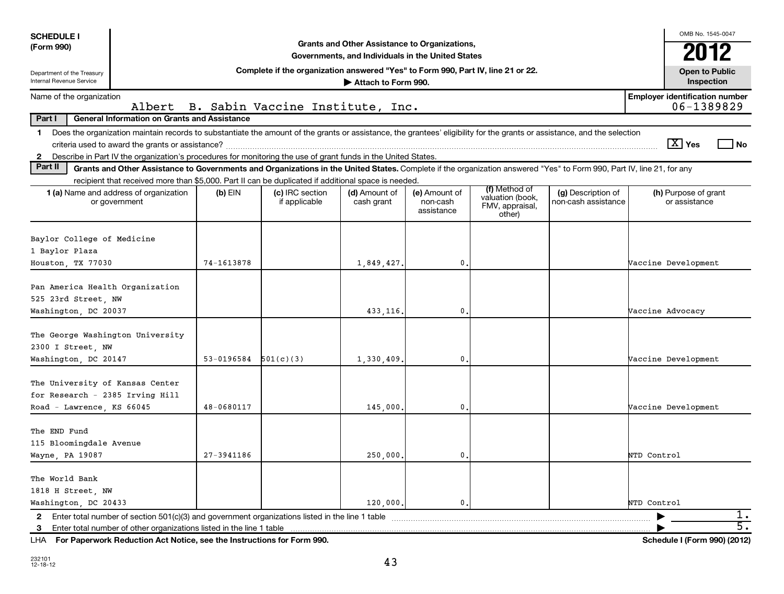| <b>SCHEDULE I</b>                                                                               |                                                                                                                                                                                                                                                       |                |                                                                                  |                                                                                                    |                                         |                                               |                                           | OMB No. 1545-0047                                      |
|-------------------------------------------------------------------------------------------------|-------------------------------------------------------------------------------------------------------------------------------------------------------------------------------------------------------------------------------------------------------|----------------|----------------------------------------------------------------------------------|----------------------------------------------------------------------------------------------------|-----------------------------------------|-----------------------------------------------|-------------------------------------------|--------------------------------------------------------|
| (Form 990)                                                                                      |                                                                                                                                                                                                                                                       |                |                                                                                  | Grants and Other Assistance to Organizations,<br>Governments, and Individuals in the United States |                                         |                                               |                                           | 2012                                                   |
| Department of the Treasury<br><b>Internal Revenue Service</b>                                   |                                                                                                                                                                                                                                                       |                | Complete if the organization answered "Yes" to Form 990, Part IV, line 21 or 22. | Attach to Form 990.                                                                                |                                         |                                               |                                           | <b>Open to Public</b><br>Inspection                    |
| Name of the organization                                                                        | Albert                                                                                                                                                                                                                                                |                | B. Sabin Vaccine Institute, Inc.                                                 |                                                                                                    |                                         |                                               |                                           | <b>Employer identification number</b><br>06-1389829    |
| Part I                                                                                          | <b>General Information on Grants and Assistance</b>                                                                                                                                                                                                   |                |                                                                                  |                                                                                                    |                                         |                                               |                                           |                                                        |
| $\mathbf 1$                                                                                     | Does the organization maintain records to substantiate the amount of the grants or assistance, the grantees' eligibility for the grants or assistance, and the selection                                                                              |                |                                                                                  |                                                                                                    |                                         |                                               |                                           |                                                        |
|                                                                                                 | criteria used to award the grants or assistance?                                                                                                                                                                                                      |                |                                                                                  |                                                                                                    |                                         |                                               |                                           | $ \overline{X} $ Yes<br>l No                           |
| $\mathbf{2}$                                                                                    | Describe in Part IV the organization's procedures for monitoring the use of grant funds in the United States.                                                                                                                                         |                |                                                                                  |                                                                                                    |                                         |                                               |                                           |                                                        |
| Part II                                                                                         | Grants and Other Assistance to Governments and Organizations in the United States. Complete if the organization answered "Yes" to Form 990, Part IV, line 21, for any                                                                                 |                |                                                                                  |                                                                                                    |                                         |                                               |                                           |                                                        |
|                                                                                                 | recipient that received more than \$5,000. Part II can be duplicated if additional space is needed.                                                                                                                                                   |                |                                                                                  |                                                                                                    |                                         | (f) Method of                                 |                                           |                                                        |
|                                                                                                 | <b>1 (a)</b> Name and address of organization<br>or government                                                                                                                                                                                        | $(b)$ EIN      | (c) IRC section<br>if applicable                                                 | (d) Amount of<br>cash grant                                                                        | (e) Amount of<br>non-cash<br>assistance | valuation (book,<br>FMV, appraisal,<br>other) | (g) Description of<br>non-cash assistance | (h) Purpose of grant<br>or assistance                  |
| Baylor College of Medicine<br>1 Baylor Plaza<br>Houston, TX 77030                               |                                                                                                                                                                                                                                                       | 74-1613878     |                                                                                  | 1,849,427.                                                                                         | $\mathbf{0}$                            |                                               |                                           | Vaccine Development                                    |
|                                                                                                 |                                                                                                                                                                                                                                                       |                |                                                                                  |                                                                                                    |                                         |                                               |                                           |                                                        |
| Pan America Health Organization<br>525 23rd Street, NW<br>Washington, DC 20037                  |                                                                                                                                                                                                                                                       |                |                                                                                  | 433,116.                                                                                           | $\mathbf{0}$ .                          |                                               |                                           | Vaccine Advocacy                                       |
| The George Washington University<br>2300 I Street, NW<br>Washington, DC 20147                   |                                                                                                                                                                                                                                                       | 53-0196584     | 501(c)(3)                                                                        | 1,330,409                                                                                          | $\mathbf{0}$ .                          |                                               |                                           | Vaccine Development                                    |
| The University of Kansas Center<br>for Research - 2385 Irving Hill<br>Road - Lawrence, KS 66045 |                                                                                                                                                                                                                                                       | 48-0680117     |                                                                                  | 145,000                                                                                            | $\mathbf{0}$ .                          |                                               |                                           | Vaccine Development                                    |
| The END Fund<br>115 Bloomingdale Avenue<br>Wayne, PA 19087                                      |                                                                                                                                                                                                                                                       | $27 - 3941186$ |                                                                                  | 250,000                                                                                            | 0.                                      |                                               |                                           | NTD Control                                            |
| The World Bank<br>1818 H Street, NW<br>Washington, DC 20433                                     |                                                                                                                                                                                                                                                       |                |                                                                                  | 120,000,                                                                                           | 0.                                      |                                               |                                           | NTD Control                                            |
| $\mathbf{2}$<br>-3                                                                              | Enter total number of section 501(c)(3) and government organizations listed in the line 1 table<br>Enter total number of other organizations listed in the line 1 table<br>LHA For Paperwork Reduction Act Notice, see the Instructions for Form 990. |                |                                                                                  |                                                                                                    |                                         |                                               |                                           | 1.<br>$\overline{5}$ .<br>Schedule I (Form 990) (2012) |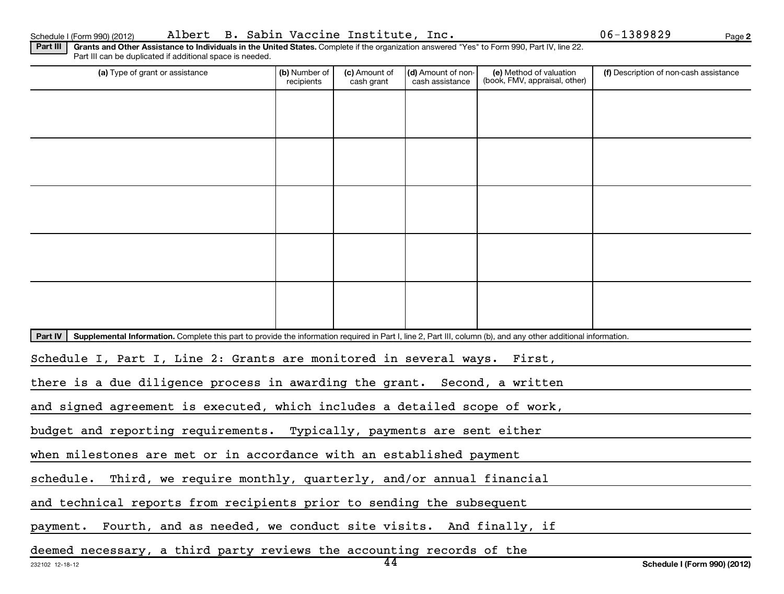| Schedule I (Form 990) (2012 |  |
|-----------------------------|--|

Schedule I (Form 990) (2012) Albert B. Sabin Vaccine Institute, Inc. 06-1389829 <sub>Page</sub>

**2**

| Part III   Grants and Other Assistance to Individuals in the United States. Complete if the organization answered "Yes" to Form 990, Part IV, line 22.<br>Part III can be duplicated if additional space is needed. |  |                                                          |                        |  |
|---------------------------------------------------------------------------------------------------------------------------------------------------------------------------------------------------------------------|--|----------------------------------------------------------|------------------------|--|
| La) Tyne of arant or accistance                                                                                                                                                                                     |  | $1/h$ Number of $1$ $(n)$ Amount of $1/d$ Amount of non- | a) Method of valuation |  |

| (a) Type of grant or assistance                                                                                                                                            | (b) Number of<br>recipients                                           | (c) Amount of<br>cash grant | (d) Amount of non-<br>cash assistance | (e) Method of valuation<br>(book, FMV, appraisal, other) | (f) Description of non-cash assistance |  |  |  |  |
|----------------------------------------------------------------------------------------------------------------------------------------------------------------------------|-----------------------------------------------------------------------|-----------------------------|---------------------------------------|----------------------------------------------------------|----------------------------------------|--|--|--|--|
|                                                                                                                                                                            |                                                                       |                             |                                       |                                                          |                                        |  |  |  |  |
|                                                                                                                                                                            |                                                                       |                             |                                       |                                                          |                                        |  |  |  |  |
|                                                                                                                                                                            |                                                                       |                             |                                       |                                                          |                                        |  |  |  |  |
|                                                                                                                                                                            |                                                                       |                             |                                       |                                                          |                                        |  |  |  |  |
|                                                                                                                                                                            |                                                                       |                             |                                       |                                                          |                                        |  |  |  |  |
|                                                                                                                                                                            |                                                                       |                             |                                       |                                                          |                                        |  |  |  |  |
|                                                                                                                                                                            |                                                                       |                             |                                       |                                                          |                                        |  |  |  |  |
|                                                                                                                                                                            |                                                                       |                             |                                       |                                                          |                                        |  |  |  |  |
|                                                                                                                                                                            |                                                                       |                             |                                       |                                                          |                                        |  |  |  |  |
|                                                                                                                                                                            |                                                                       |                             |                                       |                                                          |                                        |  |  |  |  |
| Part IV<br>Supplemental Information. Complete this part to provide the information required in Part I, line 2, Part III, column (b), and any other additional information. |                                                                       |                             |                                       |                                                          |                                        |  |  |  |  |
| Schedule I, Part I, Line 2: Grants are monitored in several ways. First,                                                                                                   |                                                                       |                             |                                       |                                                          |                                        |  |  |  |  |
| there is a due diligence process in awarding the grant. Second, a written                                                                                                  |                                                                       |                             |                                       |                                                          |                                        |  |  |  |  |
| and signed agreement is executed, which includes a detailed scope of work,                                                                                                 |                                                                       |                             |                                       |                                                          |                                        |  |  |  |  |
| budget and reporting requirements. Typically, payments are sent either                                                                                                     |                                                                       |                             |                                       |                                                          |                                        |  |  |  |  |
| when milestones are met or in accordance with an established payment                                                                                                       |                                                                       |                             |                                       |                                                          |                                        |  |  |  |  |
| schedule. Third, we require monthly, quarterly, and/or annual financial                                                                                                    |                                                                       |                             |                                       |                                                          |                                        |  |  |  |  |
|                                                                                                                                                                            | and technical reports from recipients prior to sending the subsequent |                             |                                       |                                                          |                                        |  |  |  |  |
| payment. Fourth, and as needed, we conduct site visits. And finally, if                                                                                                    |                                                                       |                             |                                       |                                                          |                                        |  |  |  |  |
| deemed necessary, a third party reviews the accounting records of the                                                                                                      |                                                                       |                             |                                       |                                                          |                                        |  |  |  |  |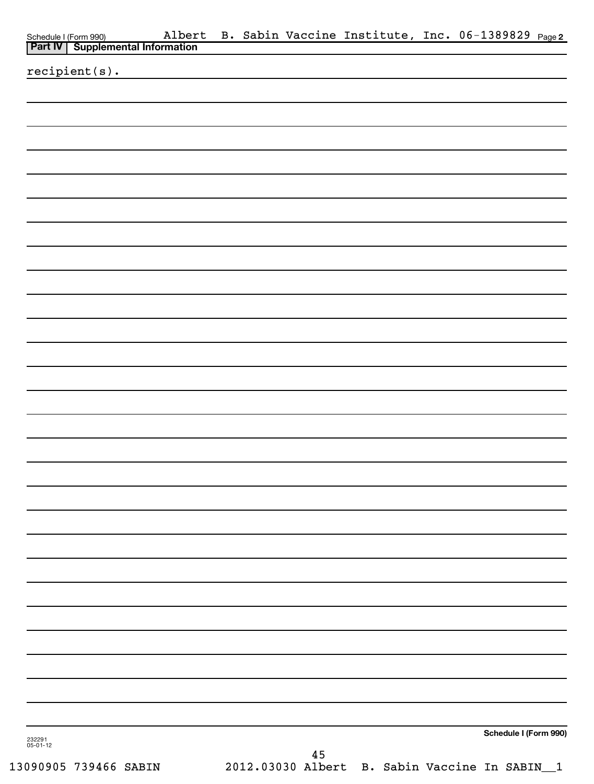| Schedule I (Form 990) Alber<br><b>Part IV</b> Supplemental Information |  |    |  | Albert B. Sabin Vaccine Institute, Inc. 06-1389829 Page2 |  |
|------------------------------------------------------------------------|--|----|--|----------------------------------------------------------|--|
| recipient(s).                                                          |  |    |  |                                                          |  |
|                                                                        |  |    |  |                                                          |  |
|                                                                        |  |    |  |                                                          |  |
|                                                                        |  |    |  |                                                          |  |
|                                                                        |  |    |  |                                                          |  |
|                                                                        |  |    |  |                                                          |  |
|                                                                        |  |    |  |                                                          |  |
|                                                                        |  |    |  |                                                          |  |
|                                                                        |  |    |  |                                                          |  |
|                                                                        |  |    |  |                                                          |  |
|                                                                        |  |    |  |                                                          |  |
|                                                                        |  |    |  |                                                          |  |
|                                                                        |  |    |  |                                                          |  |
|                                                                        |  |    |  |                                                          |  |
|                                                                        |  |    |  |                                                          |  |
|                                                                        |  |    |  |                                                          |  |
|                                                                        |  |    |  |                                                          |  |
|                                                                        |  |    |  |                                                          |  |
|                                                                        |  |    |  |                                                          |  |
|                                                                        |  |    |  |                                                          |  |
|                                                                        |  |    |  |                                                          |  |
|                                                                        |  |    |  |                                                          |  |
|                                                                        |  |    |  |                                                          |  |
|                                                                        |  |    |  |                                                          |  |
|                                                                        |  |    |  |                                                          |  |
|                                                                        |  |    |  |                                                          |  |
|                                                                        |  |    |  |                                                          |  |
|                                                                        |  |    |  |                                                          |  |
|                                                                        |  |    |  |                                                          |  |
| 232291<br>05-01-12                                                     |  |    |  | Schedule I (Form 990)                                    |  |
|                                                                        |  | 45 |  |                                                          |  |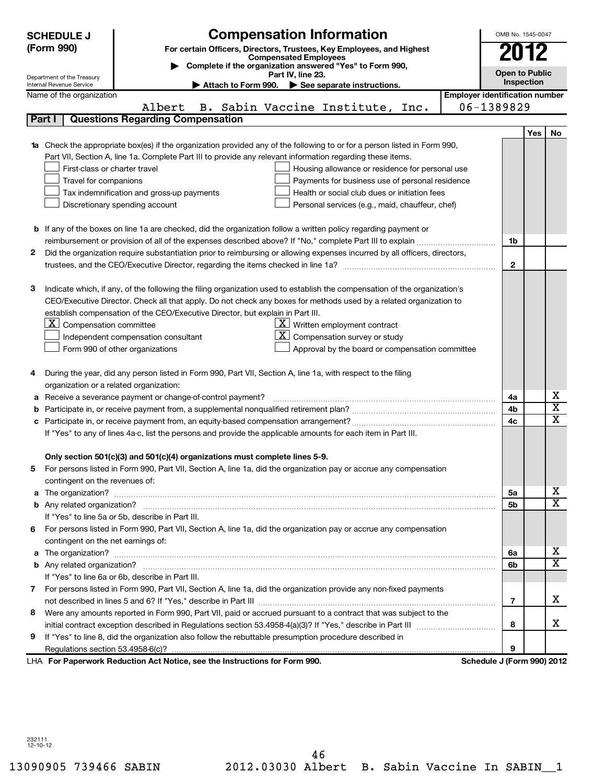|        | <b>SCHEDULE J</b><br>(Form 990)<br>Department of the Treasury<br>Internal Revenue Service | <b>Compensation Information</b><br>For certain Officers, Directors, Trustees, Key Employees, and Highest<br><b>Compensated Employees</b><br>Complete if the organization answered "Yes" to Form 990,<br>Part IV, line 23.<br>Attach to Form 990. See separate instructions.                                                                                                                                                                                                                                                                            |                                       | OMB No. 1545-0047<br>2012<br><b>Open to Public</b> | <b>Inspection</b> |                         |
|--------|-------------------------------------------------------------------------------------------|--------------------------------------------------------------------------------------------------------------------------------------------------------------------------------------------------------------------------------------------------------------------------------------------------------------------------------------------------------------------------------------------------------------------------------------------------------------------------------------------------------------------------------------------------------|---------------------------------------|----------------------------------------------------|-------------------|-------------------------|
|        | Name of the organization                                                                  |                                                                                                                                                                                                                                                                                                                                                                                                                                                                                                                                                        | <b>Employer identification number</b> |                                                    |                   |                         |
|        |                                                                                           | Albert<br>B. Sabin Vaccine Institute, Inc.                                                                                                                                                                                                                                                                                                                                                                                                                                                                                                             |                                       | 06-1389829                                         |                   |                         |
|        | Part I                                                                                    | <b>Questions Regarding Compensation</b>                                                                                                                                                                                                                                                                                                                                                                                                                                                                                                                |                                       |                                                    |                   |                         |
|        | First-class or charter travel<br>Travel for companions                                    | <b>1a</b> Check the appropriate box(es) if the organization provided any of the following to or for a person listed in Form 990,<br>Part VII, Section A, line 1a. Complete Part III to provide any relevant information regarding these items.<br>Housing allowance or residence for personal use<br>Payments for business use of personal residence<br>Health or social club dues or initiation fees<br>Tax indemnification and gross-up payments<br>Discretionary spending account<br>Personal services (e.g., maid, chauffeur, chef)                |                                       |                                                    | Yes               | No                      |
|        |                                                                                           | <b>b</b> If any of the boxes on line 1a are checked, did the organization follow a written policy regarding payment or                                                                                                                                                                                                                                                                                                                                                                                                                                 |                                       |                                                    |                   |                         |
|        |                                                                                           | reimbursement or provision of all of the expenses described above? If "No," complete Part III to explain                                                                                                                                                                                                                                                                                                                                                                                                                                               |                                       | 1b                                                 |                   |                         |
| 2      |                                                                                           | Did the organization require substantiation prior to reimbursing or allowing expenses incurred by all officers, directors,                                                                                                                                                                                                                                                                                                                                                                                                                             |                                       |                                                    |                   |                         |
|        |                                                                                           |                                                                                                                                                                                                                                                                                                                                                                                                                                                                                                                                                        |                                       | $\mathbf{2}$                                       |                   |                         |
| з      | <u>X  </u><br>Compensation committee                                                      | Indicate which, if any, of the following the filing organization used to establish the compensation of the organization's<br>CEO/Executive Director. Check all that apply. Do not check any boxes for methods used by a related organization to<br>establish compensation of the CEO/Executive Director, but explain in Part III.<br>$\underline{\mathbf{X}}$ Written employment contract<br>Compensation survey or study<br>Independent compensation consultant<br>Form 990 of other organizations<br>Approval by the board or compensation committee |                                       |                                                    |                   |                         |
| 4      |                                                                                           | During the year, did any person listed in Form 990, Part VII, Section A, line 1a, with respect to the filing                                                                                                                                                                                                                                                                                                                                                                                                                                           |                                       |                                                    |                   |                         |
|        | organization or a related organization:                                                   | Receive a severance payment or change-of-control payment?                                                                                                                                                                                                                                                                                                                                                                                                                                                                                              |                                       | 4a                                                 |                   | х                       |
| а<br>b |                                                                                           |                                                                                                                                                                                                                                                                                                                                                                                                                                                                                                                                                        |                                       | 4b                                                 |                   | $\overline{\mathtt{x}}$ |
| c      |                                                                                           |                                                                                                                                                                                                                                                                                                                                                                                                                                                                                                                                                        |                                       | 4c                                                 |                   | $\overline{\text{x}}$   |
|        |                                                                                           | If "Yes" to any of lines 4a-c, list the persons and provide the applicable amounts for each item in Part III.                                                                                                                                                                                                                                                                                                                                                                                                                                          |                                       |                                                    |                   |                         |
| 5      | contingent on the revenues of:                                                            | Only section 501(c)(3) and 501(c)(4) organizations must complete lines 5-9.<br>For persons listed in Form 990, Part VII, Section A, line 1a, did the organization pay or accrue any compensation                                                                                                                                                                                                                                                                                                                                                       |                                       |                                                    |                   |                         |
| a      |                                                                                           | The organization? <b>With the contract of the contract of the contract of the contract of the contract of the contract of the contract of the contract of the contract of the contract of the contract of the contract of the co</b>                                                                                                                                                                                                                                                                                                                   |                                       | 5a                                                 |                   | х                       |
|        |                                                                                           |                                                                                                                                                                                                                                                                                                                                                                                                                                                                                                                                                        |                                       | 5b                                                 |                   | $\overline{\texttt{x}}$ |
|        |                                                                                           | If "Yes" to line 5a or 5b, describe in Part III.                                                                                                                                                                                                                                                                                                                                                                                                                                                                                                       |                                       |                                                    |                   |                         |
| 6      |                                                                                           | For persons listed in Form 990, Part VII, Section A, line 1a, did the organization pay or accrue any compensation                                                                                                                                                                                                                                                                                                                                                                                                                                      |                                       |                                                    |                   |                         |
|        | contingent on the net earnings of:                                                        |                                                                                                                                                                                                                                                                                                                                                                                                                                                                                                                                                        |                                       |                                                    |                   |                         |
|        |                                                                                           |                                                                                                                                                                                                                                                                                                                                                                                                                                                                                                                                                        |                                       | 6a                                                 |                   | x                       |
|        |                                                                                           |                                                                                                                                                                                                                                                                                                                                                                                                                                                                                                                                                        |                                       | 6b                                                 |                   | $\overline{\mathtt{x}}$ |
|        |                                                                                           | If "Yes" to line 6a or 6b, describe in Part III.                                                                                                                                                                                                                                                                                                                                                                                                                                                                                                       |                                       |                                                    |                   |                         |
|        |                                                                                           | 7 For persons listed in Form 990, Part VII, Section A, line 1a, did the organization provide any non-fixed payments                                                                                                                                                                                                                                                                                                                                                                                                                                    |                                       | 7                                                  |                   | x                       |
| 8      |                                                                                           | Were any amounts reported in Form 990, Part VII, paid or accrued pursuant to a contract that was subject to the                                                                                                                                                                                                                                                                                                                                                                                                                                        |                                       |                                                    |                   |                         |
|        |                                                                                           |                                                                                                                                                                                                                                                                                                                                                                                                                                                                                                                                                        |                                       | 8                                                  |                   | x                       |
| 9      |                                                                                           | If "Yes" to line 8, did the organization also follow the rebuttable presumption procedure described in                                                                                                                                                                                                                                                                                                                                                                                                                                                 |                                       |                                                    |                   |                         |
|        |                                                                                           |                                                                                                                                                                                                                                                                                                                                                                                                                                                                                                                                                        |                                       | 9                                                  |                   |                         |
|        |                                                                                           | LHA For Paperwork Reduction Act Notice, see the Instructions for Form 990.                                                                                                                                                                                                                                                                                                                                                                                                                                                                             |                                       | Schedule J (Form 990) 2012                         |                   |                         |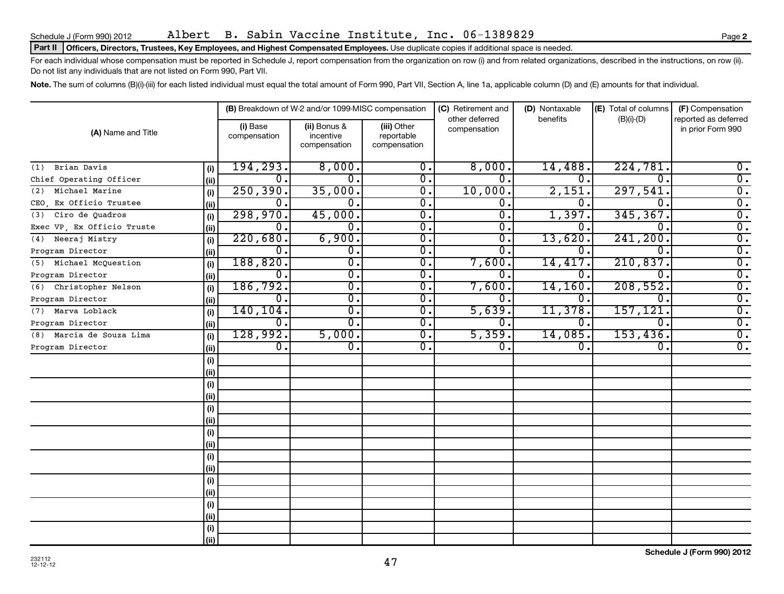Schedule J (Form 990) 2012 Albert B. Sabin Vaccine Institute, Inc. 06-1389829 Page

#### Part II | Officers, Directors, Trustees, Key Employees, and Highest Compensated Employees. Use duplicate copies if additional space is needed.

For each individual whose compensation must be reported in Schedule J, report compensation from the organization on row (i) and from related organizations, described in the instructions, on row (ii). Do not list any individuals that are not listed on Form 990, Part VII.

Note. The sum of columns (B)(i)-(iii) for each listed individual must equal the total amount of Form 990, Part VII, Section A, line 1a, applicable column (D) and (E) amounts for that individual.

|                             |      |                          | (B) Breakdown of W-2 and/or 1099-MISC compensation |                                           | (C) Retirement and<br>other deferred | (D) Nontaxable<br>benefits | (E) Total of columns | (F) Compensation<br>reported as deferred |
|-----------------------------|------|--------------------------|----------------------------------------------------|-------------------------------------------|--------------------------------------|----------------------------|----------------------|------------------------------------------|
| (A) Name and Title          |      | (i) Base<br>compensation | (ii) Bonus &<br>incentive<br>compensation          | (iii) Other<br>reportable<br>compensation | compensation                         |                            | $(B)(i)-(D)$         | in prior Form 990                        |
| Brian Davis<br>(1)          | (i)  | 194, 293.                | 8,000.                                             | 0.                                        | 8,000.                               | 14,488.                    | 224,781              | 0.                                       |
| Chief Operating Officer     | (ii) | 0.                       | 0.                                                 | $\overline{0}$ .                          | $\Omega$ .                           | 0.                         | $\Omega$             | $\overline{0}$ .                         |
| Michael Marine<br>(2)       | (i)  | 250, 390.                | 35,000.                                            | $\overline{0}$ .                          | 10,000.                              | 2,151.                     | 297,541              | $\overline{0}$ .                         |
| Ex Officio Trustee<br>CEO.  | (i)  | 0.                       | $\mathbf 0$ .                                      | $\overline{0}$ .                          | $\mathbf 0$ .                        | 0.                         | $\Omega$             | $\overline{0}$ .                         |
| Ciro de Quadros<br>(3)      | (i)  | 298,970.                 | 45,000.                                            | $\overline{\mathfrak{o}}$ .               | $\overline{0}$                       | 1,397.                     | 345,367.             | $\overline{0}$ .                         |
| Exec VP, Ex Officio Truste  | (i)  | $\mathbf 0$ .            | 0.                                                 | $\overline{0}$ .                          | $0$ .                                | 0.                         | $\Omega$             | $\overline{0}$ .                         |
| Neeraj Mistry<br>(4)        | (i)  | 220,680.                 | 6,900.                                             | $\overline{0}$ .                          | $0$ .                                | 13,620.                    | 241, 200.            | $\overline{0}$ .                         |
| Program Director            | (ii) | $\mathbf 0$ .            | 0.                                                 | 0.                                        | 0                                    | 0.                         | $\Omega$ .           | $\overline{0}$ .                         |
| Michael McOuestion<br>(5)   | (i)  | 188, 820.                | $\overline{0}$ .                                   | $\overline{0}$ .                          | 7,600.                               | 14,417.                    | 210,837.             | $\overline{0}$ .                         |
| Program Director            | (ii) | $\mathbf 0$ .            | $\overline{0}$ .                                   | $\overline{0}$ .                          | 0                                    | 0.                         | $\Omega$ .           | $\overline{0}$ .                         |
| Christopher Nelson<br>(6)   | (i)  | 186, 792.                | $\overline{0}$ .                                   | $\overline{0}$ .                          | 7,600                                | 14, 160.                   | 208,552.             | $\overline{0}$ .                         |
| Program Director            | (ii) | 0.                       | $\overline{0}$ .                                   | $\overline{0}$ .                          | 0                                    | 0.                         | $\Omega$ .           | $\overline{0}$ .                         |
| Marva Loblack<br>(7)        | (i)  | 140, 104.                | $\overline{0}$ .                                   | $\overline{0}$ .                          | 5,639                                | 11,378.                    | 157,121              | $\overline{0}$ .                         |
| Program Director            | (ii) | 0.                       | $0$ .                                              | $\overline{0}$ .                          | $\Omega$ .                           | 0.                         | $\mathbf 0$ .        | $\overline{0}$ .                         |
| Marcia de Souza Lima<br>(8) | (i)  | 128,992.                 | 5,000.                                             | $\overline{0}$ .                          | 5,359.                               | 14,085.                    | 153,436.             | $\overline{0}$ .                         |
| Program Director            | (ii) | $\overline{0}$ .         | $\overline{0}$ .                                   | $\overline{0}$ .                          | $\mathbf 0$ .                        | $\overline{0}$ .           | 0.                   | $\overline{0}$ .                         |
|                             | (i)  |                          |                                                    |                                           |                                      |                            |                      |                                          |
|                             | (ii) |                          |                                                    |                                           |                                      |                            |                      |                                          |
|                             | (i)  |                          |                                                    |                                           |                                      |                            |                      |                                          |
|                             | (ii) |                          |                                                    |                                           |                                      |                            |                      |                                          |
|                             | (i)  |                          |                                                    |                                           |                                      |                            |                      |                                          |
|                             | (ii) |                          |                                                    |                                           |                                      |                            |                      |                                          |
|                             | (i)  |                          |                                                    |                                           |                                      |                            |                      |                                          |
|                             | (ii) |                          |                                                    |                                           |                                      |                            |                      |                                          |
|                             | (i)  |                          |                                                    |                                           |                                      |                            |                      |                                          |
|                             | (ii) |                          |                                                    |                                           |                                      |                            |                      |                                          |
|                             | (i)  |                          |                                                    |                                           |                                      |                            |                      |                                          |
|                             | (ii) |                          |                                                    |                                           |                                      |                            |                      |                                          |
|                             | (i)  |                          |                                                    |                                           |                                      |                            |                      |                                          |
|                             | (ii) |                          |                                                    |                                           |                                      |                            |                      |                                          |
|                             | (i)  |                          |                                                    |                                           |                                      |                            |                      |                                          |
|                             | (ii) |                          |                                                    |                                           |                                      |                            |                      |                                          |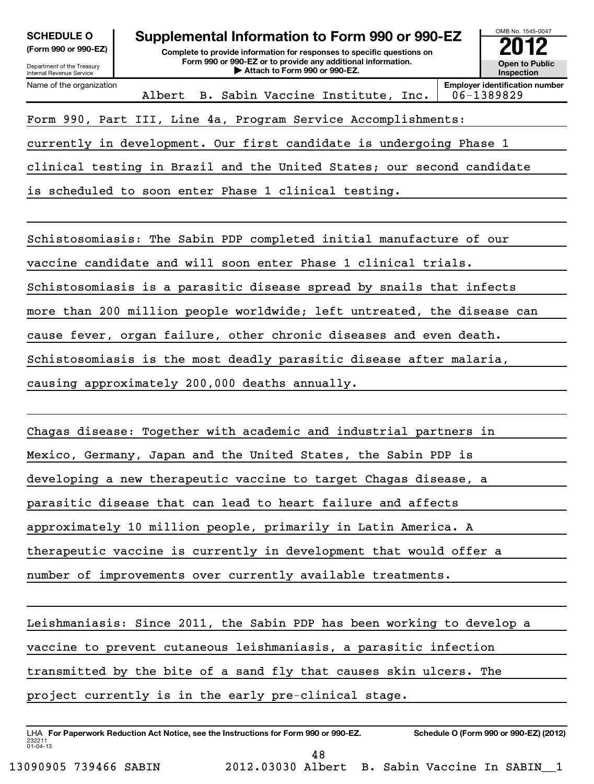| <b>SCHEDULE O</b>                 |  |  |
|-----------------------------------|--|--|
| $I_{\text{Cov}}$ 000 or 000 $E$ 7 |  |  |

Department of the Treasury Internal Revenue Service

# **Supplemental Information to Form 990 or 990-EZ**

**(Form 990 or 990-EZ) Complete to provide information for responses to specific questions on Form 990 or 990-EZ or to provide any additional information. | Attach to Form 990 or 990-EZ. Open to Public**

**Inspection**

OMB No. 1545-0047

| Name of the organization<br>Albert B. Sabin Vaccine Institute, Inc.    | <b>Employer identification number</b><br>06-1389829 |
|------------------------------------------------------------------------|-----------------------------------------------------|
| Form 990, Part III, Line 4a, Program Service Accomplishments:          |                                                     |
| currently in development. Our first candidate is undergoing Phase 1    |                                                     |
| clinical testing in Brazil and the United States; our second candidate |                                                     |

is scheduled to soon enter Phase 1 clinical testing.

Schistosomiasis: The Sabin PDP completed initial manufacture of our

vaccine candidate and will soon enter Phase 1 clinical trials.

Schistosomiasis is a parasitic disease spread by snails that infects

more than 200 million people worldwide; left untreated, the disease can

cause fever, organ failure, other chronic diseases and even death.

Schistosomiasis is the most deadly parasitic disease after malaria,

causing approximately 200,000 deaths annually.

Chagas disease: Together with academic and industrial partners in

Mexico, Germany, Japan and the United States, the Sabin PDP is

developing a new therapeutic vaccine to target Chagas disease, a

parasitic disease that can lead to heart failure and affects

approximately 10 million people, primarily in Latin America. A

therapeutic vaccine is currently in development that would offer a

number of improvements over currently available treatments.

Leishmaniasis: Since 2011, the Sabin PDP has been working to develop a

vaccine to prevent cutaneous leishmaniasis, a parasitic infection

transmitted by the bite of a sand fly that causes skin ulcers. The

project currently is in the early pre-clinical stage.

232211 01-04-13 LHA For Paperwork Reduction Act Notice, see the Instructions for Form 990 or 990-EZ. Schedule O (Form 990 or 990-EZ) (2012) 48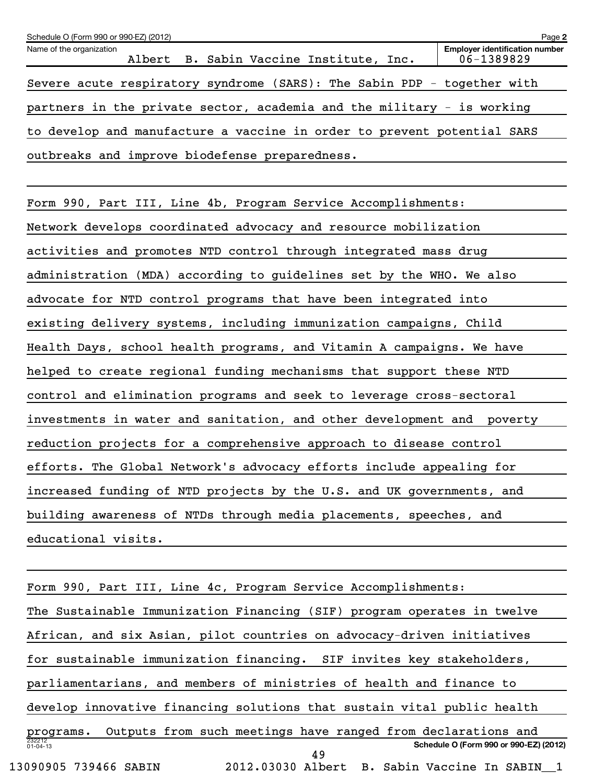| Schedule O (Form 990 or 990-EZ) (2012)                                  | Page 2                                              |
|-------------------------------------------------------------------------|-----------------------------------------------------|
| Name of the organization<br>Albert B. Sabin Vaccine Institute, Inc.     | <b>Employer identification number</b><br>06-1389829 |
| Severe acute respiratory syndrome (SARS): The Sabin PDP - together with |                                                     |
| partners in the private sector, academia and the military - is working  |                                                     |
| to develop and manufacture a vaccine in order to prevent potential SARS |                                                     |
| outbreaks and improve biodefense preparedness.                          |                                                     |
|                                                                         |                                                     |
| Form 990, Part III, Line 4b, Program Service Accomplishments:           |                                                     |
| Network develops coordinated advocacy and resource mobilization         |                                                     |
| activities and promotes NTD control through integrated mass drug        |                                                     |
| administration (MDA) according to guidelines set by the WHO. We also    |                                                     |
| advocate for NTD control programs that have been integrated into        |                                                     |
| existing delivery systems, including immunization campaigns, Child      |                                                     |
| Health Days, school health programs, and Vitamin A campaigns. We have   |                                                     |
| helped to create regional funding mechanisms that support these NTD     |                                                     |
| control and elimination programs and seek to leverage cross-sectoral    |                                                     |
| investments in water and sanitation, and other development and poverty  |                                                     |
| reduction projects for a comprehensive approach to disease control      |                                                     |
| efforts. The Global Network's advocacy efforts include appealing for    |                                                     |
| increased funding of NTD projects by the U.S. and UK governments, and   |                                                     |

educational visits.

| Form 990, Part III, Line 4c, Program Service Accomplishments:             |
|---------------------------------------------------------------------------|
| The Sustainable Immunization Financing (SIF) program operates in twelve   |
| African, and six Asian, pilot countries on advocacy-driven initiatives    |
| for sustainable immunization financing. SIF invites key stakeholders,     |
| parliamentarians, and members of ministries of health and finance to      |
| develop innovative financing solutions that sustain vital public health   |
| Outputs from such meetings have ranged from declarations and<br>programs. |
| 232212<br>01-04-13<br>Schedule O (Form 990 or 990-EZ) (2012)<br>49        |
| 13090905 739466 SABIN<br>2012.03030 Albert B. Sabin Vaccine In SABIN 1    |

building awareness of NTDs through media placements, speeches, and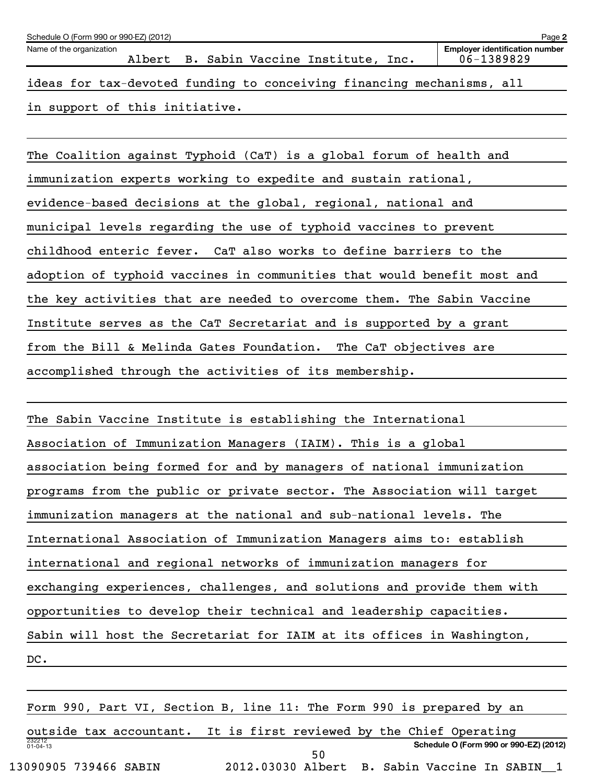| Schedule O (Form 990 or 990-EZ) (2012)                                | Page 2                                              |
|-----------------------------------------------------------------------|-----------------------------------------------------|
| Name of the organization<br>Albert B. Sabin Vaccine Institute, Inc.   | <b>Employer identification number</b><br>06-1389829 |
| ideas for tax-devoted funding to conceiving financing mechanisms, all |                                                     |
| in support of this initiative.                                        |                                                     |

The Coalition against Typhoid (CaT) is a global forum of health and immunization experts working to expedite and sustain rational, evidence-based decisions at the global, regional, national and municipal levels regarding the use of typhoid vaccines to prevent childhood enteric fever. CaT also works to define barriers to the adoption of typhoid vaccines in communities that would benefit most and the key activities that are needed to overcome them. The Sabin Vaccine Institute serves as the CaT Secretariat and is supported by a grant from the Bill & Melinda Gates Foundation. The CaT objectives are accomplished through the activities of its membership.

The Sabin Vaccine Institute is establishing the International Association of Immunization Managers (IAIM). This is a global association being formed for and by managers of national immunization programs from the public or private sector. The Association will target immunization managers at the national and sub-national levels. The International Association of Immunization Managers aims to: establish international and regional networks of immunization managers for exchanging experiences, challenges, and solutions and provide them with opportunities to develop their technical and leadership capacities. Sabin will host the Secretariat for IAIM at its offices in Washington, DC.

232212 01-04-13 **Schedule O (Form 990 or 990-EZ) (2012)** Form 990, Part VI, Section B, line 11: The Form 990 is prepared by an outside tax accountant. It is first reviewed by the Chief Operating 13090905 739466 SABIN 2012.03030 Albert B. Sabin Vaccine In SABIN\_\_1 50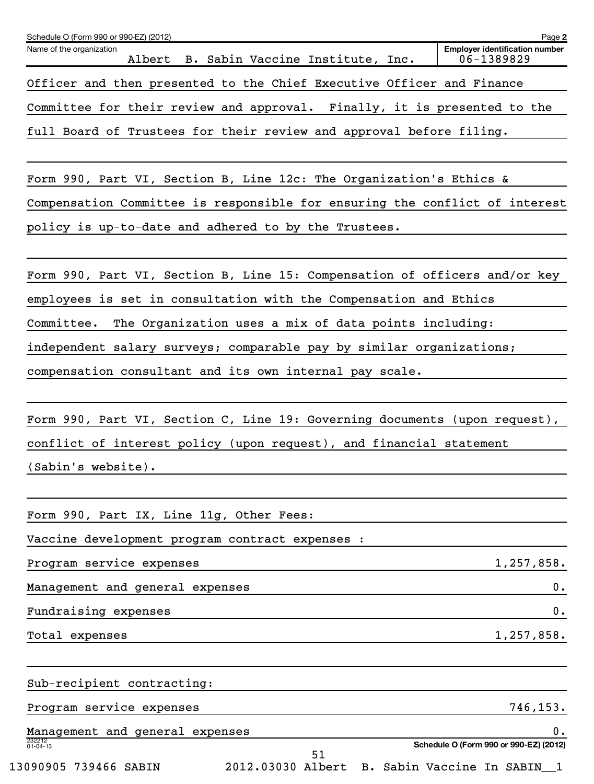| Schedule O (Form 990 or 990-EZ) (2012)                                                                                                                                  | Page 2                                              |
|-------------------------------------------------------------------------------------------------------------------------------------------------------------------------|-----------------------------------------------------|
| Name of the organization<br>Albert<br>B. Sabin Vaccine Institute, Inc.                                                                                                  | <b>Employer identification number</b><br>06-1389829 |
| Officer and then presented to the Chief Executive Officer and Finance                                                                                                   |                                                     |
| Committee for their review and approval. Finally, it is presented to the                                                                                                |                                                     |
| full Board of Trustees for their review and approval before filing.                                                                                                     |                                                     |
| Form 990, Part VI, Section B, Line 12c: The Organization's Ethics &                                                                                                     |                                                     |
| Compensation Committee is responsible for ensuring the conflict of interest                                                                                             |                                                     |
| policy is up-to-date and adhered to by the Trustees.                                                                                                                    |                                                     |
| Form 990, Part VI, Section B, Line 15: Compensation of officers and/or key                                                                                              |                                                     |
| employees is set in consultation with the Compensation and Ethics                                                                                                       |                                                     |
| The Organization uses a mix of data points including:<br>Committee.                                                                                                     |                                                     |
| independent salary surveys; comparable pay by similar organizations;                                                                                                    |                                                     |
| compensation consultant and its own internal pay scale.                                                                                                                 |                                                     |
| Form 990, Part VI, Section C, Line 19: Governing documents (upon request),<br>conflict of interest policy (upon request), and financial statement<br>(Sabin's website). |                                                     |
| Form 990, Part IX, Line 11g, Other Fees:                                                                                                                                |                                                     |
| Vaccine development program contract expenses :                                                                                                                         |                                                     |
| Program service expenses                                                                                                                                                | 1,257,858.                                          |
| Management and general expenses                                                                                                                                         | 0.                                                  |
| Fundraising expenses                                                                                                                                                    | 0.                                                  |
| Total expenses                                                                                                                                                          | 1,257,858.                                          |
| Sub-recipient contracting:                                                                                                                                              |                                                     |
| Program service expenses                                                                                                                                                | 746, 153.                                           |
| Management and general expenses                                                                                                                                         | 0.                                                  |
| 232212<br>01-04-13<br>51                                                                                                                                                | Schedule O (Form 990 or 990-EZ) (2012)              |
| 2012.03030 Albert B. Sabin Vaccine In SABIN_1<br>13090905 739466 SABIN                                                                                                  |                                                     |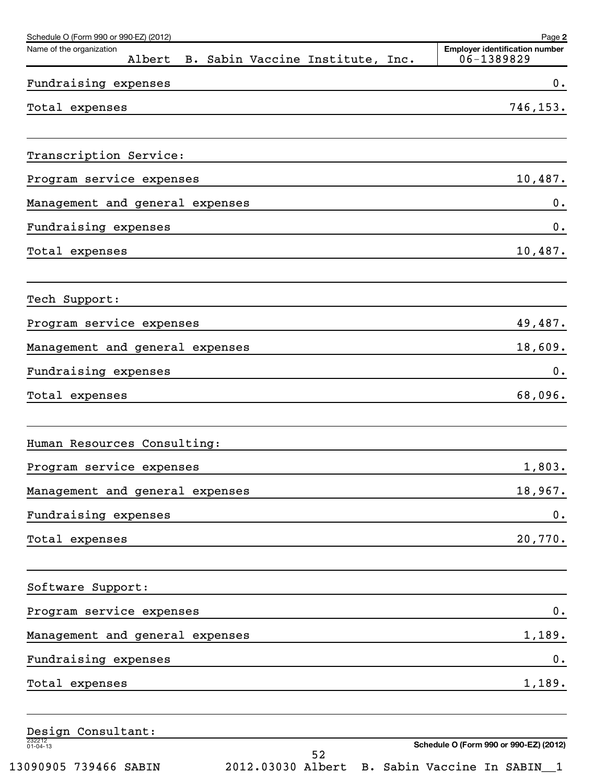| Schedule O (Form 990 or 990-EZ) (2012)                                 | Page 2                                              |
|------------------------------------------------------------------------|-----------------------------------------------------|
| Name of the organization<br>Albert<br>B. Sabin Vaccine Institute, Inc. | <b>Employer identification number</b><br>06-1389829 |
| Fundraising expenses                                                   | 0.                                                  |
| Total expenses                                                         | 746,153.                                            |
| Transcription Service:                                                 |                                                     |
| Program service expenses                                               | 10,487.                                             |
| Management and general expenses                                        | 0.                                                  |
| Fundraising expenses                                                   | 0.                                                  |
| Total expenses                                                         | 10,487.                                             |
| Tech Support:                                                          |                                                     |
| Program service expenses                                               | 49,487.                                             |
| Management and general expenses                                        | 18,609.                                             |
| Fundraising expenses                                                   | 0.                                                  |
| Total expenses                                                         | 68,096.                                             |
| Human Resources Consulting:                                            |                                                     |
| Program service expenses                                               | 1,803.                                              |
| Management and general expenses                                        | 18,967.                                             |
| Fundraising expenses                                                   | 0.                                                  |
| Total expenses                                                         | 20,770.                                             |
| Software Support:                                                      |                                                     |
| Program service expenses                                               | 0.                                                  |
| Management and general expenses                                        | 1,189.                                              |
| Fundraising expenses                                                   | 0.                                                  |
| Total expenses                                                         | 1,189.                                              |
| Design Consultant:                                                     |                                                     |
| 232212<br>01-04-13<br>52                                               | Schedule O (Form 990 or 990-EZ) (2012)              |

13090905 739466 SABIN 2012.03030 Albert B. Sabin Vaccine In SABIN\_\_1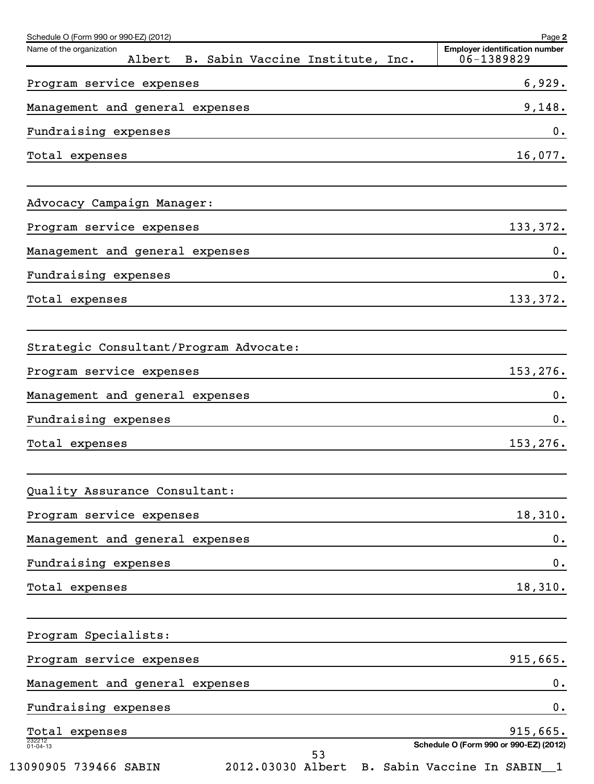| Schedule O (Form 990 or 990-EZ) (2012)                              | Page 2                                              |
|---------------------------------------------------------------------|-----------------------------------------------------|
| Name of the organization<br>Albert B. Sabin Vaccine Institute, Inc. | <b>Employer identification number</b><br>06-1389829 |
| Program service expenses                                            | 6,929.                                              |
| Management and general expenses                                     | 9,148.                                              |
| Fundraising expenses                                                | 0.                                                  |
| Total expenses                                                      | 16,077.                                             |
| Advocacy Campaign Manager:                                          |                                                     |
| Program service expenses                                            | 133,372.                                            |
| Management and general expenses                                     | $0$ .                                               |
| Fundraising expenses                                                | 0.                                                  |
| Total expenses                                                      | 133,372.                                            |
| Strategic Consultant/Program Advocate:                              |                                                     |
| Program service expenses                                            | 153,276.                                            |
| Management and general expenses                                     | $0$ .                                               |
| Fundraising expenses                                                | 0.                                                  |
| Total expenses                                                      | 153,276.                                            |
| Quality Assurance Consultant:                                       |                                                     |
| Program service expenses                                            | 18,310.                                             |
| Management and general expenses                                     | 0.                                                  |
| Fundraising expenses                                                | $\mathbf 0$ .                                       |
| Total expenses                                                      | 18,310.                                             |
| Program Specialists:                                                |                                                     |
| Program service expenses                                            | 915,665.                                            |
| Management and general expenses                                     | $\mathbf 0$ .                                       |
| Fundraising expenses                                                | $\mathbf 0$ .                                       |
| Total expenses                                                      | 915,665.                                            |
| 232212<br>01-04-13<br>53                                            | Schedule O (Form 990 or 990-EZ) (2012)              |
| 13090905 739466 SABIN                                               | 2012.03030 Albert B. Sabin Vaccine In SABIN_1       |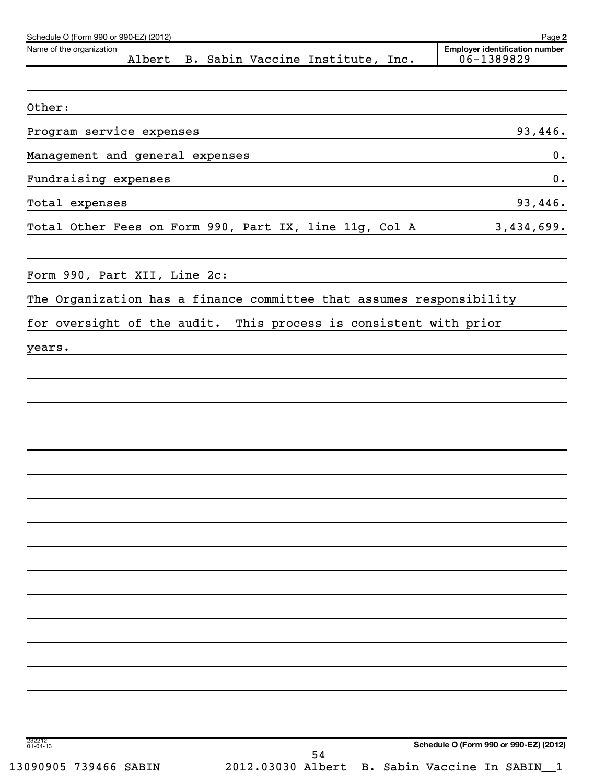| Name of the organization<br>Albert B. Sabin Vaccine Institute, Inc.  | <b>Employer identification number</b><br>06-1389829 |
|----------------------------------------------------------------------|-----------------------------------------------------|
|                                                                      |                                                     |
| Other:                                                               |                                                     |
| Program service expenses                                             | 93,446.                                             |
| Management and general expenses                                      | 0.                                                  |
| Fundraising expenses                                                 | 0.                                                  |
| Total expenses                                                       | 93,446.                                             |
| Total Other Fees on Form 990, Part IX, line 11g, Col A               | 3,434,699.                                          |
| Form 990, Part XII, Line 2c:                                         |                                                     |
| The Organization has a finance committee that assumes responsibility |                                                     |
| for oversight of the audit. This process is consistent with prior    |                                                     |
| years.                                                               |                                                     |
|                                                                      |                                                     |
|                                                                      |                                                     |
|                                                                      |                                                     |
|                                                                      |                                                     |
|                                                                      |                                                     |
|                                                                      |                                                     |
|                                                                      |                                                     |
|                                                                      |                                                     |
|                                                                      |                                                     |
|                                                                      |                                                     |
|                                                                      |                                                     |
|                                                                      |                                                     |
|                                                                      |                                                     |
|                                                                      |                                                     |
|                                                                      |                                                     |
|                                                                      |                                                     |
|                                                                      |                                                     |
| 232212<br>01-04-13<br>54                                             | Schedule O (Form 990 or 990-EZ) (2012)              |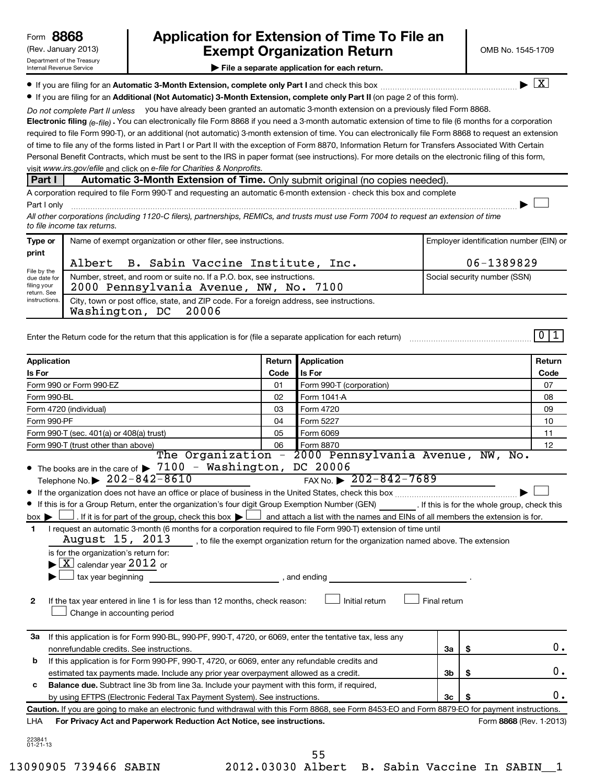## (Rev. January 2013) **Cxempt Organization Return** Manuary 2013) and MB No. 1545-1709 **8868 Application for Extension of Time To File an**

**| File a separate application for each return.**

**If you are filing for an Automatic 3-Month Extension, complete only Part I** and check this box  $\ldots$  $\ldots$  $\ldots$  $\ldots$  $\ldots$  $\ldots$ 

 $\lfloor x \rfloor$ 

 $\left\vert \cdot\right\vert$ 

 $011$ 

**• If you are filing for an Additional (Not Automatic) 3-Month Extension, complete only Part II (on page 2 of this form).** 

Do not complete Part II unless you have already been granted an automatic 3-month extension on a previously filed Form 8868.

**Electronic filing .**  You can electronically file Form 8868 if you need a 3-month automatic extension of time to file (6 months for a corporation  *(e-file)* visit www.irs.gov/efile and click on e-file for Charities & Nonprofits. required to file Form 990-T), or an additional (not automatic) 3-month extension of time. You can electronically file Form 8868 to request an extension of time to file any of the forms listed in Part I or Part II with the exception of Form 8870, Information Return for Transfers Associated With Certain Personal Benefit Contracts, which must be sent to the IRS in paper format (see instructions). For more details on the electronic filing of this form,

#### **Part I Automatic 3-Month Extension of Time.** Only submit original (no copies needed).

A corporation required to file Form 990-T and requesting an automatic 6-month extension - check this box and complete Part I only ~~~~~~~~~~~~~~~~~~~~~~~~~~~~~~~~~~~~~~~~~~~~~~~~~~~~~~~~~~~~~~ |

*All other corporations (including 1120-C filers), partnerships, REMICs, and trusts must use Form 7004 to request an extension of time to file income tax returns.*

| Type or                                                                             | Name of exempt organization or other filer, see instructions.                                                       | Employer identification number (EIN) or |  |  |
|-------------------------------------------------------------------------------------|---------------------------------------------------------------------------------------------------------------------|-----------------------------------------|--|--|
| print<br>File by the<br>due date for<br>filing your<br>return. See<br>instructions. | Albert B. Sabin Vaccine Institute, Inc.                                                                             | 06-1389829                              |  |  |
|                                                                                     | Number, street, and room or suite no. If a P.O. box, see instructions.<br>2000 Pennsylvania Avenue, NW, No. 7100    | Social security number (SSN)            |  |  |
|                                                                                     | City, town or post office, state, and ZIP code. For a foreign address, see instructions.<br>Washington, DC<br>20006 |                                         |  |  |

Enter the Return code for the return that this application is for (file a separate application for each return) ~~~~~~~~~~~~~~~~~

| <b>Application</b>                                                                                                                                                                                                                                                                                                                                                                                                                                                 | Return       | Application                                                                                                              |                |                         | Return |
|--------------------------------------------------------------------------------------------------------------------------------------------------------------------------------------------------------------------------------------------------------------------------------------------------------------------------------------------------------------------------------------------------------------------------------------------------------------------|--------------|--------------------------------------------------------------------------------------------------------------------------|----------------|-------------------------|--------|
| Is For                                                                                                                                                                                                                                                                                                                                                                                                                                                             | Code         | Is For                                                                                                                   |                | Code                    |        |
| Form 990 or Form 990-EZ                                                                                                                                                                                                                                                                                                                                                                                                                                            | 01           | Form 990-T (corporation)                                                                                                 |                |                         | 07     |
| Form 990-BL<br>02                                                                                                                                                                                                                                                                                                                                                                                                                                                  |              | Form 1041-A                                                                                                              |                |                         | 08     |
| Form 4720 (individual)                                                                                                                                                                                                                                                                                                                                                                                                                                             | 03           | Form 4720                                                                                                                |                |                         | 09     |
| Form 990-PF                                                                                                                                                                                                                                                                                                                                                                                                                                                        | 04           | Form 5227                                                                                                                |                |                         | 10     |
| Form 990-T (sec. 401(a) or 408(a) trust)                                                                                                                                                                                                                                                                                                                                                                                                                           | 05           | Form 6069                                                                                                                |                |                         | 11     |
| Form 990-T (trust other than above)                                                                                                                                                                                                                                                                                                                                                                                                                                | 06           | Form 8870                                                                                                                |                |                         | 12     |
| $\bullet$ The books are in the care of $\triangleright$ 7100 - Washington, DC 20006<br>Telephone No. $\triangleright$ 202-842-8610<br>• If this is for a Group Return, enter the organization's four digit Group Exemption Number (GEN) [15] . If this is for the whole group, check this<br>. If it is for part of the group, check this box $\blacktriangleright$ $\Box$ and attach a list with the names and EINs of all members the extension is for.<br>box ▶ |              | The Organization - 2000 Pennsylvania Avenue, NW, No.<br>FAX No. $\geq 202 - 842 - 7689$                                  |                |                         |        |
| I request an automatic 3-month (6 months for a corporation required to file Form 990-T) extension of time until<br>1<br>August 15, 2013<br>is for the organization's return for:<br>$\blacktriangleright$ $\lfloor$ X $\rfloor$ calendar year 2012 or<br>$\perp$ tax year beginning<br>If the tax year entered in line 1 is for less than 12 months, check reason:<br>$\mathbf{2}$<br>Change in accounting period                                                  | , and ending | to file the exempt organization return for the organization named above. The extension<br>Initial return<br>Final return |                |                         |        |
| If this application is for Form 990-BL, 990-PF, 990-T, 4720, or 6069, enter the tentative tax, less any<br>За<br>nonrefundable credits. See instructions.                                                                                                                                                                                                                                                                                                          |              |                                                                                                                          | За             | \$                      | 0.     |
| If this application is for Form 990-PF, 990-T, 4720, or 6069, enter any refundable credits and<br>b<br>estimated tax payments made. Include any prior year overpayment allowed as a credit.                                                                                                                                                                                                                                                                        |              |                                                                                                                          | 3 <sub>b</sub> | \$                      | 0.     |
| Balance due. Subtract line 3b from line 3a. Include your payment with this form, if required,<br>c<br>by using EFTPS (Electronic Federal Tax Payment System). See instructions.                                                                                                                                                                                                                                                                                    |              |                                                                                                                          | 3c             | \$                      | 0.     |
| Caution. If you are going to make an electronic fund withdrawal with this Form 8868, see Form 8453-EO and Form 8879-EO for payment instructions.                                                                                                                                                                                                                                                                                                                   |              |                                                                                                                          |                |                         |        |
| For Privacy Act and Paperwork Reduction Act Notice, see instructions.<br>LHA                                                                                                                                                                                                                                                                                                                                                                                       |              |                                                                                                                          |                | Form 8868 (Rev. 1-2013) |        |
| 223841<br>$01 - 21 - 13$                                                                                                                                                                                                                                                                                                                                                                                                                                           |              | 55                                                                                                                       |                |                         |        |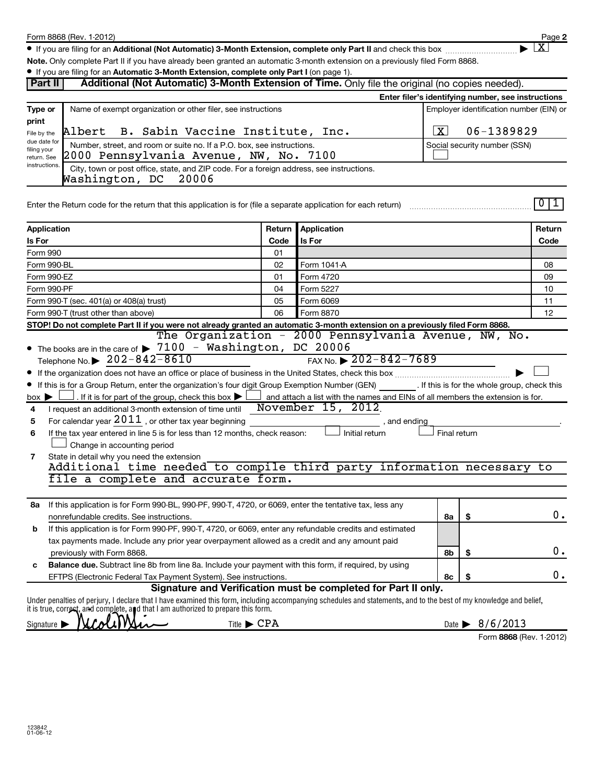**2**  $\lfloor x \rfloor$ 

● If you are filing for an Additional (Not Automatic) 3-Month Extension, complete only Part II and check this box <sub>……………………</sub>………

**Note.**  Only complete Part II if you have already been granted an automatic 3-month extension on a previously filed Form 8868.

| <b>Part II</b>                  | • If you are filing for an Automatic 3-Month Extension, complete only Part I (on page 1).<br>Additional (Not Automatic) 3-Month Extension of Time. Only file the original (no copies needed). |          |                                                                                       |              |                                                                                               |        |  |
|---------------------------------|-----------------------------------------------------------------------------------------------------------------------------------------------------------------------------------------------|----------|---------------------------------------------------------------------------------------|--------------|-----------------------------------------------------------------------------------------------|--------|--|
|                                 |                                                                                                                                                                                               |          |                                                                                       |              |                                                                                               |        |  |
|                                 |                                                                                                                                                                                               |          |                                                                                       |              | Enter filer's identifying number, see instructions<br>Employer identification number (EIN) or |        |  |
| Type or<br>print                | Name of exempt organization or other filer, see instructions                                                                                                                                  |          |                                                                                       |              |                                                                                               |        |  |
| File by the                     | B. Sabin Vaccine Institute, Inc.<br>Albert                                                                                                                                                    |          |                                                                                       |              | 06-1389829<br>  X                                                                             |        |  |
| due date for                    | Number, street, and room or suite no. If a P.O. box, see instructions.                                                                                                                        |          |                                                                                       |              | Social security number (SSN)                                                                  |        |  |
| filing your<br>return. See      | 2000 Pennsylvania Avenue, NW, No. 7100                                                                                                                                                        |          |                                                                                       |              |                                                                                               |        |  |
| instructions.                   | City, town or post office, state, and ZIP code. For a foreign address, see instructions.                                                                                                      |          |                                                                                       |              |                                                                                               |        |  |
|                                 | Washington, DC<br>20006                                                                                                                                                                       |          |                                                                                       |              |                                                                                               |        |  |
|                                 |                                                                                                                                                                                               |          |                                                                                       |              |                                                                                               |        |  |
|                                 | Enter the Return code for the return that this application is for (file a separate application for each return)                                                                               |          |                                                                                       |              |                                                                                               | 0 1    |  |
|                                 |                                                                                                                                                                                               |          |                                                                                       |              |                                                                                               |        |  |
| Application                     |                                                                                                                                                                                               | Return   | Application                                                                           |              |                                                                                               | Return |  |
| Is For                          |                                                                                                                                                                                               | Code     | Is For                                                                                |              |                                                                                               | Code   |  |
| Form 990<br>Form 990-BL         |                                                                                                                                                                                               | 01<br>02 | Form 1041-A                                                                           |              |                                                                                               | 08     |  |
| Form 990-EZ                     |                                                                                                                                                                                               | 01       | Form 4720                                                                             |              |                                                                                               | 09     |  |
|                                 |                                                                                                                                                                                               | 04       | Form 5227                                                                             |              |                                                                                               | 10     |  |
|                                 | Form 990-PF<br>Form 990-T (sec. 401(a) or 408(a) trust)<br>05<br>Form 6069                                                                                                                    |          |                                                                                       |              | 11                                                                                            |        |  |
|                                 | 06<br>Form 8870<br>Form 990-T (trust other than above)                                                                                                                                        |          |                                                                                       |              |                                                                                               | 12     |  |
|                                 | STOP! Do not complete Part II if you were not already granted an automatic 3-month extension on a previously filed Form 8868.                                                                 |          |                                                                                       |              |                                                                                               |        |  |
|                                 |                                                                                                                                                                                               |          | The Organization - 2000 Pennsylvania Avenue, NW, No.                                  |              |                                                                                               |        |  |
|                                 | • The books are in the care of > 7100 - Washington, DC 20006                                                                                                                                  |          |                                                                                       |              |                                                                                               |        |  |
|                                 | Telephone No. $\triangleright$ 202-842-8610                                                                                                                                                   |          | FAX No. $\triangleright$ 202-842-7689                                                 |              |                                                                                               |        |  |
|                                 |                                                                                                                                                                                               |          |                                                                                       |              |                                                                                               |        |  |
|                                 | If this is for a Group Return, enter the organization's four digit Group Exemption Number (GEN) [15] If this is for the whole group, check this                                               |          |                                                                                       |              |                                                                                               |        |  |
| $box \blacktriangleright$       | . If it is for part of the group, check this box $\blacktriangleright$ $\lfloor$                                                                                                              |          | $\Box$ and attach a list with the names and EINs of all members the extension is for. |              |                                                                                               |        |  |
| 4                               | I request an additional 3-month extension of time until                                                                                                                                       |          | November 15, 2012                                                                     |              |                                                                                               |        |  |
| 5                               | For calendar year $2011$ , or other tax year beginning                                                                                                                                        |          | , and ending                                                                          |              |                                                                                               |        |  |
| 6                               | If the tax year entered in line 5 is for less than 12 months, check reason:                                                                                                                   |          | Initial return                                                                        | Final return |                                                                                               |        |  |
|                                 | Change in accounting period                                                                                                                                                                   |          |                                                                                       |              |                                                                                               |        |  |
| 7                               | State in detail why you need the extension                                                                                                                                                    |          |                                                                                       |              |                                                                                               |        |  |
|                                 | Additional time needed to compile third party information necessary to                                                                                                                        |          |                                                                                       |              |                                                                                               |        |  |
|                                 | file a complete and accurate form.                                                                                                                                                            |          |                                                                                       |              |                                                                                               |        |  |
|                                 | 8a If this application is for Form 990-BL, 990-PF, 990-T, 4720, or 6069, enter the tentative tax, less any                                                                                    |          |                                                                                       |              |                                                                                               |        |  |
|                                 | nonrefundable credits. See instructions.                                                                                                                                                      |          |                                                                                       | 8а           | \$                                                                                            | $0$ .  |  |
| b                               | If this application is for Form 990-PF, 990-T, 4720, or 6069, enter any refundable credits and estimated                                                                                      |          |                                                                                       |              |                                                                                               |        |  |
|                                 | tax payments made. Include any prior year overpayment allowed as a credit and any amount paid                                                                                                 |          |                                                                                       |              |                                                                                               |        |  |
|                                 | previously with Form 8868.                                                                                                                                                                    |          |                                                                                       | 8b           | \$                                                                                            | 0.     |  |
| с                               | Balance due. Subtract line 8b from line 8a. Include your payment with this form, if required, by using                                                                                        |          |                                                                                       |              |                                                                                               |        |  |
|                                 | EFTPS (Electronic Federal Tax Payment System). See instructions.                                                                                                                              |          |                                                                                       | 8с           | \$                                                                                            | 0.     |  |
|                                 |                                                                                                                                                                                               |          | Signature and Verification must be completed for Part II only.                        |              |                                                                                               |        |  |
|                                 | Under penalties of perjury, I declare that I have examined this form, including accompanying schedules and statements, and to the best of my knowledge and belief,                            |          |                                                                                       |              |                                                                                               |        |  |
|                                 | it is true, correct, and complete, and that I am authorized to prepare this form.                                                                                                             |          |                                                                                       |              |                                                                                               |        |  |
| Signature $\blacktriangleright$ | Title $\blacktriangleright$ CPA                                                                                                                                                               |          |                                                                                       |              | Date $\triangleright$ 8/6/2013                                                                |        |  |

|  | Form 8868 (Rev. 1-2012) |
|--|-------------------------|
|  |                         |